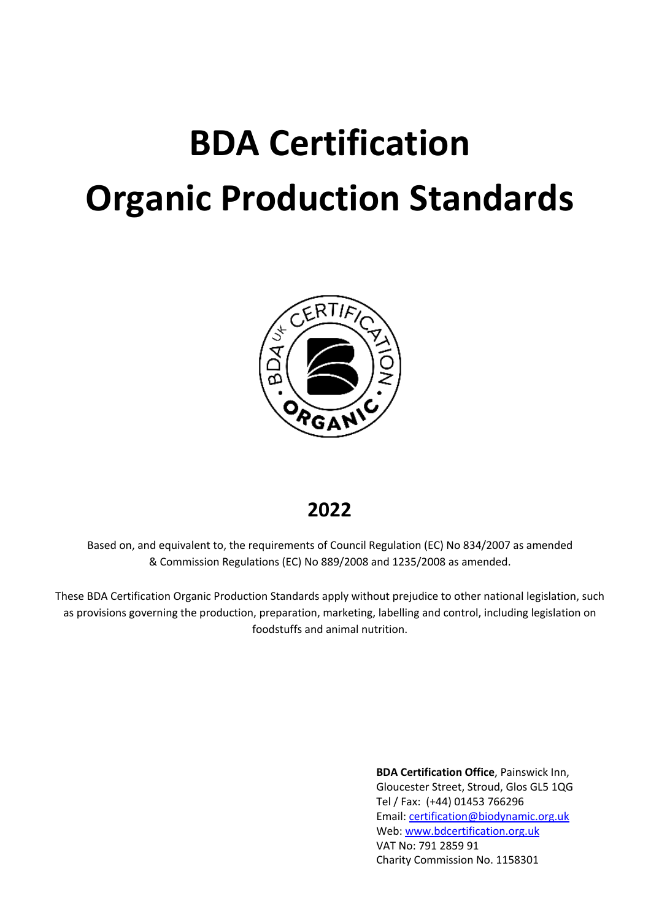# **BDA Certification Organic Production Standards**



# **2022**

Based on, and equivalent to, the requirements of Council Regulation (EC) No 834/2007 as amended & Commission Regulations (EC) No 889/2008 and 1235/2008 as amended.

These BDA Certification Organic Production Standards apply without prejudice to other national legislation, such as provisions governing the production, preparation, marketing, labelling and control, including legislation on foodstuffs and animal nutrition.

> **BDA Certification Office**, Painswick Inn, Gloucester Street, Stroud, Glos GL5 1QG Tel / Fax: (+44) 01453 766296 Email: certification@biodynamic.org.uk Web: www.bdcertification.org.uk VAT No: 791 2859 91 Charity Commission No. 1158301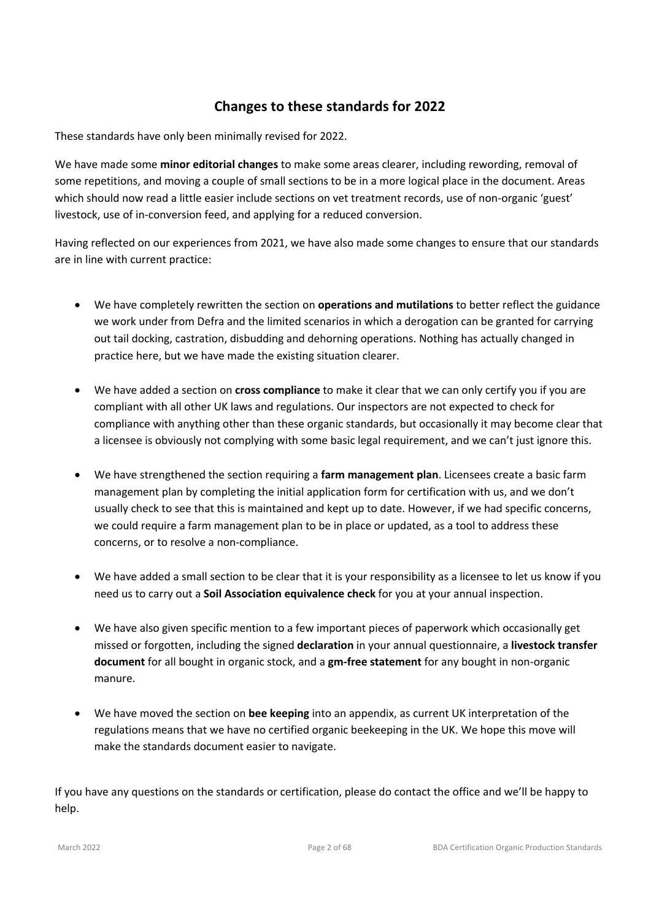# **Changes to these standards for 2022**

These standards have only been minimally revised for 2022.

We have made some **minor editorial changes** to make some areas clearer, including rewording, removal of some repetitions, and moving a couple of small sections to be in a more logical place in the document. Areas which should now read a little easier include sections on vet treatment records, use of non-organic 'guest' livestock, use of in-conversion feed, and applying for a reduced conversion.

Having reflected on our experiences from 2021, we have also made some changes to ensure that our standards are in line with current practice:

- We have completely rewritten the section on **operations and mutilations** to better reflect the guidance we work under from Defra and the limited scenarios in which a derogation can be granted for carrying out tail docking, castration, disbudding and dehorning operations. Nothing has actually changed in practice here, but we have made the existing situation clearer.
- We have added a section on **cross compliance** to make it clear that we can only certify you if you are compliant with all other UK laws and regulations. Our inspectors are not expected to check for compliance with anything other than these organic standards, but occasionally it may become clear that a licensee is obviously not complying with some basic legal requirement, and we can't just ignore this.
- We have strengthened the section requiring a **farm management plan**. Licensees create a basic farm management plan by completing the initial application form for certification with us, and we don't usually check to see that this is maintained and kept up to date. However, if we had specific concerns, we could require a farm management plan to be in place or updated, as a tool to address these concerns, or to resolve a non-compliance.
- We have added a small section to be clear that it is your responsibility as a licensee to let us know if you need us to carry out a **Soil Association equivalence check** for you at your annual inspection.
- We have also given specific mention to a few important pieces of paperwork which occasionally get missed or forgotten, including the signed **declaration** in your annual questionnaire, a **livestock transfer document** for all bought in organic stock, and a **gm-free statement** for any bought in non-organic manure.
- We have moved the section on **bee keeping** into an appendix, as current UK interpretation of the regulations means that we have no certified organic beekeeping in the UK. We hope this move will make the standards document easier to navigate.

If you have any questions on the standards or certification, please do contact the office and we'll be happy to help.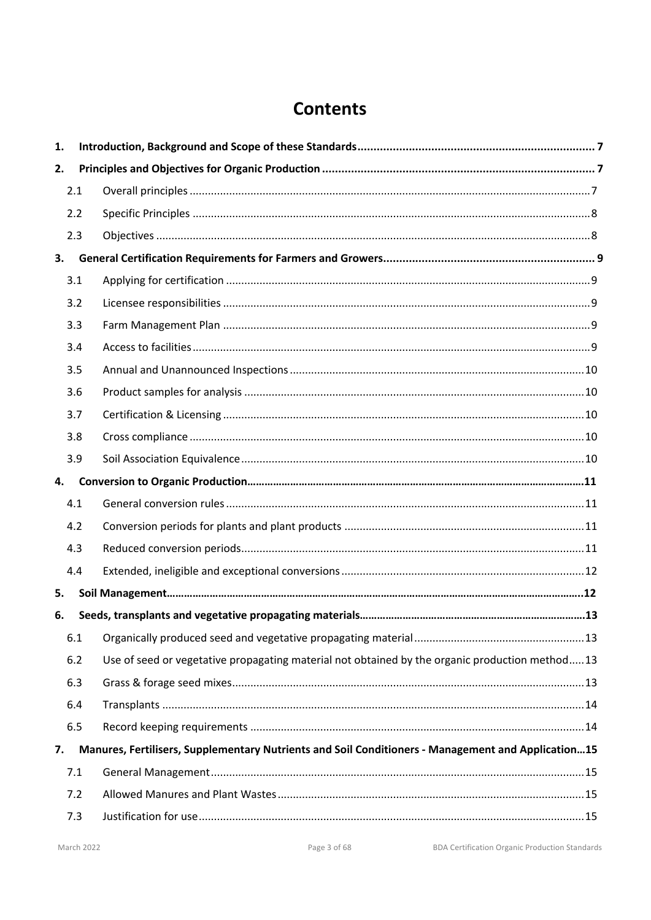# **Contents**

| 1. |     |                                                                                                    |  |
|----|-----|----------------------------------------------------------------------------------------------------|--|
| 2. |     |                                                                                                    |  |
|    | 2.1 |                                                                                                    |  |
|    | 2.2 |                                                                                                    |  |
|    | 2.3 |                                                                                                    |  |
| 3. |     |                                                                                                    |  |
|    | 3.1 |                                                                                                    |  |
|    | 3.2 |                                                                                                    |  |
|    | 3.3 |                                                                                                    |  |
|    | 3.4 |                                                                                                    |  |
|    | 3.5 |                                                                                                    |  |
|    | 3.6 |                                                                                                    |  |
|    | 3.7 |                                                                                                    |  |
|    | 3.8 |                                                                                                    |  |
|    | 3.9 |                                                                                                    |  |
| 4. |     |                                                                                                    |  |
|    | 4.1 |                                                                                                    |  |
|    | 4.2 |                                                                                                    |  |
|    | 4.3 |                                                                                                    |  |
|    | 4.4 |                                                                                                    |  |
| 5. |     |                                                                                                    |  |
| 6. |     |                                                                                                    |  |
|    | 6.1 |                                                                                                    |  |
|    | 6.2 | Use of seed or vegetative propagating material not obtained by the organic production method13     |  |
|    | 6.3 |                                                                                                    |  |
|    | 6.4 |                                                                                                    |  |
|    | 6.5 |                                                                                                    |  |
| 7. |     | Manures, Fertilisers, Supplementary Nutrients and Soil Conditioners - Management and Application15 |  |
|    | 7.1 |                                                                                                    |  |
|    | 7.2 |                                                                                                    |  |
|    | 7.3 |                                                                                                    |  |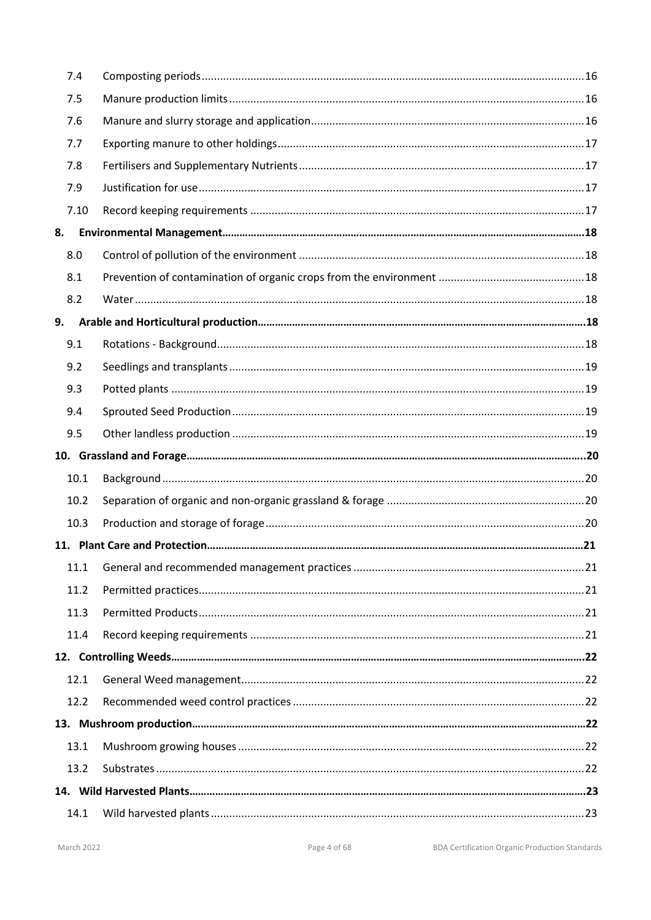| 7.4  |  |
|------|--|
| 7.5  |  |
| 7.6  |  |
| 7.7  |  |
| 7.8  |  |
| 7.9  |  |
| 7.10 |  |
| 8.   |  |
| 8.0  |  |
| 8.1  |  |
| 8.2  |  |
| 9.   |  |
| 9.1  |  |
| 9.2  |  |
| 9.3  |  |
| 9.4  |  |
| 9.5  |  |
|      |  |
|      |  |
| 10.1 |  |
| 10.2 |  |
| 10.3 |  |
|      |  |
| 11.1 |  |
| 11.2 |  |
| 11.3 |  |
| 11.4 |  |
|      |  |
| 12.1 |  |
| 12.2 |  |
|      |  |
| 13.1 |  |
| 13.2 |  |
|      |  |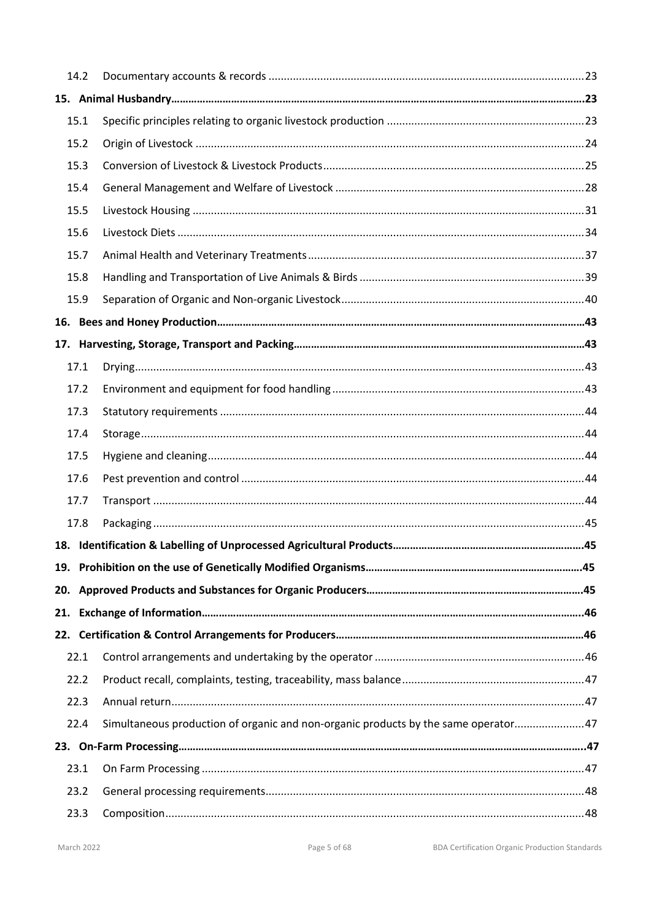|     | 14.2 |                                                                                     |  |
|-----|------|-------------------------------------------------------------------------------------|--|
|     |      |                                                                                     |  |
|     | 15.1 |                                                                                     |  |
|     | 15.2 |                                                                                     |  |
|     | 15.3 |                                                                                     |  |
|     | 15.4 |                                                                                     |  |
|     | 15.5 |                                                                                     |  |
|     | 15.6 |                                                                                     |  |
|     | 15.7 |                                                                                     |  |
|     | 15.8 |                                                                                     |  |
|     | 15.9 |                                                                                     |  |
|     |      |                                                                                     |  |
|     |      |                                                                                     |  |
|     | 17.1 |                                                                                     |  |
|     | 17.2 |                                                                                     |  |
|     | 17.3 |                                                                                     |  |
|     | 17.4 |                                                                                     |  |
|     | 17.5 |                                                                                     |  |
|     | 17.6 |                                                                                     |  |
|     | 17.7 |                                                                                     |  |
|     | 17.8 |                                                                                     |  |
|     |      |                                                                                     |  |
|     |      |                                                                                     |  |
|     |      |                                                                                     |  |
| 21. |      |                                                                                     |  |
|     |      |                                                                                     |  |
|     | 22.1 |                                                                                     |  |
|     | 22.2 |                                                                                     |  |
|     | 22.3 |                                                                                     |  |
|     | 22.4 | Simultaneous production of organic and non-organic products by the same operator 47 |  |
|     |      |                                                                                     |  |
|     | 23.1 |                                                                                     |  |
|     | 23.2 |                                                                                     |  |
|     | 23.3 |                                                                                     |  |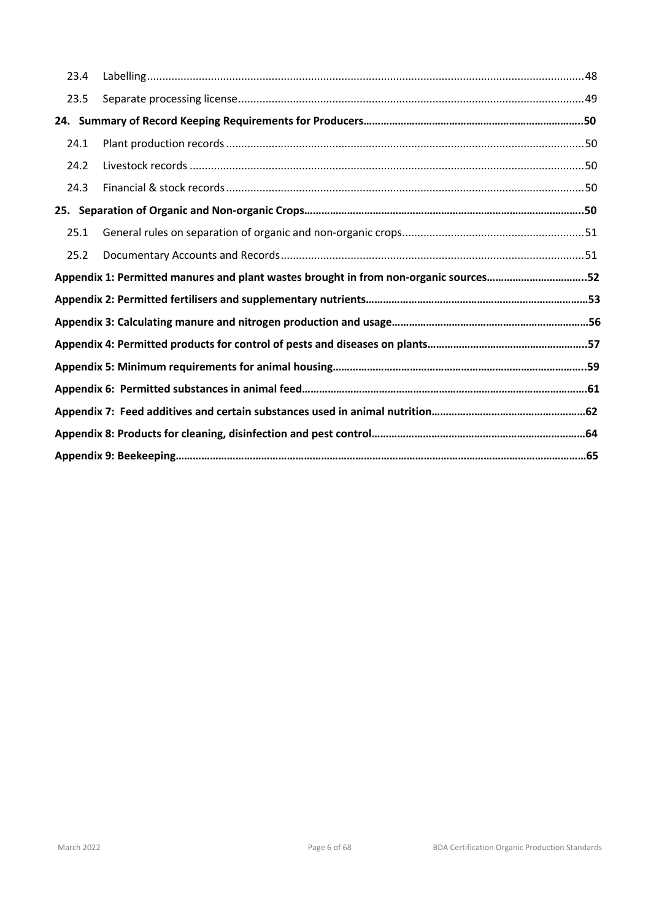| 23.4 |                                                                                      |  |
|------|--------------------------------------------------------------------------------------|--|
| 23.5 |                                                                                      |  |
|      |                                                                                      |  |
| 24.1 |                                                                                      |  |
| 24.2 |                                                                                      |  |
| 24.3 |                                                                                      |  |
|      |                                                                                      |  |
| 25.1 |                                                                                      |  |
| 25.2 |                                                                                      |  |
|      |                                                                                      |  |
|      | Appendix 1: Permitted manures and plant wastes brought in from non-organic sources52 |  |
|      |                                                                                      |  |
|      |                                                                                      |  |
|      |                                                                                      |  |
|      |                                                                                      |  |
|      |                                                                                      |  |
|      |                                                                                      |  |
|      |                                                                                      |  |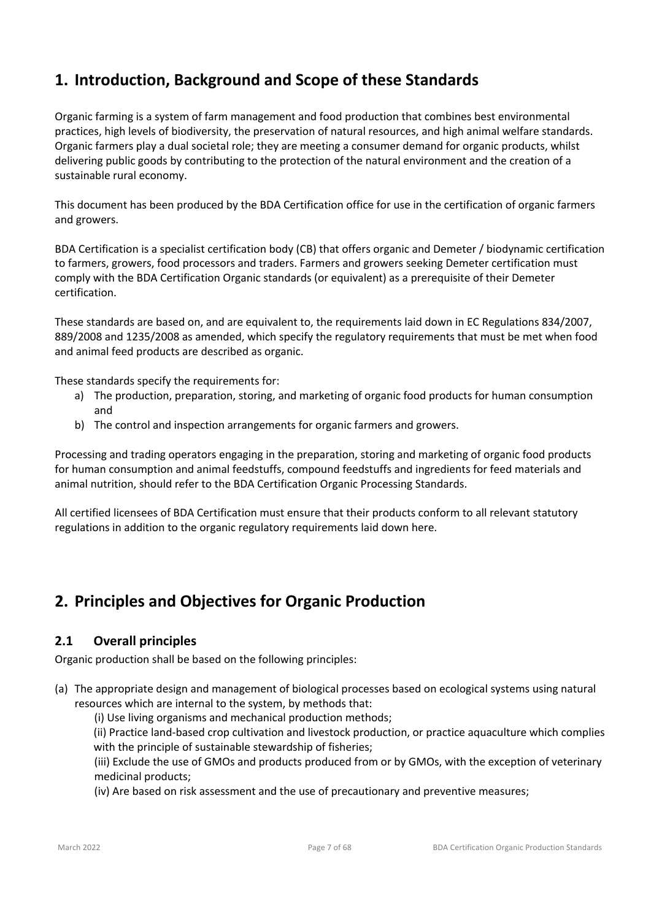# **1. Introduction, Background and Scope of these Standards**

Organic farming is a system of farm management and food production that combines best environmental practices, high levels of biodiversity, the preservation of natural resources, and high animal welfare standards. Organic farmers play a dual societal role; they are meeting a consumer demand for organic products, whilst delivering public goods by contributing to the protection of the natural environment and the creation of a sustainable rural economy.

This document has been produced by the BDA Certification office for use in the certification of organic farmers and growers.

BDA Certification is a specialist certification body (CB) that offers organic and Demeter / biodynamic certification to farmers, growers, food processors and traders. Farmers and growers seeking Demeter certification must comply with the BDA Certification Organic standards (or equivalent) as a prerequisite of their Demeter certification.

These standards are based on, and are equivalent to, the requirements laid down in EC Regulations 834/2007, 889/2008 and 1235/2008 as amended, which specify the regulatory requirements that must be met when food and animal feed products are described as organic.

These standards specify the requirements for:

- a) The production, preparation, storing, and marketing of organic food products for human consumption and
- b) The control and inspection arrangements for organic farmers and growers.

Processing and trading operators engaging in the preparation, storing and marketing of organic food products for human consumption and animal feedstuffs, compound feedstuffs and ingredients for feed materials and animal nutrition, should refer to the BDA Certification Organic Processing Standards.

All certified licensees of BDA Certification must ensure that their products conform to all relevant statutory regulations in addition to the organic regulatory requirements laid down here.

# **2. Principles and Objectives for Organic Production**

# **2.1 Overall principles**

Organic production shall be based on the following principles:

- (a) The appropriate design and management of biological processes based on ecological systems using natural resources which are internal to the system, by methods that:
	- (i) Use living organisms and mechanical production methods;
	- (ii) Practice land-based crop cultivation and livestock production, or practice aquaculture which complies with the principle of sustainable stewardship of fisheries;

(iii) Exclude the use of GMOs and products produced from or by GMOs, with the exception of veterinary medicinal products;

(iv) Are based on risk assessment and the use of precautionary and preventive measures;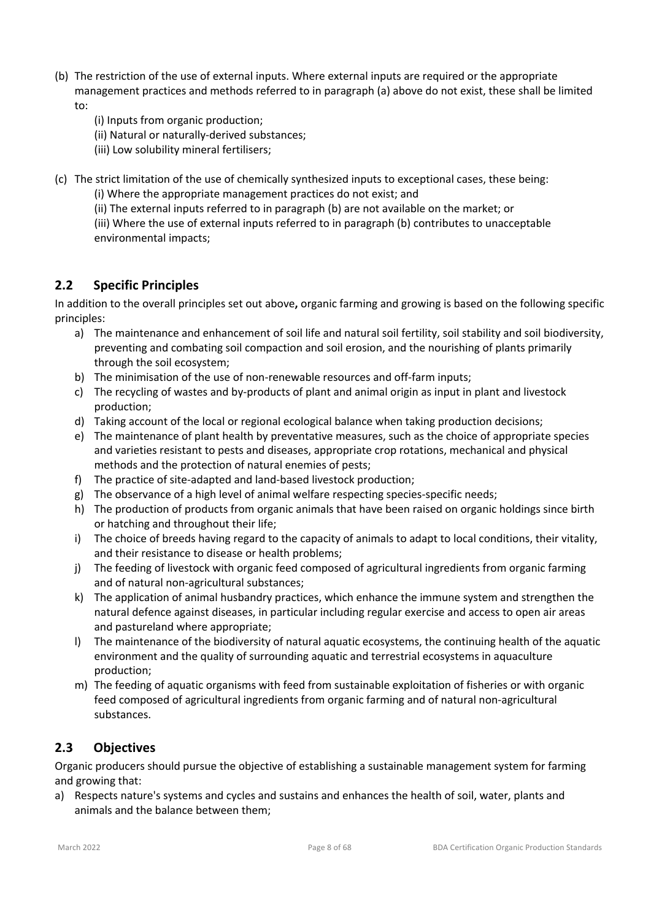- (b) The restriction of the use of external inputs. Where external inputs are required or the appropriate management practices and methods referred to in paragraph (a) above do not exist, these shall be limited to:
	- (i) Inputs from organic production;
	- (ii) Natural or naturally-derived substances;
	- (iii) Low solubility mineral fertilisers;
- (c) The strict limitation of the use of chemically synthesized inputs to exceptional cases, these being:
	- (i) Where the appropriate management practices do not exist; and
	- (ii) The external inputs referred to in paragraph (b) are not available on the market; or
	- (iii) Where the use of external inputs referred to in paragraph (b) contributes to unacceptable environmental impacts;

# **2.2 Specific Principles**

In addition to the overall principles set out above**,** organic farming and growing is based on the following specific principles:

- a) The maintenance and enhancement of soil life and natural soil fertility, soil stability and soil biodiversity, preventing and combating soil compaction and soil erosion, and the nourishing of plants primarily through the soil ecosystem;
- b) The minimisation of the use of non-renewable resources and off-farm inputs;
- c) The recycling of wastes and by-products of plant and animal origin as input in plant and livestock production;
- d) Taking account of the local or regional ecological balance when taking production decisions;
- e) The maintenance of plant health by preventative measures, such as the choice of appropriate species and varieties resistant to pests and diseases, appropriate crop rotations, mechanical and physical methods and the protection of natural enemies of pests;
- f) The practice of site-adapted and land-based livestock production;
- g) The observance of a high level of animal welfare respecting species-specific needs;
- h) The production of products from organic animals that have been raised on organic holdings since birth or hatching and throughout their life;
- i) The choice of breeds having regard to the capacity of animals to adapt to local conditions, their vitality, and their resistance to disease or health problems;
- j) The feeding of livestock with organic feed composed of agricultural ingredients from organic farming and of natural non-agricultural substances;
- k) The application of animal husbandry practices, which enhance the immune system and strengthen the natural defence against diseases, in particular including regular exercise and access to open air areas and pastureland where appropriate;
- l) The maintenance of the biodiversity of natural aquatic ecosystems, the continuing health of the aquatic environment and the quality of surrounding aquatic and terrestrial ecosystems in aquaculture production;
- m) The feeding of aquatic organisms with feed from sustainable exploitation of fisheries or with organic feed composed of agricultural ingredients from organic farming and of natural non-agricultural substances.

# **2.3 Objectives**

Organic producers should pursue the objective of establishing a sustainable management system for farming and growing that:

a) Respects nature's systems and cycles and sustains and enhances the health of soil, water, plants and animals and the balance between them;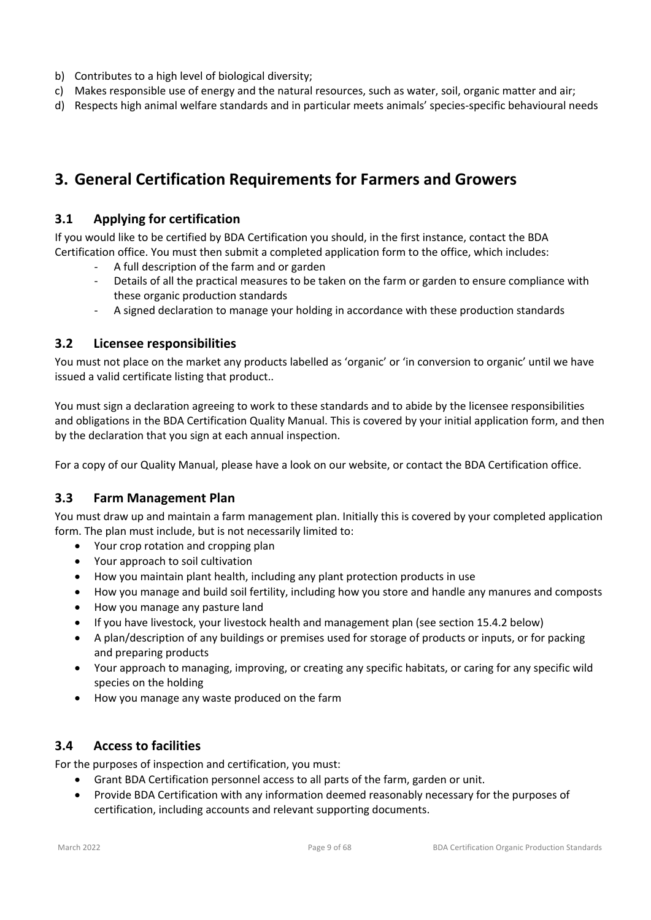- b) Contributes to a high level of biological diversity;
- c) Makes responsible use of energy and the natural resources, such as water, soil, organic matter and air;
- d) Respects high animal welfare standards and in particular meets animals' species-specific behavioural needs

# **3. General Certification Requirements for Farmers and Growers**

### **3.1 Applying for certification**

If you would like to be certified by BDA Certification you should, in the first instance, contact the BDA Certification office. You must then submit a completed application form to the office, which includes:

- A full description of the farm and or garden
- Details of all the practical measures to be taken on the farm or garden to ensure compliance with these organic production standards
- A signed declaration to manage your holding in accordance with these production standards

#### **3.2 Licensee responsibilities**

You must not place on the market any products labelled as 'organic' or 'in conversion to organic' until we have issued a valid certificate listing that product..

You must sign a declaration agreeing to work to these standards and to abide by the licensee responsibilities and obligations in the BDA Certification Quality Manual. This is covered by your initial application form, and then by the declaration that you sign at each annual inspection.

For a copy of our Quality Manual, please have a look on our website, or contact the BDA Certification office.

#### **3.3 Farm Management Plan**

You must draw up and maintain a farm management plan. Initially this is covered by your completed application form. The plan must include, but is not necessarily limited to:

- Your crop rotation and cropping plan
- Your approach to soil cultivation
- How you maintain plant health, including any plant protection products in use
- How you manage and build soil fertility, including how you store and handle any manures and composts
- How you manage any pasture land
- If you have livestock, your livestock health and management plan (see section 15.4.2 below)
- A plan/description of any buildings or premises used for storage of products or inputs, or for packing and preparing products
- Your approach to managing, improving, or creating any specific habitats, or caring for any specific wild species on the holding
- How you manage any waste produced on the farm

#### **3.4 Access to facilities**

For the purposes of inspection and certification, you must:

- Grant BDA Certification personnel access to all parts of the farm, garden or unit.
- Provide BDA Certification with any information deemed reasonably necessary for the purposes of certification, including accounts and relevant supporting documents.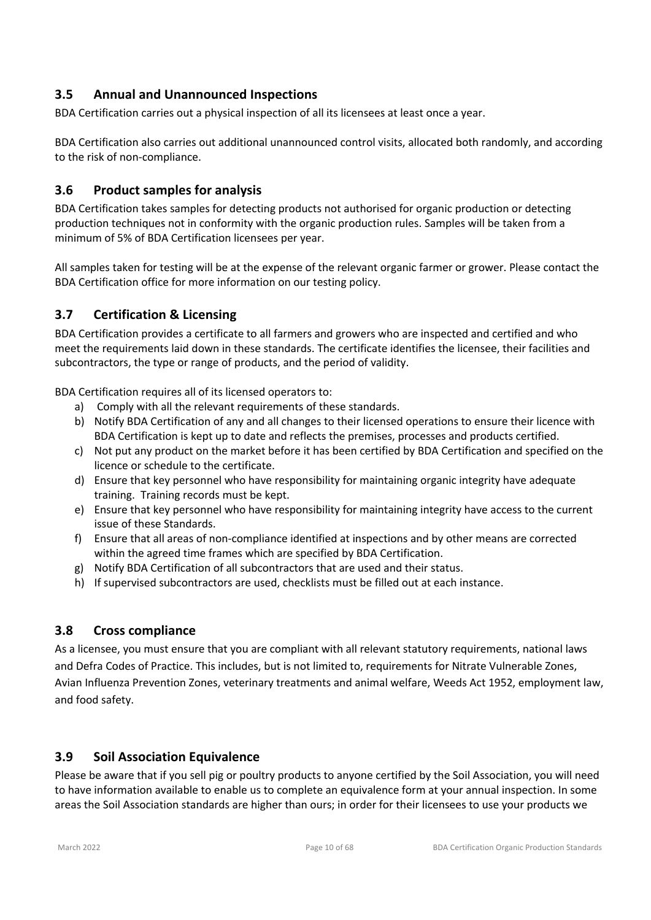# **3.5 Annual and Unannounced Inspections**

BDA Certification carries out a physical inspection of all its licensees at least once a year.

BDA Certification also carries out additional unannounced control visits, allocated both randomly, and according to the risk of non-compliance.

# **3.6 Product samples for analysis**

BDA Certification takes samples for detecting products not authorised for organic production or detecting production techniques not in conformity with the organic production rules. Samples will be taken from a minimum of 5% of BDA Certification licensees per year.

All samples taken for testing will be at the expense of the relevant organic farmer or grower. Please contact the BDA Certification office for more information on our testing policy.

# **3.7 Certification & Licensing**

BDA Certification provides a certificate to all farmers and growers who are inspected and certified and who meet the requirements laid down in these standards. The certificate identifies the licensee, their facilities and subcontractors, the type or range of products, and the period of validity.

BDA Certification requires all of its licensed operators to:

- a) Comply with all the relevant requirements of these standards.
- b) Notify BDA Certification of any and all changes to their licensed operations to ensure their licence with BDA Certification is kept up to date and reflects the premises, processes and products certified.
- c) Not put any product on the market before it has been certified by BDA Certification and specified on the licence or schedule to the certificate.
- d) Ensure that key personnel who have responsibility for maintaining organic integrity have adequate training. Training records must be kept.
- e) Ensure that key personnel who have responsibility for maintaining integrity have access to the current issue of these Standards.
- f) Ensure that all areas of non-compliance identified at inspections and by other means are corrected within the agreed time frames which are specified by BDA Certification.
- g) Notify BDA Certification of all subcontractors that are used and their status.
- h) If supervised subcontractors are used, checklists must be filled out at each instance.

# **3.8 Cross compliance**

As a licensee, you must ensure that you are compliant with all relevant statutory requirements, national laws and Defra Codes of Practice. This includes, but is not limited to, requirements for Nitrate Vulnerable Zones, Avian Influenza Prevention Zones, veterinary treatments and animal welfare, Weeds Act 1952, employment law, and food safety.

# **3.9 Soil Association Equivalence**

Please be aware that if you sell pig or poultry products to anyone certified by the Soil Association, you will need to have information available to enable us to complete an equivalence form at your annual inspection. In some areas the Soil Association standards are higher than ours; in order for their licensees to use your products we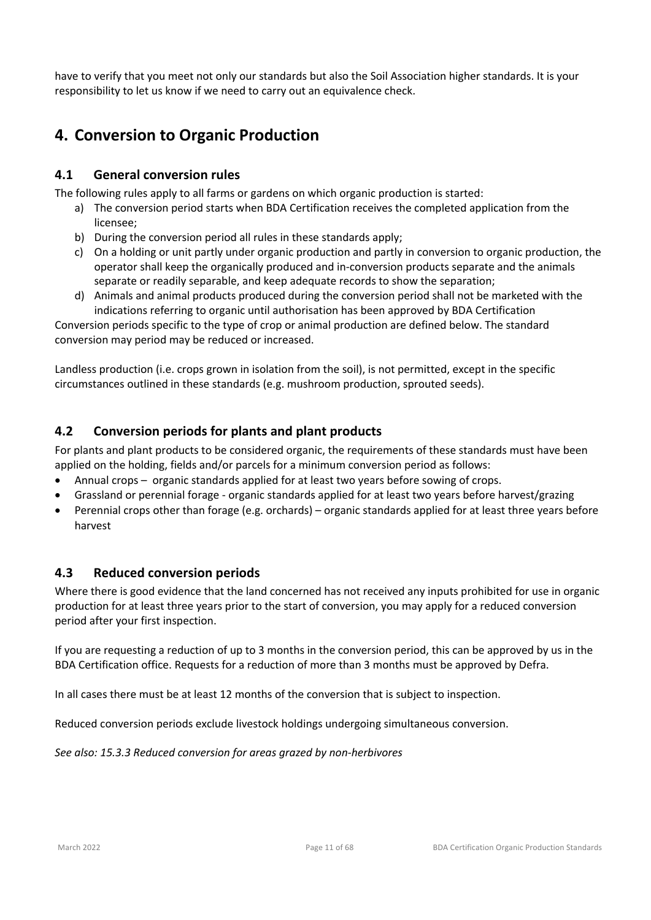have to verify that you meet not only our standards but also the Soil Association higher standards. It is your responsibility to let us know if we need to carry out an equivalence check.

# **4. Conversion to Organic Production**

# **4.1 General conversion rules**

The following rules apply to all farms or gardens on which organic production is started:

- a) The conversion period starts when BDA Certification receives the completed application from the licensee;
- b) During the conversion period all rules in these standards apply;
- c) On a holding or unit partly under organic production and partly in conversion to organic production, the operator shall keep the organically produced and in-conversion products separate and the animals separate or readily separable, and keep adequate records to show the separation;
- d) Animals and animal products produced during the conversion period shall not be marketed with the indications referring to organic until authorisation has been approved by BDA Certification

Conversion periods specific to the type of crop or animal production are defined below. The standard conversion may period may be reduced or increased.

Landless production (i.e. crops grown in isolation from the soil), is not permitted, except in the specific circumstances outlined in these standards (e.g. mushroom production, sprouted seeds).

# **4.2 Conversion periods for plants and plant products**

For plants and plant products to be considered organic, the requirements of these standards must have been applied on the holding, fields and/or parcels for a minimum conversion period as follows:

- Annual crops organic standards applied for at least two years before sowing of crops.
- Grassland or perennial forage organic standards applied for at least two years before harvest/grazing
- Perennial crops other than forage (e.g. orchards) organic standards applied for at least three years before harvest

#### **4.3 Reduced conversion periods**

Where there is good evidence that the land concerned has not received any inputs prohibited for use in organic production for at least three years prior to the start of conversion, you may apply for a reduced conversion period after your first inspection.

If you are requesting a reduction of up to 3 months in the conversion period, this can be approved by us in the BDA Certification office. Requests for a reduction of more than 3 months must be approved by Defra.

In all cases there must be at least 12 months of the conversion that is subject to inspection.

Reduced conversion periods exclude livestock holdings undergoing simultaneous conversion.

*See also: 15.3.3 Reduced conversion for areas grazed by non-herbivores*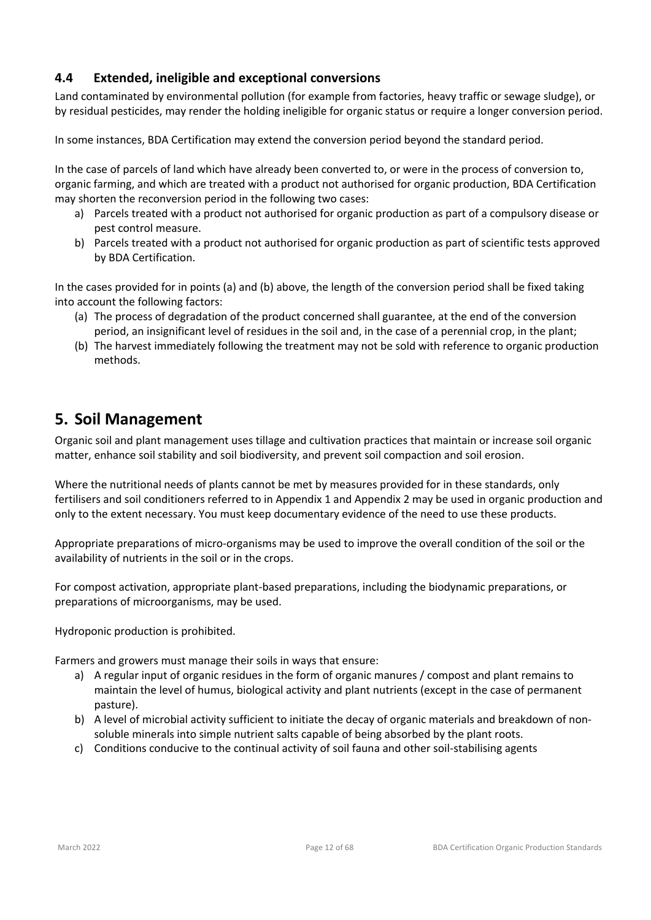# **4.4 Extended, ineligible and exceptional conversions**

Land contaminated by environmental pollution (for example from factories, heavy traffic or sewage sludge), or by residual pesticides, may render the holding ineligible for organic status or require a longer conversion period.

In some instances, BDA Certification may extend the conversion period beyond the standard period.

In the case of parcels of land which have already been converted to, or were in the process of conversion to, organic farming, and which are treated with a product not authorised for organic production, BDA Certification may shorten the reconversion period in the following two cases:

- a) Parcels treated with a product not authorised for organic production as part of a compulsory disease or pest control measure.
- b) Parcels treated with a product not authorised for organic production as part of scientific tests approved by BDA Certification.

In the cases provided for in points (a) and (b) above, the length of the conversion period shall be fixed taking into account the following factors:

- (a) The process of degradation of the product concerned shall guarantee, at the end of the conversion period, an insignificant level of residues in the soil and, in the case of a perennial crop, in the plant;
- (b) The harvest immediately following the treatment may not be sold with reference to organic production methods.

# **5. Soil Management**

Organic soil and plant management uses tillage and cultivation practices that maintain or increase soil organic matter, enhance soil stability and soil biodiversity, and prevent soil compaction and soil erosion.

Where the nutritional needs of plants cannot be met by measures provided for in these standards, only fertilisers and soil conditioners referred to in Appendix 1 and Appendix 2 may be used in organic production and only to the extent necessary. You must keep documentary evidence of the need to use these products.

Appropriate preparations of micro-organisms may be used to improve the overall condition of the soil or the availability of nutrients in the soil or in the crops.

For compost activation, appropriate plant-based preparations, including the biodynamic preparations, or preparations of microorganisms, may be used.

Hydroponic production is prohibited.

Farmers and growers must manage their soils in ways that ensure:

- a) A regular input of organic residues in the form of organic manures / compost and plant remains to maintain the level of humus, biological activity and plant nutrients (except in the case of permanent pasture).
- b) A level of microbial activity sufficient to initiate the decay of organic materials and breakdown of nonsoluble minerals into simple nutrient salts capable of being absorbed by the plant roots.
- c) Conditions conducive to the continual activity of soil fauna and other soil-stabilising agents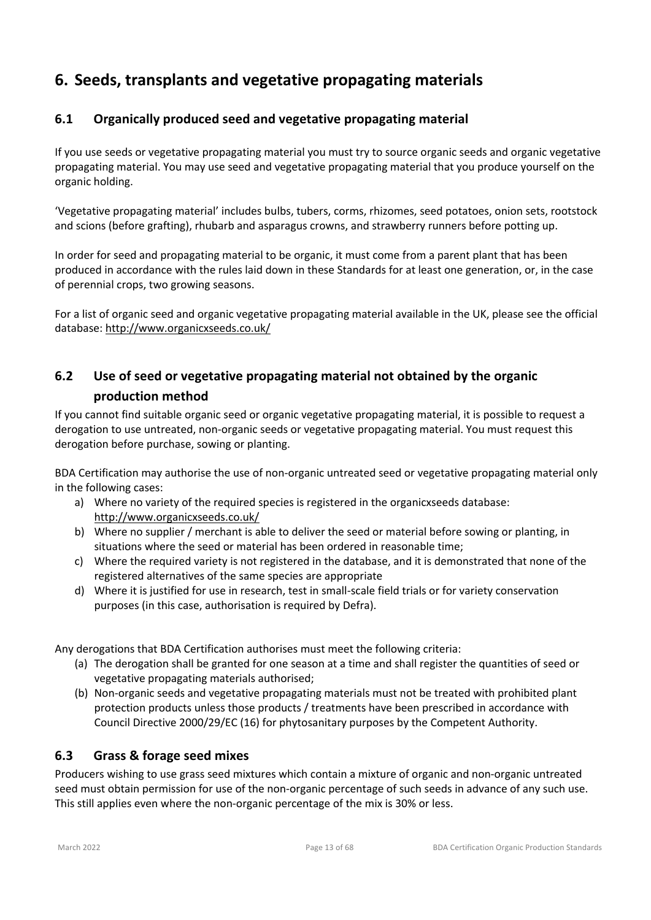# **6. Seeds, transplants and vegetative propagating materials**

# **6.1 Organically produced seed and vegetative propagating material**

If you use seeds or vegetative propagating material you must try to source organic seeds and organic vegetative propagating material. You may use seed and vegetative propagating material that you produce yourself on the organic holding.

'Vegetative propagating material' includes bulbs, tubers, corms, rhizomes, seed potatoes, onion sets, rootstock and scions (before grafting), rhubarb and asparagus crowns, and strawberry runners before potting up.

In order for seed and propagating material to be organic, it must come from a parent plant that has been produced in accordance with the rules laid down in these Standards for at least one generation, or, in the case of perennial crops, two growing seasons.

For a list of organic seed and organic vegetative propagating material available in the UK, please see the official database: http://www.organicxseeds.co.uk/

# **6.2 Use of seed or vegetative propagating material not obtained by the organic production method**

If you cannot find suitable organic seed or organic vegetative propagating material, it is possible to request a derogation to use untreated, non-organic seeds or vegetative propagating material. You must request this derogation before purchase, sowing or planting.

BDA Certification may authorise the use of non-organic untreated seed or vegetative propagating material only in the following cases:

- a) Where no variety of the required species is registered in the organicxseeds database: http://www.organicxseeds.co.uk/
- b) Where no supplier / merchant is able to deliver the seed or material before sowing or planting, in situations where the seed or material has been ordered in reasonable time;
- c) Where the required variety is not registered in the database, and it is demonstrated that none of the registered alternatives of the same species are appropriate
- d) Where it is justified for use in research, test in small-scale field trials or for variety conservation purposes (in this case, authorisation is required by Defra).

Any derogations that BDA Certification authorises must meet the following criteria:

- (a) The derogation shall be granted for one season at a time and shall register the quantities of seed or vegetative propagating materials authorised;
- (b) Non-organic seeds and vegetative propagating materials must not be treated with prohibited plant protection products unless those products / treatments have been prescribed in accordance with Council Directive 2000/29/EC (16) for phytosanitary purposes by the Competent Authority.

# **6.3 Grass & forage seed mixes**

Producers wishing to use grass seed mixtures which contain a mixture of organic and non-organic untreated seed must obtain permission for use of the non-organic percentage of such seeds in advance of any such use. This still applies even where the non-organic percentage of the mix is 30% or less.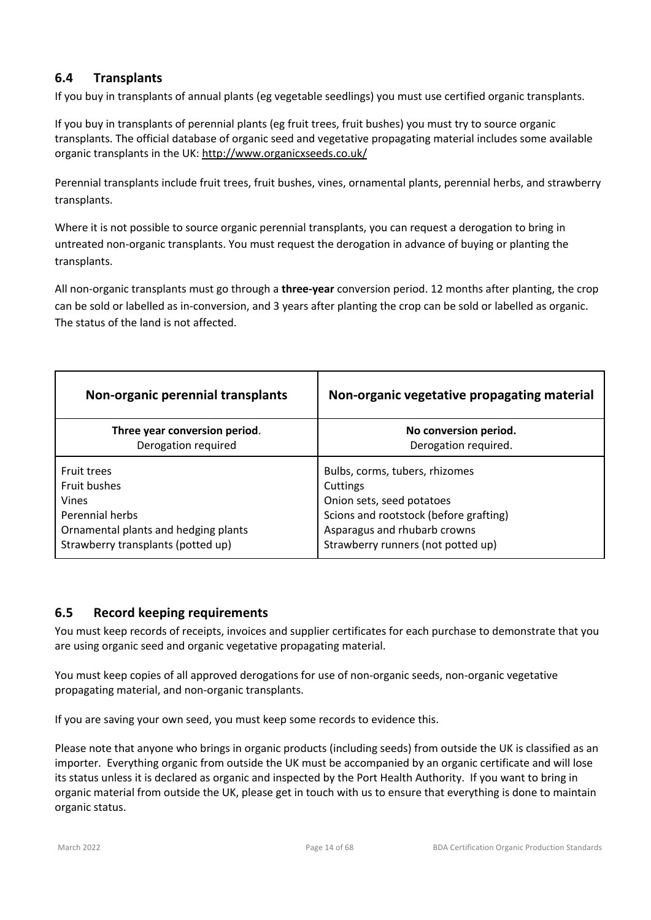# **6.4 Transplants**

If you buy in transplants of annual plants (eg vegetable seedlings) you must use certified organic transplants.

If you buy in transplants of perennial plants (eg fruit trees, fruit bushes) you must try to source organic transplants. The official database of organic seed and vegetative propagating material includes some available organic transplants in the UK: http://www.organicxseeds.co.uk/

Perennial transplants include fruit trees, fruit bushes, vines, ornamental plants, perennial herbs, and strawberry transplants.

Where it is not possible to source organic perennial transplants, you can request a derogation to bring in untreated non-organic transplants. You must request the derogation in advance of buying or planting the transplants.

All non-organic transplants must go through a **three-year** conversion period. 12 months after planting, the crop can be sold or labelled as in-conversion, and 3 years after planting the crop can be sold or labelled as organic. The status of the land is not affected.

| Non-organic perennial transplants    | Non-organic vegetative propagating material |  |
|--------------------------------------|---------------------------------------------|--|
| Three year conversion period.        | No conversion period.                       |  |
| Derogation required                  | Derogation required.                        |  |
| <b>Fruit trees</b>                   | Bulbs, corms, tubers, rhizomes              |  |
| <b>Fruit bushes</b>                  | Cuttings                                    |  |
| <b>Vines</b>                         | Onion sets, seed potatoes                   |  |
| Perennial herbs                      | Scions and rootstock (before grafting)      |  |
| Ornamental plants and hedging plants | Asparagus and rhubarb crowns                |  |
| Strawberry transplants (potted up)   | Strawberry runners (not potted up)          |  |

# **6.5 Record keeping requirements**

You must keep records of receipts, invoices and supplier certificates for each purchase to demonstrate that you are using organic seed and organic vegetative propagating material.

You must keep copies of all approved derogations for use of non-organic seeds, non-organic vegetative propagating material, and non-organic transplants.

If you are saving your own seed, you must keep some records to evidence this.

Please note that anyone who brings in organic products (including seeds) from outside the UK is classified as an importer. Everything organic from outside the UK must be accompanied by an organic certificate and will lose its status unless it is declared as organic and inspected by the Port Health Authority. If you want to bring in organic material from outside the UK, please get in touch with us to ensure that everything is done to maintain organic status.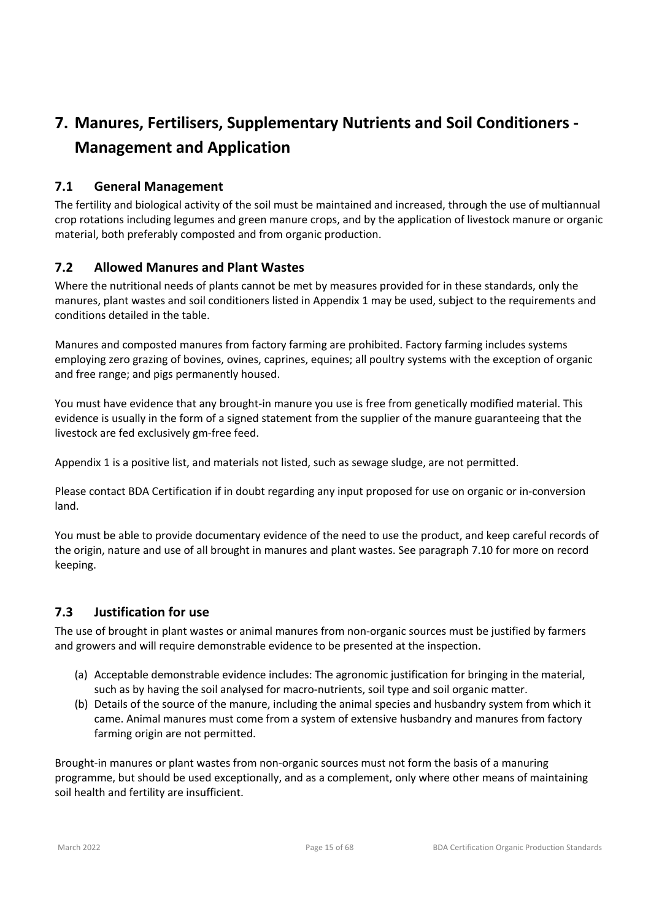# **7. Manures, Fertilisers, Supplementary Nutrients and Soil Conditioners - Management and Application**

# **7.1 General Management**

The fertility and biological activity of the soil must be maintained and increased, through the use of multiannual crop rotations including legumes and green manure crops, and by the application of livestock manure or organic material, both preferably composted and from organic production.

# **7.2 Allowed Manures and Plant Wastes**

Where the nutritional needs of plants cannot be met by measures provided for in these standards, only the manures, plant wastes and soil conditioners listed in Appendix 1 may be used, subject to the requirements and conditions detailed in the table.

Manures and composted manures from factory farming are prohibited. Factory farming includes systems employing zero grazing of bovines, ovines, caprines, equines; all poultry systems with the exception of organic and free range; and pigs permanently housed.

You must have evidence that any brought-in manure you use is free from genetically modified material. This evidence is usually in the form of a signed statement from the supplier of the manure guaranteeing that the livestock are fed exclusively gm-free feed.

Appendix 1 is a positive list, and materials not listed, such as sewage sludge, are not permitted.

Please contact BDA Certification if in doubt regarding any input proposed for use on organic or in-conversion land.

You must be able to provide documentary evidence of the need to use the product, and keep careful records of the origin, nature and use of all brought in manures and plant wastes. See paragraph 7.10 for more on record keeping.

# **7.3 Justification for use**

The use of brought in plant wastes or animal manures from non-organic sources must be justified by farmers and growers and will require demonstrable evidence to be presented at the inspection.

- (a) Acceptable demonstrable evidence includes: The agronomic justification for bringing in the material, such as by having the soil analysed for macro-nutrients, soil type and soil organic matter.
- (b) Details of the source of the manure, including the animal species and husbandry system from which it came. Animal manures must come from a system of extensive husbandry and manures from factory farming origin are not permitted.

Brought-in manures or plant wastes from non-organic sources must not form the basis of a manuring programme, but should be used exceptionally, and as a complement, only where other means of maintaining soil health and fertility are insufficient.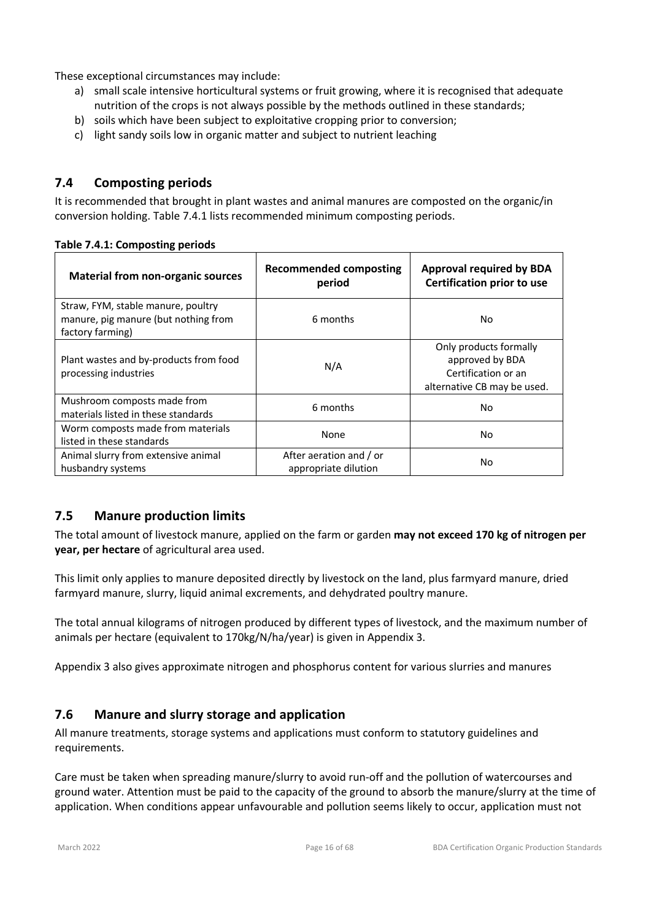These exceptional circumstances may include:

- a) small scale intensive horticultural systems or fruit growing, where it is recognised that adequate nutrition of the crops is not always possible by the methods outlined in these standards;
- b) soils which have been subject to exploitative cropping prior to conversion;
- c) light sandy soils low in organic matter and subject to nutrient leaching

# **7.4 Composting periods**

It is recommended that brought in plant wastes and animal manures are composted on the organic/in conversion holding. Table 7.4.1 lists recommended minimum composting periods.

| <b>Material from non-organic sources</b>                                                       | <b>Recommended composting</b><br>period         | <b>Approval required by BDA</b><br><b>Certification prior to use</b>                            |
|------------------------------------------------------------------------------------------------|-------------------------------------------------|-------------------------------------------------------------------------------------------------|
| Straw, FYM, stable manure, poultry<br>manure, pig manure (but nothing from<br>factory farming) | 6 months                                        | No                                                                                              |
| Plant wastes and by-products from food<br>processing industries                                | N/A                                             | Only products formally<br>approved by BDA<br>Certification or an<br>alternative CB may be used. |
| Mushroom composts made from<br>materials listed in these standards                             | 6 months                                        | No                                                                                              |
| Worm composts made from materials<br>listed in these standards                                 | None                                            | No                                                                                              |
| Animal slurry from extensive animal<br>husbandry systems                                       | After aeration and / or<br>appropriate dilution | No                                                                                              |

#### **Table 7.4.1: Composting periods**

# **7.5 Manure production limits**

The total amount of livestock manure, applied on the farm or garden **may not exceed 170 kg of nitrogen per year, per hectare** of agricultural area used.

This limit only applies to manure deposited directly by livestock on the land, plus farmyard manure, dried farmyard manure, slurry, liquid animal excrements, and dehydrated poultry manure.

The total annual kilograms of nitrogen produced by different types of livestock, and the maximum number of animals per hectare (equivalent to 170kg/N/ha/year) is given in Appendix 3.

Appendix 3 also gives approximate nitrogen and phosphorus content for various slurries and manures

#### **7.6 Manure and slurry storage and application**

All manure treatments, storage systems and applications must conform to statutory guidelines and requirements.

Care must be taken when spreading manure/slurry to avoid run-off and the pollution of watercourses and ground water. Attention must be paid to the capacity of the ground to absorb the manure/slurry at the time of application. When conditions appear unfavourable and pollution seems likely to occur, application must not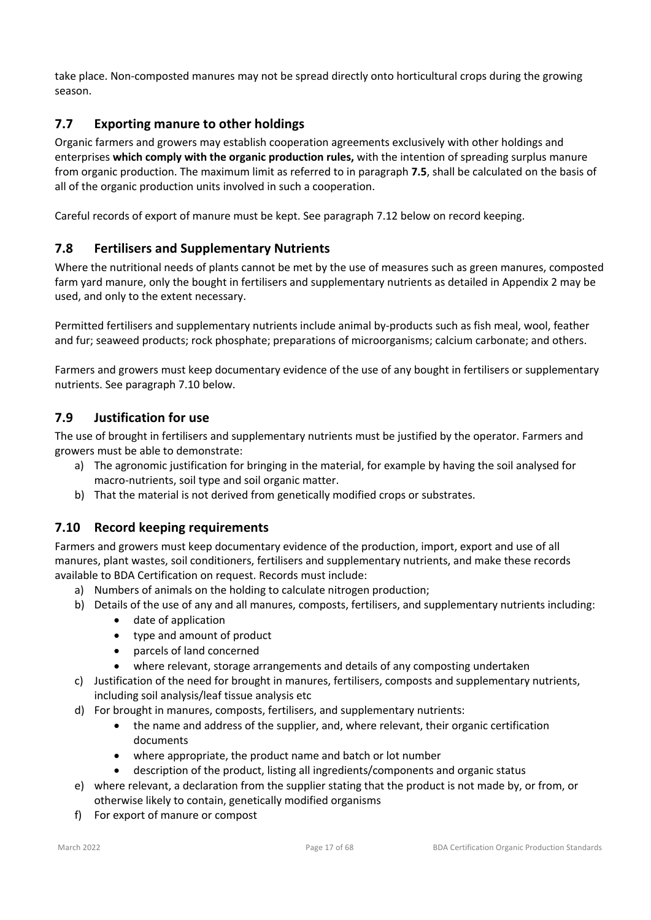take place. Non-composted manures may not be spread directly onto horticultural crops during the growing season.

# **7.7 Exporting manure to other holdings**

Organic farmers and growers may establish cooperation agreements exclusively with other holdings and enterprises **which comply with the organic production rules,** with the intention of spreading surplus manure from organic production. The maximum limit as referred to in paragraph **7.5**, shall be calculated on the basis of all of the organic production units involved in such a cooperation.

Careful records of export of manure must be kept. See paragraph 7.12 below on record keeping.

# **7.8 Fertilisers and Supplementary Nutrients**

Where the nutritional needs of plants cannot be met by the use of measures such as green manures, composted farm yard manure, only the bought in fertilisers and supplementary nutrients as detailed in Appendix 2 may be used, and only to the extent necessary.

Permitted fertilisers and supplementary nutrients include animal by-products such as fish meal, wool, feather and fur; seaweed products; rock phosphate; preparations of microorganisms; calcium carbonate; and others.

Farmers and growers must keep documentary evidence of the use of any bought in fertilisers or supplementary nutrients. See paragraph 7.10 below.

# **7.9 Justification for use**

The use of brought in fertilisers and supplementary nutrients must be justified by the operator. Farmers and growers must be able to demonstrate:

- a) The agronomic justification for bringing in the material, for example by having the soil analysed for macro-nutrients, soil type and soil organic matter.
- b) That the material is not derived from genetically modified crops or substrates.

# **7.10 Record keeping requirements**

Farmers and growers must keep documentary evidence of the production, import, export and use of all manures, plant wastes, soil conditioners, fertilisers and supplementary nutrients, and make these records available to BDA Certification on request. Records must include:

- a) Numbers of animals on the holding to calculate nitrogen production;
- b) Details of the use of any and all manures, composts, fertilisers, and supplementary nutrients including:
	- date of application
	- type and amount of product
	- parcels of land concerned
	- where relevant, storage arrangements and details of any composting undertaken
- c) Justification of the need for brought in manures, fertilisers, composts and supplementary nutrients, including soil analysis/leaf tissue analysis etc
- d) For brought in manures, composts, fertilisers, and supplementary nutrients:
	- the name and address of the supplier, and, where relevant, their organic certification documents
	- where appropriate, the product name and batch or lot number
	- description of the product, listing all ingredients/components and organic status
- e) where relevant, a declaration from the supplier stating that the product is not made by, or from, or otherwise likely to contain, genetically modified organisms
- f) For export of manure or compost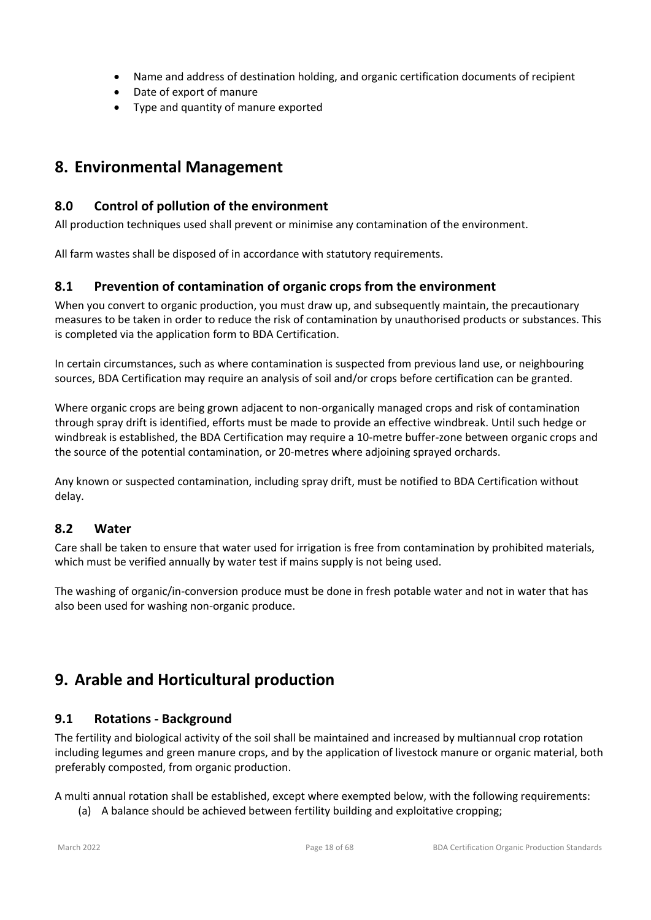- Name and address of destination holding, and organic certification documents of recipient
- Date of export of manure
- Type and quantity of manure exported

# **8. Environmental Management**

# **8.0 Control of pollution of the environment**

All production techniques used shall prevent or minimise any contamination of the environment.

All farm wastes shall be disposed of in accordance with statutory requirements.

# **8.1 Prevention of contamination of organic crops from the environment**

When you convert to organic production, you must draw up, and subsequently maintain, the precautionary measures to be taken in order to reduce the risk of contamination by unauthorised products or substances. This is completed via the application form to BDA Certification.

In certain circumstances, such as where contamination is suspected from previous land use, or neighbouring sources, BDA Certification may require an analysis of soil and/or crops before certification can be granted.

Where organic crops are being grown adjacent to non-organically managed crops and risk of contamination through spray drift is identified, efforts must be made to provide an effective windbreak. Until such hedge or windbreak is established, the BDA Certification may require a 10-metre buffer-zone between organic crops and the source of the potential contamination, or 20-metres where adjoining sprayed orchards.

Any known or suspected contamination, including spray drift, must be notified to BDA Certification without delay.

# **8.2 Water**

Care shall be taken to ensure that water used for irrigation is free from contamination by prohibited materials, which must be verified annually by water test if mains supply is not being used.

The washing of organic/in-conversion produce must be done in fresh potable water and not in water that has also been used for washing non-organic produce.

# **9. Arable and Horticultural production**

# **9.1 Rotations - Background**

The fertility and biological activity of the soil shall be maintained and increased by multiannual crop rotation including legumes and green manure crops, and by the application of livestock manure or organic material, both preferably composted, from organic production.

A multi annual rotation shall be established, except where exempted below, with the following requirements:

(a) A balance should be achieved between fertility building and exploitative cropping;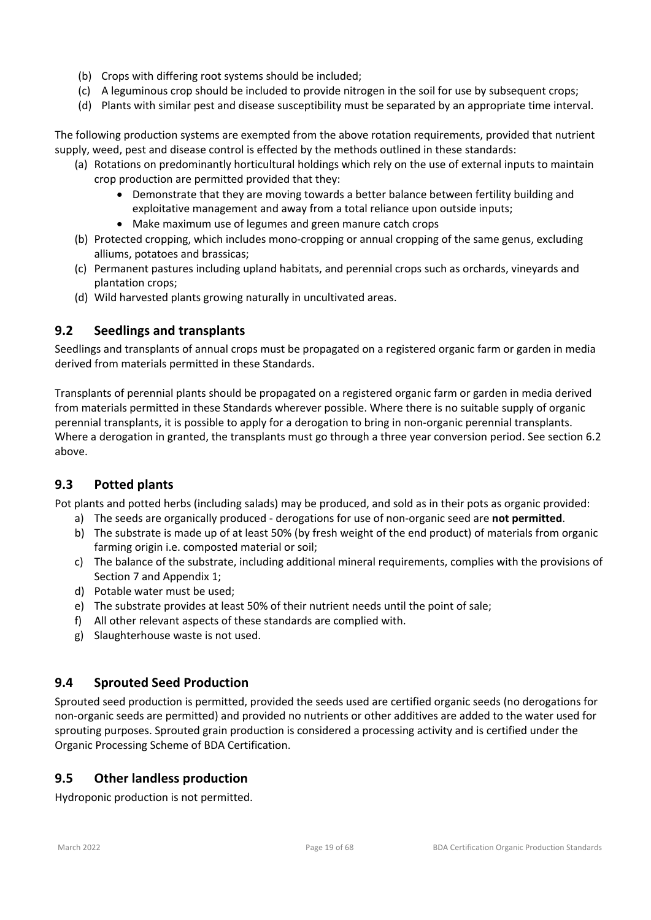- (b) Crops with differing root systems should be included;
- (c) A leguminous crop should be included to provide nitrogen in the soil for use by subsequent crops;
- (d) Plants with similar pest and disease susceptibility must be separated by an appropriate time interval.

The following production systems are exempted from the above rotation requirements, provided that nutrient supply, weed, pest and disease control is effected by the methods outlined in these standards:

- (a) Rotations on predominantly horticultural holdings which rely on the use of external inputs to maintain crop production are permitted provided that they:
	- Demonstrate that they are moving towards a better balance between fertility building and exploitative management and away from a total reliance upon outside inputs;
	- Make maximum use of legumes and green manure catch crops
- (b) Protected cropping, which includes mono-cropping or annual cropping of the same genus, excluding alliums, potatoes and brassicas;
- (c) Permanent pastures including upland habitats, and perennial crops such as orchards, vineyards and plantation crops;
- (d) Wild harvested plants growing naturally in uncultivated areas.

# **9.2 Seedlings and transplants**

Seedlings and transplants of annual crops must be propagated on a registered organic farm or garden in media derived from materials permitted in these Standards.

Transplants of perennial plants should be propagated on a registered organic farm or garden in media derived from materials permitted in these Standards wherever possible. Where there is no suitable supply of organic perennial transplants, it is possible to apply for a derogation to bring in non-organic perennial transplants. Where a derogation in granted, the transplants must go through a three year conversion period. See section 6.2 above.

# **9.3 Potted plants**

Pot plants and potted herbs (including salads) may be produced, and sold as in their pots as organic provided:

- a) The seeds are organically produced derogations for use of non-organic seed are **not permitted**.
- b) The substrate is made up of at least 50% (by fresh weight of the end product) of materials from organic farming origin i.e. composted material or soil;
- c) The balance of the substrate, including additional mineral requirements, complies with the provisions of Section 7 and Appendix 1;
- d) Potable water must be used;
- e) The substrate provides at least 50% of their nutrient needs until the point of sale;
- f) All other relevant aspects of these standards are complied with.
- g) Slaughterhouse waste is not used.

# **9.4 Sprouted Seed Production**

Sprouted seed production is permitted, provided the seeds used are certified organic seeds (no derogations for non-organic seeds are permitted) and provided no nutrients or other additives are added to the water used for sprouting purposes. Sprouted grain production is considered a processing activity and is certified under the Organic Processing Scheme of BDA Certification.

# **9.5 Other landless production**

Hydroponic production is not permitted.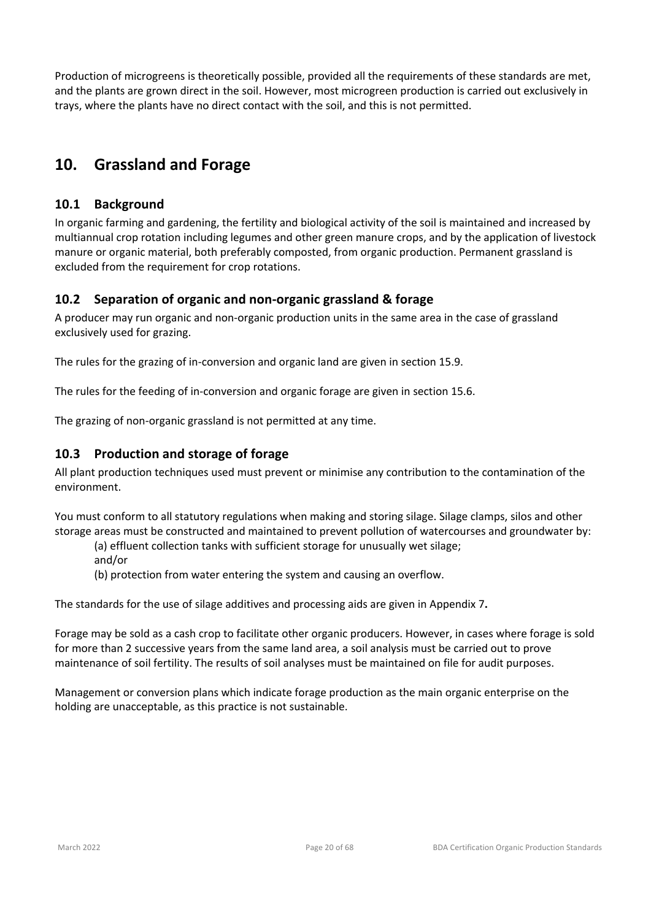Production of microgreens is theoretically possible, provided all the requirements of these standards are met, and the plants are grown direct in the soil. However, most microgreen production is carried out exclusively in trays, where the plants have no direct contact with the soil, and this is not permitted.

# **10. Grassland and Forage**

# **10.1 Background**

In organic farming and gardening, the fertility and biological activity of the soil is maintained and increased by multiannual crop rotation including legumes and other green manure crops, and by the application of livestock manure or organic material, both preferably composted, from organic production. Permanent grassland is excluded from the requirement for crop rotations.

# **10.2 Separation of organic and non-organic grassland & forage**

A producer may run organic and non-organic production units in the same area in the case of grassland exclusively used for grazing.

The rules for the grazing of in-conversion and organic land are given in section 15.9.

The rules for the feeding of in-conversion and organic forage are given in section 15.6.

The grazing of non-organic grassland is not permitted at any time.

# **10.3 Production and storage of forage**

All plant production techniques used must prevent or minimise any contribution to the contamination of the environment.

You must conform to all statutory regulations when making and storing silage. Silage clamps, silos and other storage areas must be constructed and maintained to prevent pollution of watercourses and groundwater by:

(a) effluent collection tanks with sufficient storage for unusually wet silage;

and/or

(b) protection from water entering the system and causing an overflow.

The standards for the use of silage additives and processing aids are given in Appendix 7**.**

Forage may be sold as a cash crop to facilitate other organic producers. However, in cases where forage is sold for more than 2 successive years from the same land area, a soil analysis must be carried out to prove maintenance of soil fertility. The results of soil analyses must be maintained on file for audit purposes.

Management or conversion plans which indicate forage production as the main organic enterprise on the holding are unacceptable, as this practice is not sustainable.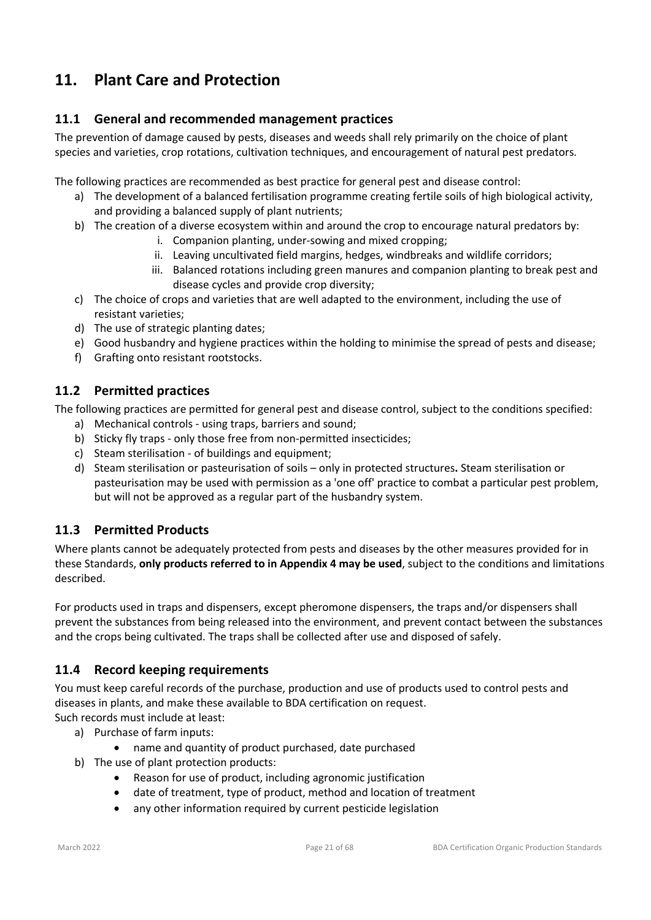# **11. Plant Care and Protection**

# **11.1 General and recommended management practices**

The prevention of damage caused by pests, diseases and weeds shall rely primarily on the choice of plant species and varieties, crop rotations, cultivation techniques, and encouragement of natural pest predators.

The following practices are recommended as best practice for general pest and disease control:

- a) The development of a balanced fertilisation programme creating fertile soils of high biological activity, and providing a balanced supply of plant nutrients;
- b) The creation of a diverse ecosystem within and around the crop to encourage natural predators by:
	- i. Companion planting, under-sowing and mixed cropping;
	- ii. Leaving uncultivated field margins, hedges, windbreaks and wildlife corridors;
	- iii. Balanced rotations including green manures and companion planting to break pest and disease cycles and provide crop diversity;
- c) The choice of crops and varieties that are well adapted to the environment, including the use of resistant varieties;
- d) The use of strategic planting dates;
- e) Good husbandry and hygiene practices within the holding to minimise the spread of pests and disease;
- f) Grafting onto resistant rootstocks.

# **11.2 Permitted practices**

The following practices are permitted for general pest and disease control, subject to the conditions specified:

- a) Mechanical controls using traps, barriers and sound;
- b) Sticky fly traps only those free from non-permitted insecticides;
- c) Steam sterilisation of buildings and equipment;
- d) Steam sterilisation or pasteurisation of soils only in protected structures**.** Steam sterilisation or pasteurisation may be used with permission as a 'one off' practice to combat a particular pest problem, but will not be approved as a regular part of the husbandry system.

# **11.3 Permitted Products**

Where plants cannot be adequately protected from pests and diseases by the other measures provided for in these Standards, **only products referred to in Appendix 4 may be used**, subject to the conditions and limitations described.

For products used in traps and dispensers, except pheromone dispensers, the traps and/or dispensers shall prevent the substances from being released into the environment, and prevent contact between the substances and the crops being cultivated. The traps shall be collected after use and disposed of safely.

# **11.4 Record keeping requirements**

You must keep careful records of the purchase, production and use of products used to control pests and diseases in plants, and make these available to BDA certification on request.

Such records must include at least:

- a) Purchase of farm inputs:
	- name and quantity of product purchased, date purchased
- b) The use of plant protection products:
	- Reason for use of product, including agronomic justification
	- date of treatment, type of product, method and location of treatment
	- any other information required by current pesticide legislation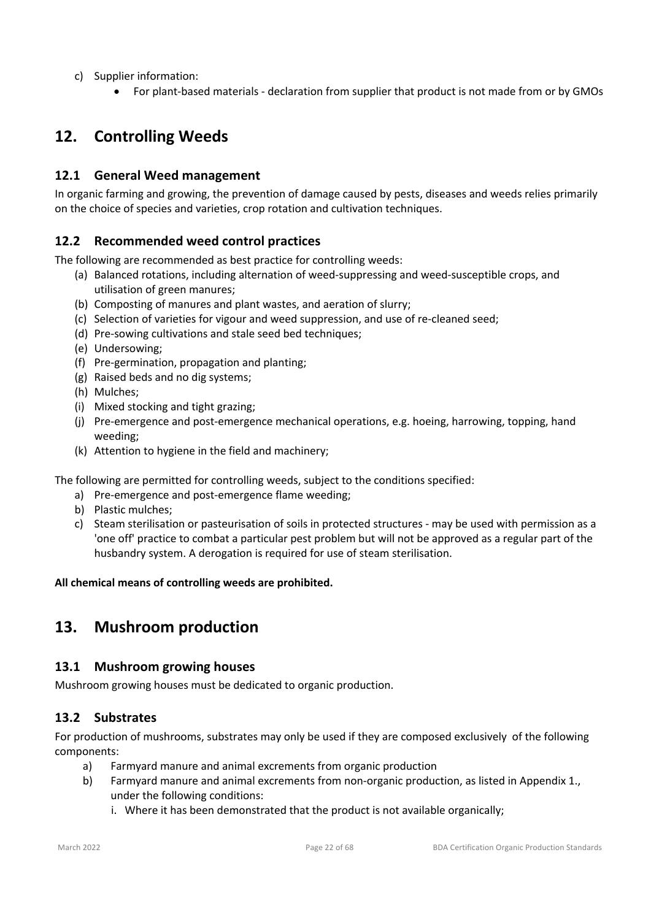- c) Supplier information:
	- For plant-based materials declaration from supplier that product is not made from or by GMOs

# **12. Controlling Weeds**

# **12.1 General Weed management**

In organic farming and growing, the prevention of damage caused by pests, diseases and weeds relies primarily on the choice of species and varieties, crop rotation and cultivation techniques.

# **12.2 Recommended weed control practices**

The following are recommended as best practice for controlling weeds:

- (a) Balanced rotations, including alternation of weed-suppressing and weed-susceptible crops, and utilisation of green manures;
- (b) Composting of manures and plant wastes, and aeration of slurry;
- (c) Selection of varieties for vigour and weed suppression, and use of re-cleaned seed;
- (d) Pre-sowing cultivations and stale seed bed techniques;
- (e) Undersowing;
- (f) Pre-germination, propagation and planting;
- (g) Raised beds and no dig systems;
- (h) Mulches;
- (i) Mixed stocking and tight grazing;
- (j) Pre-emergence and post-emergence mechanical operations, e.g. hoeing, harrowing, topping, hand weeding;
- (k) Attention to hygiene in the field and machinery;

The following are permitted for controlling weeds, subject to the conditions specified:

- a) Pre-emergence and post-emergence flame weeding;
- b) Plastic mulches;
- c) Steam sterilisation or pasteurisation of soils in protected structures may be used with permission as a 'one off' practice to combat a particular pest problem but will not be approved as a regular part of the husbandry system. A derogation is required for use of steam sterilisation.

#### **All chemical means of controlling weeds are prohibited.**

# **13. Mushroom production**

#### **13.1 Mushroom growing houses**

Mushroom growing houses must be dedicated to organic production.

# **13.2 Substrates**

For production of mushrooms, substrates may only be used if they are composed exclusively of the following components:

- a) Farmyard manure and animal excrements from organic production
- b) Farmyard manure and animal excrements from non-organic production, as listed in Appendix 1., under the following conditions:
	- i. Where it has been demonstrated that the product is not available organically;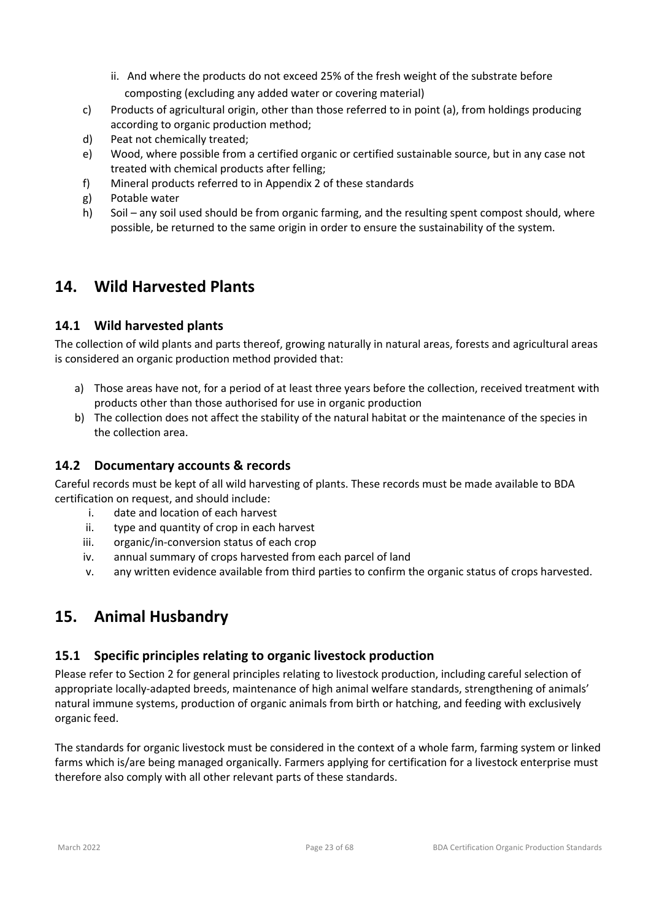- ii. And where the products do not exceed 25% of the fresh weight of the substrate before composting (excluding any added water or covering material)
- c) Products of agricultural origin, other than those referred to in point (a), from holdings producing according to organic production method;
- d) Peat not chemically treated;
- e) Wood, where possible from a certified organic or certified sustainable source, but in any case not treated with chemical products after felling;
- f) Mineral products referred to in Appendix 2 of these standards
- g) Potable water
- h) Soil any soil used should be from organic farming, and the resulting spent compost should, where possible, be returned to the same origin in order to ensure the sustainability of the system.

# **14. Wild Harvested Plants**

# **14.1 Wild harvested plants**

The collection of wild plants and parts thereof, growing naturally in natural areas, forests and agricultural areas is considered an organic production method provided that:

- a) Those areas have not, for a period of at least three years before the collection, received treatment with products other than those authorised for use in organic production
- b) The collection does not affect the stability of the natural habitat or the maintenance of the species in the collection area.

# **14.2 Documentary accounts & records**

Careful records must be kept of all wild harvesting of plants. These records must be made available to BDA certification on request, and should include:

- i. date and location of each harvest
- ii. type and quantity of crop in each harvest
- iii. organic/in-conversion status of each crop
- iv. annual summary of crops harvested from each parcel of land
- v. any written evidence available from third parties to confirm the organic status of crops harvested.

# **15. Animal Husbandry**

#### **15.1 Specific principles relating to organic livestock production**

Please refer to Section 2 for general principles relating to livestock production, including careful selection of appropriate locally-adapted breeds, maintenance of high animal welfare standards, strengthening of animals' natural immune systems, production of organic animals from birth or hatching, and feeding with exclusively organic feed.

The standards for organic livestock must be considered in the context of a whole farm, farming system or linked farms which is/are being managed organically. Farmers applying for certification for a livestock enterprise must therefore also comply with all other relevant parts of these standards.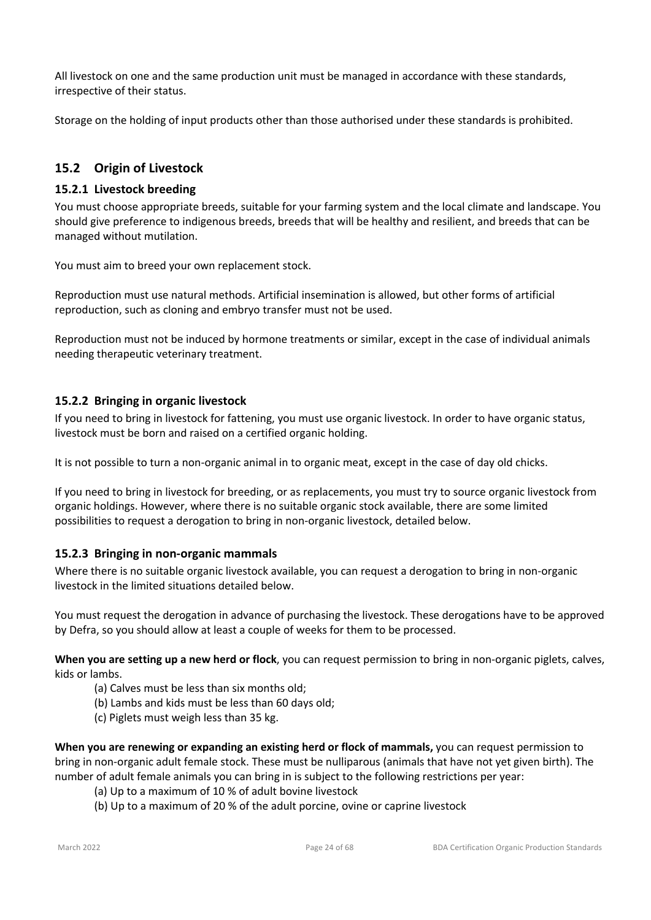All livestock on one and the same production unit must be managed in accordance with these standards, irrespective of their status.

Storage on the holding of input products other than those authorised under these standards is prohibited.

# **15.2 Origin of Livestock**

### **15.2.1 Livestock breeding**

You must choose appropriate breeds, suitable for your farming system and the local climate and landscape. You should give preference to indigenous breeds, breeds that will be healthy and resilient, and breeds that can be managed without mutilation.

You must aim to breed your own replacement stock.

Reproduction must use natural methods. Artificial insemination is allowed, but other forms of artificial reproduction, such as cloning and embryo transfer must not be used.

Reproduction must not be induced by hormone treatments or similar, except in the case of individual animals needing therapeutic veterinary treatment.

#### **15.2.2 Bringing in organic livestock**

If you need to bring in livestock for fattening, you must use organic livestock. In order to have organic status, livestock must be born and raised on a certified organic holding.

It is not possible to turn a non-organic animal in to organic meat, except in the case of day old chicks.

If you need to bring in livestock for breeding, or as replacements, you must try to source organic livestock from organic holdings. However, where there is no suitable organic stock available, there are some limited possibilities to request a derogation to bring in non-organic livestock, detailed below.

#### **15.2.3 Bringing in non-organic mammals**

Where there is no suitable organic livestock available, you can request a derogation to bring in non-organic livestock in the limited situations detailed below.

You must request the derogation in advance of purchasing the livestock. These derogations have to be approved by Defra, so you should allow at least a couple of weeks for them to be processed.

**When you are setting up a new herd or flock**, you can request permission to bring in non-organic piglets, calves, kids or lambs.

- (a) Calves must be less than six months old;
- (b) Lambs and kids must be less than 60 days old;
- (c) Piglets must weigh less than 35 kg.

**When you are renewing or expanding an existing herd or flock of mammals,** you can request permission to bring in non-organic adult female stock. These must be nulliparous (animals that have not yet given birth). The number of adult female animals you can bring in is subject to the following restrictions per year:

- (a) Up to a maximum of 10 % of adult bovine livestock
- (b) Up to a maximum of 20 % of the adult porcine, ovine or caprine livestock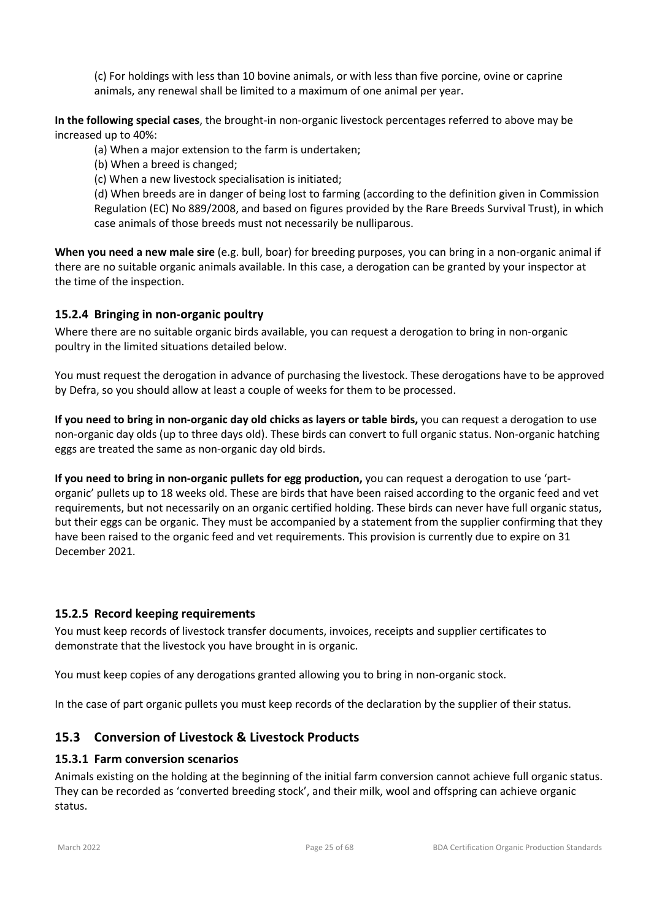(c) For holdings with less than 10 bovine animals, or with less than five porcine, ovine or caprine animals, any renewal shall be limited to a maximum of one animal per year.

**In the following special cases**, the brought-in non-organic livestock percentages referred to above may be increased up to 40%:

(a) When a major extension to the farm is undertaken;

(b) When a breed is changed;

(c) When a new livestock specialisation is initiated;

(d) When breeds are in danger of being lost to farming (according to the definition given in Commission Regulation (EC) No 889/2008, and based on figures provided by the Rare Breeds Survival Trust), in which case animals of those breeds must not necessarily be nulliparous.

**When you need a new male sire** (e.g. bull, boar) for breeding purposes, you can bring in a non-organic animal if there are no suitable organic animals available. In this case, a derogation can be granted by your inspector at the time of the inspection.

### **15.2.4 Bringing in non-organic poultry**

Where there are no suitable organic birds available, you can request a derogation to bring in non-organic poultry in the limited situations detailed below.

You must request the derogation in advance of purchasing the livestock. These derogations have to be approved by Defra, so you should allow at least a couple of weeks for them to be processed.

**If you need to bring in non-organic day old chicks as layers or table birds,** you can request a derogation to use non-organic day olds (up to three days old). These birds can convert to full organic status. Non-organic hatching eggs are treated the same as non-organic day old birds.

**If you need to bring in non-organic pullets for egg production,** you can request a derogation to use 'partorganic' pullets up to 18 weeks old. These are birds that have been raised according to the organic feed and vet requirements, but not necessarily on an organic certified holding. These birds can never have full organic status, but their eggs can be organic. They must be accompanied by a statement from the supplier confirming that they have been raised to the organic feed and vet requirements. This provision is currently due to expire on 31 December 2021.

#### **15.2.5 Record keeping requirements**

You must keep records of livestock transfer documents, invoices, receipts and supplier certificates to demonstrate that the livestock you have brought in is organic.

You must keep copies of any derogations granted allowing you to bring in non-organic stock.

In the case of part organic pullets you must keep records of the declaration by the supplier of their status.

# **15.3 Conversion of Livestock & Livestock Products**

#### **15.3.1 Farm conversion scenarios**

Animals existing on the holding at the beginning of the initial farm conversion cannot achieve full organic status. They can be recorded as 'converted breeding stock', and their milk, wool and offspring can achieve organic status.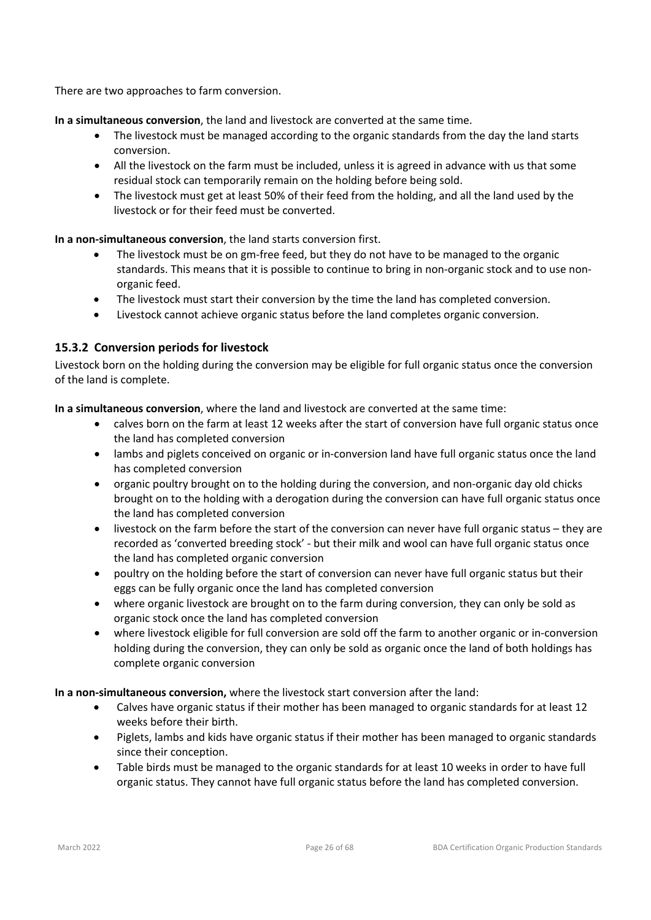There are two approaches to farm conversion.

**In a simultaneous conversion**, the land and livestock are converted at the same time.

- The livestock must be managed according to the organic standards from the day the land starts conversion.
- All the livestock on the farm must be included, unless it is agreed in advance with us that some residual stock can temporarily remain on the holding before being sold.
- The livestock must get at least 50% of their feed from the holding, and all the land used by the livestock or for their feed must be converted.

**In a non-simultaneous conversion**, the land starts conversion first.

- The livestock must be on gm-free feed, but they do not have to be managed to the organic standards. This means that it is possible to continue to bring in non-organic stock and to use nonorganic feed.
- The livestock must start their conversion by the time the land has completed conversion.
- Livestock cannot achieve organic status before the land completes organic conversion.

# **15.3.2 Conversion periods for livestock**

Livestock born on the holding during the conversion may be eligible for full organic status once the conversion of the land is complete.

**In a simultaneous conversion**, where the land and livestock are converted at the same time:

- calves born on the farm at least 12 weeks after the start of conversion have full organic status once the land has completed conversion
- lambs and piglets conceived on organic or in-conversion land have full organic status once the land has completed conversion
- organic poultry brought on to the holding during the conversion, and non-organic day old chicks brought on to the holding with a derogation during the conversion can have full organic status once the land has completed conversion
- livestock on the farm before the start of the conversion can never have full organic status they are recorded as 'converted breeding stock' - but their milk and wool can have full organic status once the land has completed organic conversion
- poultry on the holding before the start of conversion can never have full organic status but their eggs can be fully organic once the land has completed conversion
- where organic livestock are brought on to the farm during conversion, they can only be sold as organic stock once the land has completed conversion
- where livestock eligible for full conversion are sold off the farm to another organic or in-conversion holding during the conversion, they can only be sold as organic once the land of both holdings has complete organic conversion

**In a non-simultaneous conversion,** where the livestock start conversion after the land:

- Calves have organic status if their mother has been managed to organic standards for at least 12 weeks before their birth.
- Piglets, lambs and kids have organic status if their mother has been managed to organic standards since their conception.
- Table birds must be managed to the organic standards for at least 10 weeks in order to have full organic status. They cannot have full organic status before the land has completed conversion.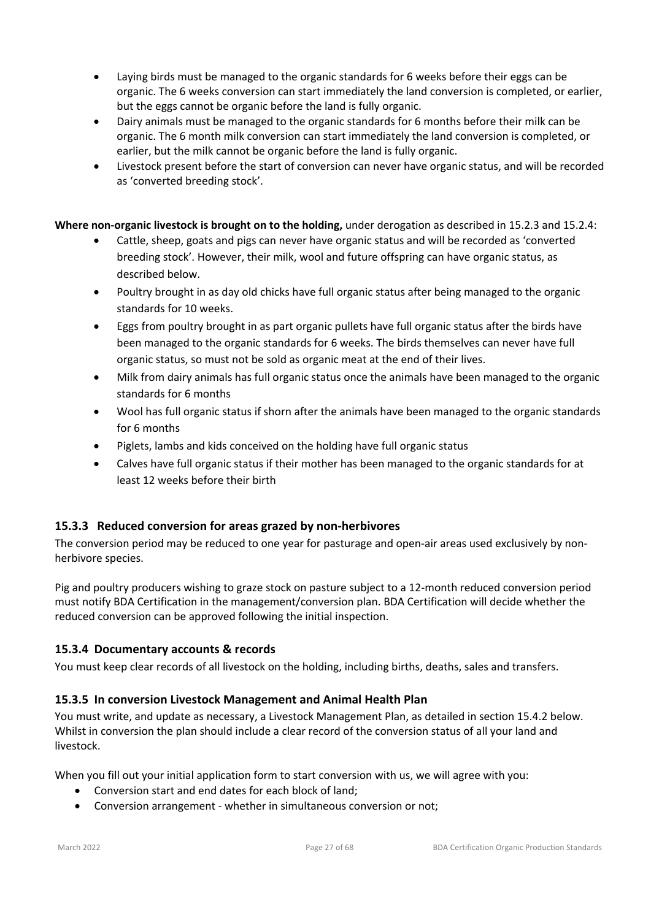- Laying birds must be managed to the organic standards for 6 weeks before their eggs can be organic. The 6 weeks conversion can start immediately the land conversion is completed, or earlier, but the eggs cannot be organic before the land is fully organic.
- Dairy animals must be managed to the organic standards for 6 months before their milk can be organic. The 6 month milk conversion can start immediately the land conversion is completed, or earlier, but the milk cannot be organic before the land is fully organic.
- Livestock present before the start of conversion can never have organic status, and will be recorded as 'converted breeding stock'.

**Where non-organic livestock is brought on to the holding,** under derogation as described in 15.2.3 and 15.2.4:

- Cattle, sheep, goats and pigs can never have organic status and will be recorded as 'converted breeding stock'. However, their milk, wool and future offspring can have organic status, as described below.
- Poultry brought in as day old chicks have full organic status after being managed to the organic standards for 10 weeks.
- Eggs from poultry brought in as part organic pullets have full organic status after the birds have been managed to the organic standards for 6 weeks. The birds themselves can never have full organic status, so must not be sold as organic meat at the end of their lives.
- Milk from dairy animals has full organic status once the animals have been managed to the organic standards for 6 months
- Wool has full organic status if shorn after the animals have been managed to the organic standards for 6 months
- Piglets, lambs and kids conceived on the holding have full organic status
- Calves have full organic status if their mother has been managed to the organic standards for at least 12 weeks before their birth

# **15.3.3 Reduced conversion for areas grazed by non-herbivores**

The conversion period may be reduced to one year for pasturage and open-air areas used exclusively by nonherbivore species.

Pig and poultry producers wishing to graze stock on pasture subject to a 12-month reduced conversion period must notify BDA Certification in the management/conversion plan. BDA Certification will decide whether the reduced conversion can be approved following the initial inspection.

# **15.3.4 Documentary accounts & records**

You must keep clear records of all livestock on the holding, including births, deaths, sales and transfers.

# **15.3.5 In conversion Livestock Management and Animal Health Plan**

You must write, and update as necessary, a Livestock Management Plan, as detailed in section 15.4.2 below. Whilst in conversion the plan should include a clear record of the conversion status of all your land and livestock.

When you fill out your initial application form to start conversion with us, we will agree with you:

- Conversion start and end dates for each block of land;
- Conversion arrangement whether in simultaneous conversion or not;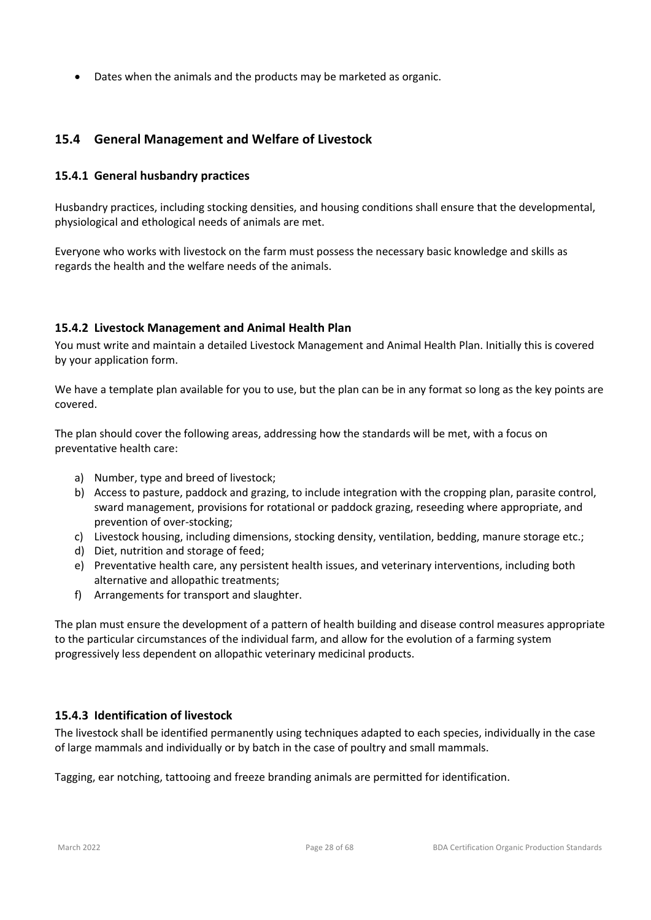• Dates when the animals and the products may be marketed as organic.

# **15.4 General Management and Welfare of Livestock**

#### **15.4.1 General husbandry practices**

Husbandry practices, including stocking densities, and housing conditions shall ensure that the developmental, physiological and ethological needs of animals are met.

Everyone who works with livestock on the farm must possess the necessary basic knowledge and skills as regards the health and the welfare needs of the animals.

#### **15.4.2 Livestock Management and Animal Health Plan**

You must write and maintain a detailed Livestock Management and Animal Health Plan. Initially this is covered by your application form.

We have a template plan available for you to use, but the plan can be in any format so long as the key points are covered.

The plan should cover the following areas, addressing how the standards will be met, with a focus on preventative health care:

- a) Number, type and breed of livestock;
- b) Access to pasture, paddock and grazing, to include integration with the cropping plan, parasite control, sward management, provisions for rotational or paddock grazing, reseeding where appropriate, and prevention of over-stocking;
- c) Livestock housing, including dimensions, stocking density, ventilation, bedding, manure storage etc.;
- d) Diet, nutrition and storage of feed;
- e) Preventative health care, any persistent health issues, and veterinary interventions, including both alternative and allopathic treatments;
- f) Arrangements for transport and slaughter.

The plan must ensure the development of a pattern of health building and disease control measures appropriate to the particular circumstances of the individual farm, and allow for the evolution of a farming system progressively less dependent on allopathic veterinary medicinal products.

#### **15.4.3 Identification of livestock**

The livestock shall be identified permanently using techniques adapted to each species, individually in the case of large mammals and individually or by batch in the case of poultry and small mammals.

Tagging, ear notching, tattooing and freeze branding animals are permitted for identification.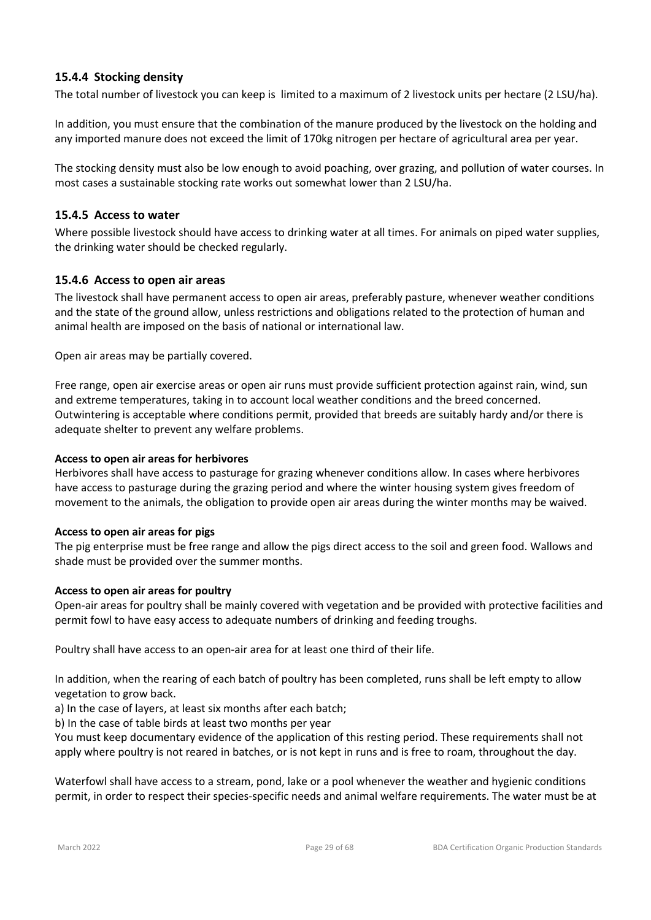### **15.4.4 Stocking density**

The total number of livestock you can keep is limited to a maximum of 2 livestock units per hectare (2 LSU/ha).

In addition, you must ensure that the combination of the manure produced by the livestock on the holding and any imported manure does not exceed the limit of 170kg nitrogen per hectare of agricultural area per year.

The stocking density must also be low enough to avoid poaching, over grazing, and pollution of water courses. In most cases a sustainable stocking rate works out somewhat lower than 2 LSU/ha.

#### **15.4.5 Access to water**

Where possible livestock should have access to drinking water at all times. For animals on piped water supplies, the drinking water should be checked regularly.

#### **15.4.6 Access to open air areas**

The livestock shall have permanent access to open air areas, preferably pasture, whenever weather conditions and the state of the ground allow, unless restrictions and obligations related to the protection of human and animal health are imposed on the basis of national or international law.

Open air areas may be partially covered.

Free range, open air exercise areas or open air runs must provide sufficient protection against rain, wind, sun and extreme temperatures, taking in to account local weather conditions and the breed concerned. Outwintering is acceptable where conditions permit, provided that breeds are suitably hardy and/or there is adequate shelter to prevent any welfare problems.

#### **Access to open air areas for herbivores**

Herbivores shall have access to pasturage for grazing whenever conditions allow. In cases where herbivores have access to pasturage during the grazing period and where the winter housing system gives freedom of movement to the animals, the obligation to provide open air areas during the winter months may be waived.

#### **Access to open air areas for pigs**

The pig enterprise must be free range and allow the pigs direct access to the soil and green food. Wallows and shade must be provided over the summer months.

#### **Access to open air areas for poultry**

Open-air areas for poultry shall be mainly covered with vegetation and be provided with protective facilities and permit fowl to have easy access to adequate numbers of drinking and feeding troughs.

Poultry shall have access to an open-air area for at least one third of their life.

In addition, when the rearing of each batch of poultry has been completed, runs shall be left empty to allow vegetation to grow back.

a) In the case of layers, at least six months after each batch;

b) In the case of table birds at least two months per year

You must keep documentary evidence of the application of this resting period. These requirements shall not apply where poultry is not reared in batches, or is not kept in runs and is free to roam, throughout the day.

Waterfowl shall have access to a stream, pond, lake or a pool whenever the weather and hygienic conditions permit, in order to respect their species-specific needs and animal welfare requirements. The water must be at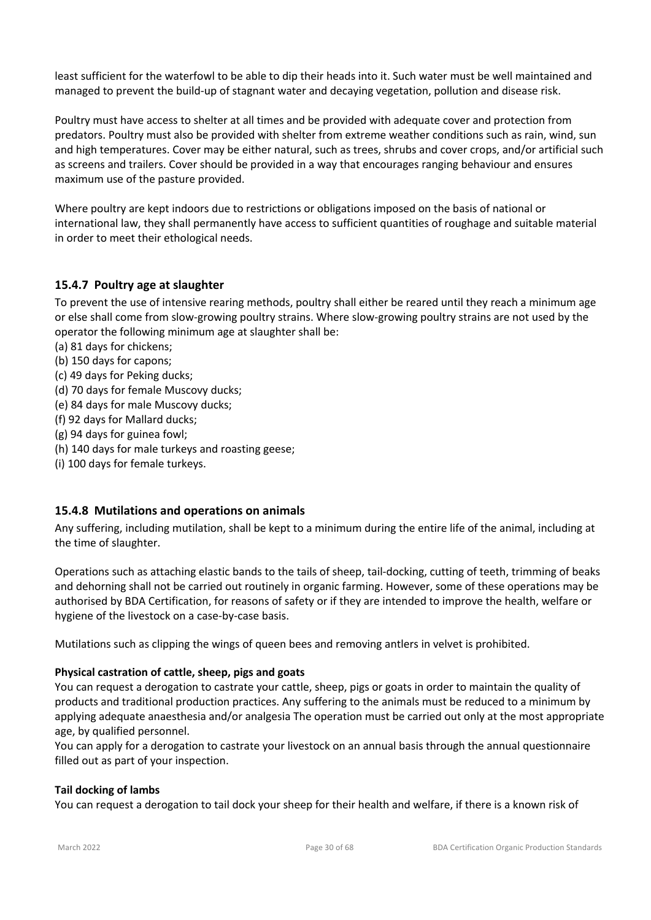least sufficient for the waterfowl to be able to dip their heads into it. Such water must be well maintained and managed to prevent the build-up of stagnant water and decaying vegetation, pollution and disease risk.

Poultry must have access to shelter at all times and be provided with adequate cover and protection from predators. Poultry must also be provided with shelter from extreme weather conditions such as rain, wind, sun and high temperatures. Cover may be either natural, such as trees, shrubs and cover crops, and/or artificial such as screens and trailers. Cover should be provided in a way that encourages ranging behaviour and ensures maximum use of the pasture provided.

Where poultry are kept indoors due to restrictions or obligations imposed on the basis of national or international law, they shall permanently have access to sufficient quantities of roughage and suitable material in order to meet their ethological needs.

### **15.4.7 Poultry age at slaughter**

To prevent the use of intensive rearing methods, poultry shall either be reared until they reach a minimum age or else shall come from slow-growing poultry strains. Where slow-growing poultry strains are not used by the operator the following minimum age at slaughter shall be:

- (a) 81 days for chickens;
- (b) 150 days for capons;
- (c) 49 days for Peking ducks;
- (d) 70 days for female Muscovy ducks;
- (e) 84 days for male Muscovy ducks;
- (f) 92 days for Mallard ducks;
- (g) 94 days for guinea fowl;
- (h) 140 days for male turkeys and roasting geese;
- (i) 100 days for female turkeys.

#### **15.4.8 Mutilations and operations on animals**

Any suffering, including mutilation, shall be kept to a minimum during the entire life of the animal, including at the time of slaughter.

Operations such as attaching elastic bands to the tails of sheep, tail-docking, cutting of teeth, trimming of beaks and dehorning shall not be carried out routinely in organic farming. However, some of these operations may be authorised by BDA Certification, for reasons of safety or if they are intended to improve the health, welfare or hygiene of the livestock on a case-by-case basis.

Mutilations such as clipping the wings of queen bees and removing antlers in velvet is prohibited.

#### **Physical castration of cattle, sheep, pigs and goats**

You can request a derogation to castrate your cattle, sheep, pigs or goats in order to maintain the quality of products and traditional production practices. Any suffering to the animals must be reduced to a minimum by applying adequate anaesthesia and/or analgesia The operation must be carried out only at the most appropriate age, by qualified personnel.

You can apply for a derogation to castrate your livestock on an annual basis through the annual questionnaire filled out as part of your inspection.

#### **Tail docking of lambs**

You can request a derogation to tail dock your sheep for their health and welfare, if there is a known risk of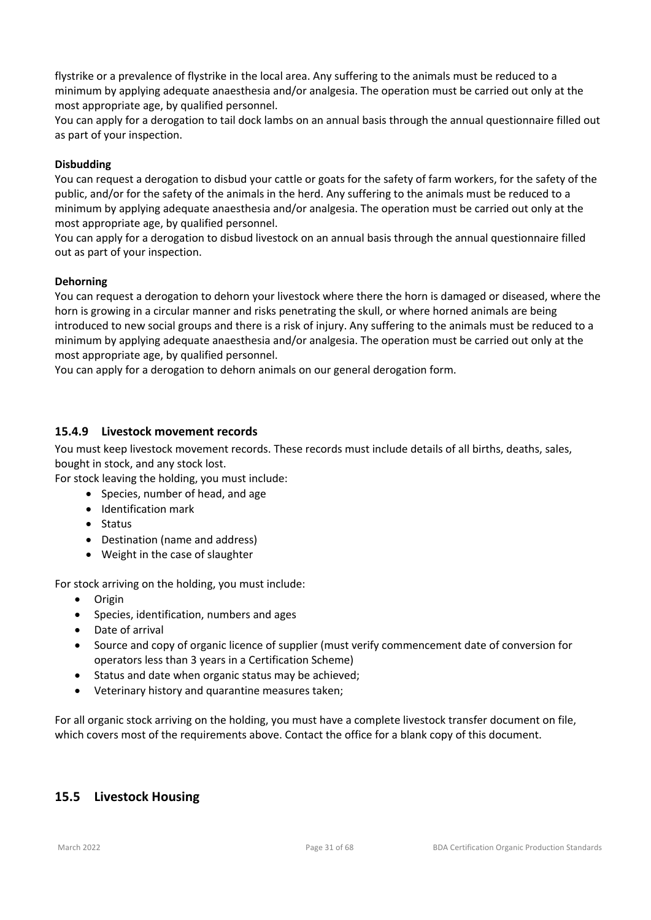flystrike or a prevalence of flystrike in the local area. Any suffering to the animals must be reduced to a minimum by applying adequate anaesthesia and/or analgesia. The operation must be carried out only at the most appropriate age, by qualified personnel.

You can apply for a derogation to tail dock lambs on an annual basis through the annual questionnaire filled out as part of your inspection.

#### **Disbudding**

You can request a derogation to disbud your cattle or goats for the safety of farm workers, for the safety of the public, and/or for the safety of the animals in the herd. Any suffering to the animals must be reduced to a minimum by applying adequate anaesthesia and/or analgesia. The operation must be carried out only at the most appropriate age, by qualified personnel.

You can apply for a derogation to disbud livestock on an annual basis through the annual questionnaire filled out as part of your inspection.

#### **Dehorning**

You can request a derogation to dehorn your livestock where there the horn is damaged or diseased, where the horn is growing in a circular manner and risks penetrating the skull, or where horned animals are being introduced to new social groups and there is a risk of injury. Any suffering to the animals must be reduced to a minimum by applying adequate anaesthesia and/or analgesia. The operation must be carried out only at the most appropriate age, by qualified personnel.

You can apply for a derogation to dehorn animals on our general derogation form.

#### **15.4.9 Livestock movement records**

You must keep livestock movement records. These records must include details of all births, deaths, sales, bought in stock, and any stock lost.

For stock leaving the holding, you must include:

- Species, number of head, and age
- Identification mark
- Status
- Destination (name and address)
- Weight in the case of slaughter

For stock arriving on the holding, you must include:

- Origin
- Species, identification, numbers and ages
- Date of arrival
- Source and copy of organic licence of supplier (must verify commencement date of conversion for operators less than 3 years in a Certification Scheme)
- Status and date when organic status may be achieved;
- Veterinary history and quarantine measures taken;

For all organic stock arriving on the holding, you must have a complete livestock transfer document on file, which covers most of the requirements above. Contact the office for a blank copy of this document.

#### **15.5 Livestock Housing**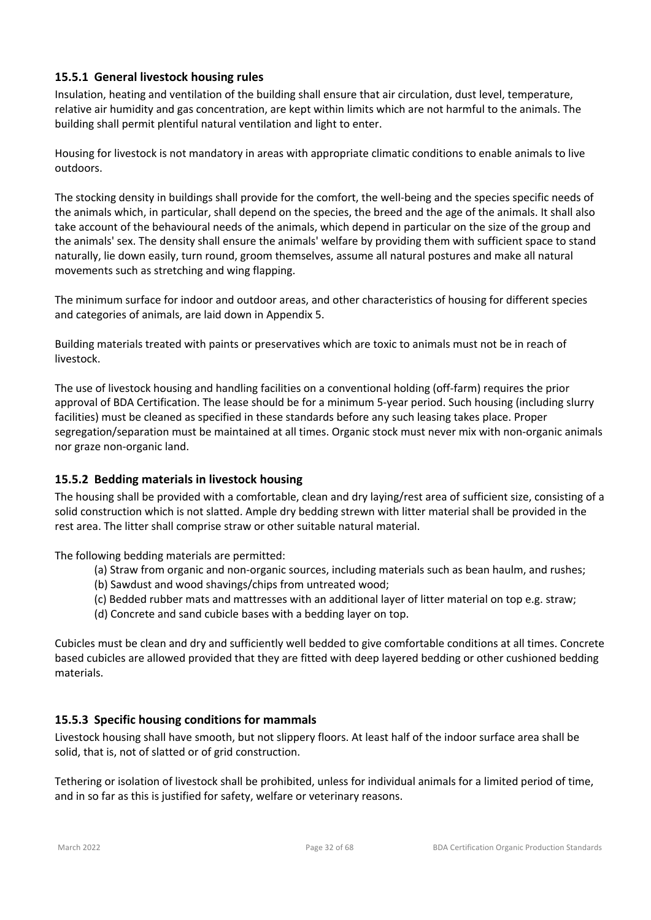### **15.5.1 General livestock housing rules**

Insulation, heating and ventilation of the building shall ensure that air circulation, dust level, temperature, relative air humidity and gas concentration, are kept within limits which are not harmful to the animals. The building shall permit plentiful natural ventilation and light to enter.

Housing for livestock is not mandatory in areas with appropriate climatic conditions to enable animals to live outdoors.

The stocking density in buildings shall provide for the comfort, the well-being and the species specific needs of the animals which, in particular, shall depend on the species, the breed and the age of the animals. It shall also take account of the behavioural needs of the animals, which depend in particular on the size of the group and the animals' sex. The density shall ensure the animals' welfare by providing them with sufficient space to stand naturally, lie down easily, turn round, groom themselves, assume all natural postures and make all natural movements such as stretching and wing flapping.

The minimum surface for indoor and outdoor areas, and other characteristics of housing for different species and categories of animals, are laid down in Appendix 5.

Building materials treated with paints or preservatives which are toxic to animals must not be in reach of livestock.

The use of livestock housing and handling facilities on a conventional holding (off-farm) requires the prior approval of BDA Certification. The lease should be for a minimum 5-year period. Such housing (including slurry facilities) must be cleaned as specified in these standards before any such leasing takes place. Proper segregation/separation must be maintained at all times. Organic stock must never mix with non-organic animals nor graze non-organic land.

#### **15.5.2 Bedding materials in livestock housing**

The housing shall be provided with a comfortable, clean and dry laying/rest area of sufficient size, consisting of a solid construction which is not slatted. Ample dry bedding strewn with litter material shall be provided in the rest area. The litter shall comprise straw or other suitable natural material.

The following bedding materials are permitted:

- (a) Straw from organic and non-organic sources, including materials such as bean haulm, and rushes;
- (b) Sawdust and wood shavings/chips from untreated wood;
- (c) Bedded rubber mats and mattresses with an additional layer of litter material on top e.g. straw;
- (d) Concrete and sand cubicle bases with a bedding layer on top.

Cubicles must be clean and dry and sufficiently well bedded to give comfortable conditions at all times. Concrete based cubicles are allowed provided that they are fitted with deep layered bedding or other cushioned bedding materials.

#### **15.5.3 Specific housing conditions for mammals**

Livestock housing shall have smooth, but not slippery floors. At least half of the indoor surface area shall be solid, that is, not of slatted or of grid construction.

Tethering or isolation of livestock shall be prohibited, unless for individual animals for a limited period of time, and in so far as this is justified for safety, welfare or veterinary reasons.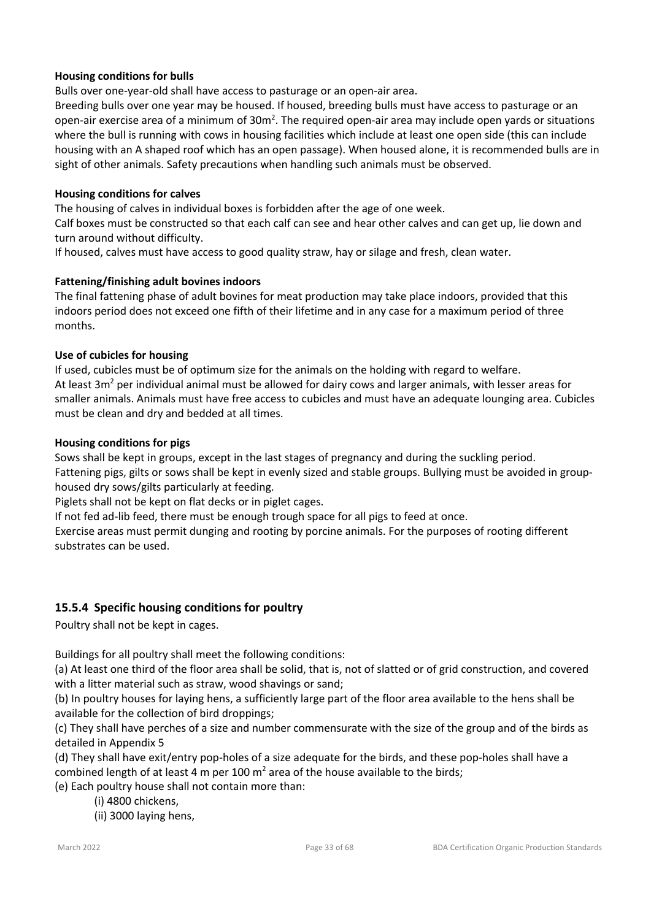#### **Housing conditions for bulls**

Bulls over one-year-old shall have access to pasturage or an open-air area.

Breeding bulls over one year may be housed. If housed, breeding bulls must have access to pasturage or an open-air exercise area of a minimum of  $30m^2$ . The required open-air area may include open yards or situations where the bull is running with cows in housing facilities which include at least one open side (this can include housing with an A shaped roof which has an open passage). When housed alone, it is recommended bulls are in sight of other animals. Safety precautions when handling such animals must be observed.

#### **Housing conditions for calves**

The housing of calves in individual boxes is forbidden after the age of one week.

Calf boxes must be constructed so that each calf can see and hear other calves and can get up, lie down and turn around without difficulty.

If housed, calves must have access to good quality straw, hay or silage and fresh, clean water.

#### **Fattening/finishing adult bovines indoors**

The final fattening phase of adult bovines for meat production may take place indoors, provided that this indoors period does not exceed one fifth of their lifetime and in any case for a maximum period of three months.

#### **Use of cubicles for housing**

If used, cubicles must be of optimum size for the animals on the holding with regard to welfare. At least  $3m^2$  per individual animal must be allowed for dairy cows and larger animals, with lesser areas for smaller animals. Animals must have free access to cubicles and must have an adequate lounging area. Cubicles must be clean and dry and bedded at all times.

#### **Housing conditions for pigs**

Sows shall be kept in groups, except in the last stages of pregnancy and during the suckling period. Fattening pigs, gilts or sows shall be kept in evenly sized and stable groups. Bullying must be avoided in grouphoused dry sows/gilts particularly at feeding.

Piglets shall not be kept on flat decks or in piglet cages.

If not fed ad-lib feed, there must be enough trough space for all pigs to feed at once.

Exercise areas must permit dunging and rooting by porcine animals. For the purposes of rooting different substrates can be used.

#### **15.5.4 Specific housing conditions for poultry**

Poultry shall not be kept in cages.

Buildings for all poultry shall meet the following conditions:

(a) At least one third of the floor area shall be solid, that is, not of slatted or of grid construction, and covered with a litter material such as straw, wood shavings or sand;

(b) In poultry houses for laying hens, a sufficiently large part of the floor area available to the hens shall be available for the collection of bird droppings;

(c) They shall have perches of a size and number commensurate with the size of the group and of the birds as detailed in Appendix 5

(d) They shall have exit/entry pop-holes of a size adequate for the birds, and these pop-holes shall have a combined length of at least 4 m per 100  $m<sup>2</sup>$  area of the house available to the birds;

(e) Each poultry house shall not contain more than:

- (i) 4800 chickens,
- (ii) 3000 laying hens,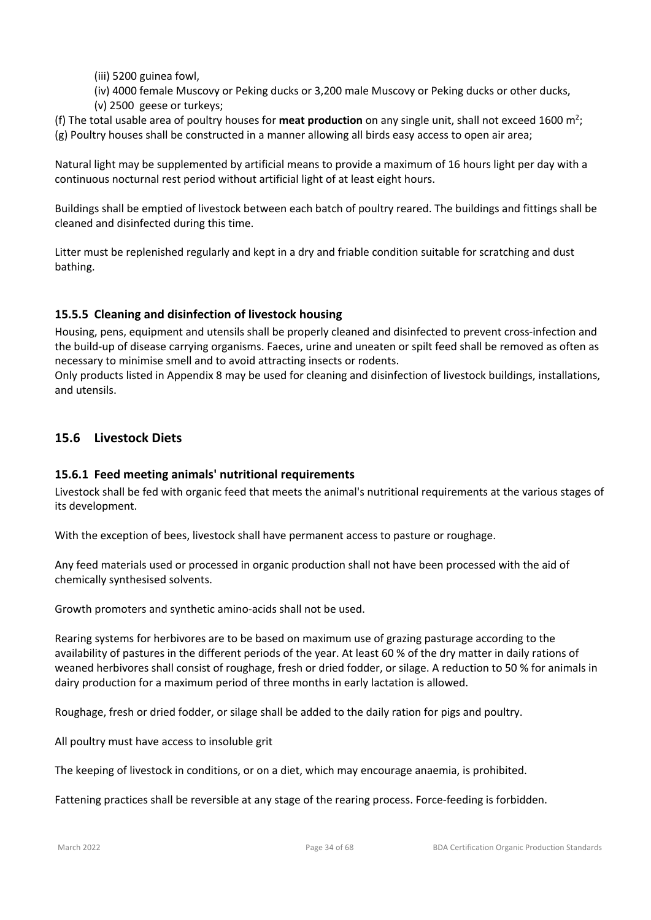(iii) 5200 guinea fowl,

(iv) 4000 female Muscovy or Peking ducks or 3,200 male Muscovy or Peking ducks or other ducks,

(v) 2500 geese or turkeys;

(f) The total usable area of poultry houses for meat production on any single unit, shall not exceed 1600 m<sup>2</sup>; (g) Poultry houses shall be constructed in a manner allowing all birds easy access to open air area;

Natural light may be supplemented by artificial means to provide a maximum of 16 hours light per day with a continuous nocturnal rest period without artificial light of at least eight hours.

Buildings shall be emptied of livestock between each batch of poultry reared. The buildings and fittings shall be cleaned and disinfected during this time.

Litter must be replenished regularly and kept in a dry and friable condition suitable for scratching and dust bathing.

# **15.5.5 Cleaning and disinfection of livestock housing**

Housing, pens, equipment and utensils shall be properly cleaned and disinfected to prevent cross-infection and the build-up of disease carrying organisms. Faeces, urine and uneaten or spilt feed shall be removed as often as necessary to minimise smell and to avoid attracting insects or rodents.

Only products listed in Appendix 8 may be used for cleaning and disinfection of livestock buildings, installations, and utensils.

# **15.6 Livestock Diets**

# **15.6.1 Feed meeting animals' nutritional requirements**

Livestock shall be fed with organic feed that meets the animal's nutritional requirements at the various stages of its development.

With the exception of bees, livestock shall have permanent access to pasture or roughage.

Any feed materials used or processed in organic production shall not have been processed with the aid of chemically synthesised solvents.

Growth promoters and synthetic amino-acids shall not be used.

Rearing systems for herbivores are to be based on maximum use of grazing pasturage according to the availability of pastures in the different periods of the year. At least 60 % of the dry matter in daily rations of weaned herbivores shall consist of roughage, fresh or dried fodder, or silage. A reduction to 50 % for animals in dairy production for a maximum period of three months in early lactation is allowed.

Roughage, fresh or dried fodder, or silage shall be added to the daily ration for pigs and poultry.

All poultry must have access to insoluble grit

The keeping of livestock in conditions, or on a diet, which may encourage anaemia, is prohibited.

Fattening practices shall be reversible at any stage of the rearing process. Force-feeding is forbidden.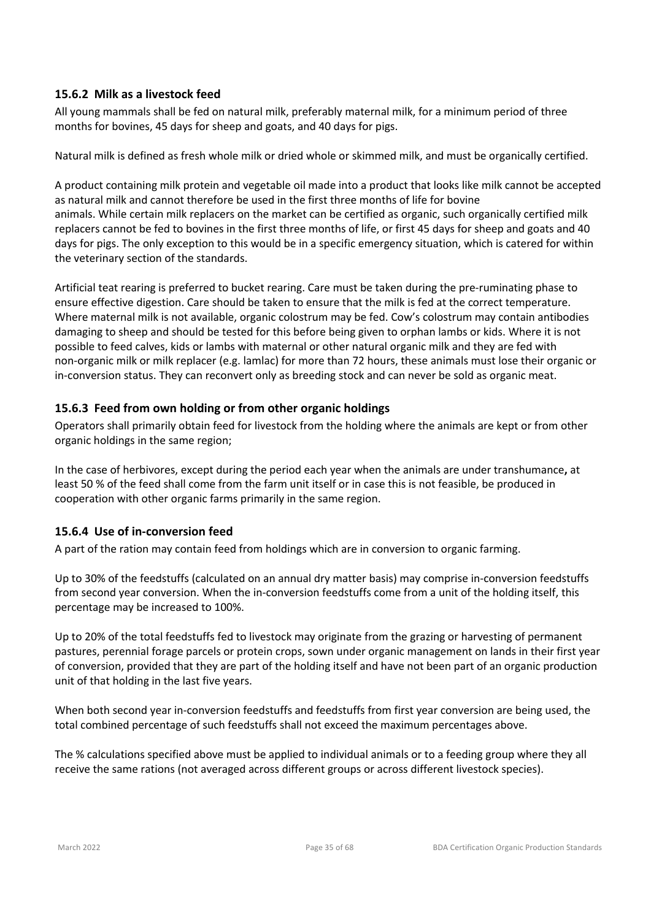### **15.6.2 Milk as a livestock feed**

All young mammals shall be fed on natural milk, preferably maternal milk, for a minimum period of three months for bovines, 45 days for sheep and goats, and 40 days for pigs.

Natural milk is defined as fresh whole milk or dried whole or skimmed milk, and must be organically certified.

A product containing milk protein and vegetable oil made into a product that looks like milk cannot be accepted as natural milk and cannot therefore be used in the first three months of life for bovine animals. While certain milk replacers on the market can be certified as organic, such organically certified milk replacers cannot be fed to bovines in the first three months of life, or first 45 days for sheep and goats and 40 days for pigs. The only exception to this would be in a specific emergency situation, which is catered for within the veterinary section of the standards.

Artificial teat rearing is preferred to bucket rearing. Care must be taken during the pre-ruminating phase to ensure effective digestion. Care should be taken to ensure that the milk is fed at the correct temperature. Where maternal milk is not available, organic colostrum may be fed. Cow's colostrum may contain antibodies damaging to sheep and should be tested for this before being given to orphan lambs or kids. Where it is not possible to feed calves, kids or lambs with maternal or other natural organic milk and they are fed with non-organic milk or milk replacer (e.g. lamlac) for more than 72 hours, these animals must lose their organic or in-conversion status. They can reconvert only as breeding stock and can never be sold as organic meat.

# **15.6.3 Feed from own holding or from other organic holdings**

Operators shall primarily obtain feed for livestock from the holding where the animals are kept or from other organic holdings in the same region;

In the case of herbivores, except during the period each year when the animals are under transhumance**,** at least 50 % of the feed shall come from the farm unit itself or in case this is not feasible, be produced in cooperation with other organic farms primarily in the same region.

# **15.6.4 Use of in-conversion feed**

A part of the ration may contain feed from holdings which are in conversion to organic farming.

Up to 30% of the feedstuffs (calculated on an annual dry matter basis) may comprise in-conversion feedstuffs from second year conversion. When the in-conversion feedstuffs come from a unit of the holding itself, this percentage may be increased to 100%.

Up to 20% of the total feedstuffs fed to livestock may originate from the grazing or harvesting of permanent pastures, perennial forage parcels or protein crops, sown under organic management on lands in their first year of conversion, provided that they are part of the holding itself and have not been part of an organic production unit of that holding in the last five years.

When both second year in-conversion feedstuffs and feedstuffs from first year conversion are being used, the total combined percentage of such feedstuffs shall not exceed the maximum percentages above.

The % calculations specified above must be applied to individual animals or to a feeding group where they all receive the same rations (not averaged across different groups or across different livestock species).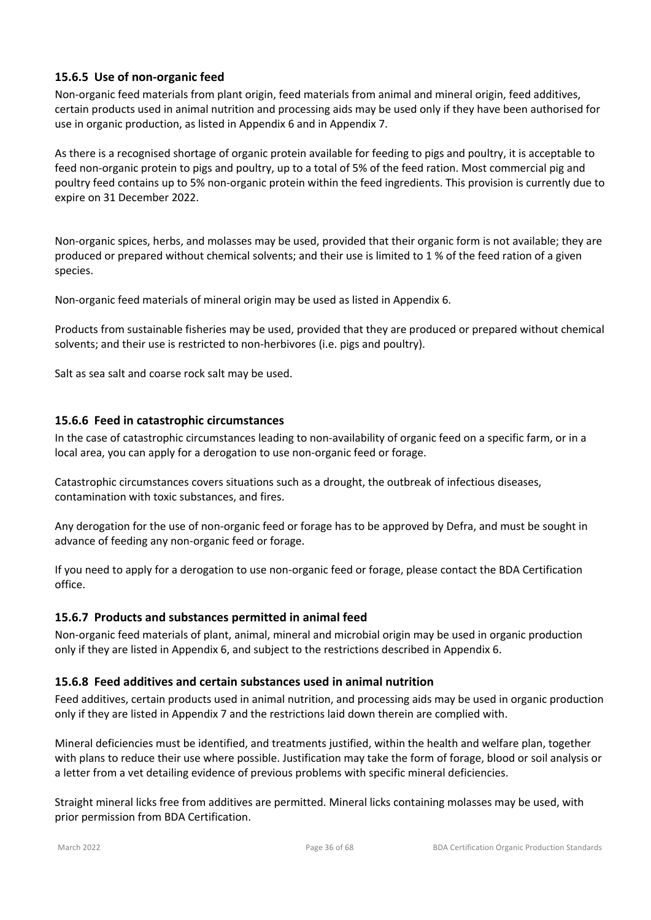### **15.6.5 Use of non-organic feed**

Non-organic feed materials from plant origin, feed materials from animal and mineral origin, feed additives, certain products used in animal nutrition and processing aids may be used only if they have been authorised for use in organic production, as listed in Appendix 6 and in Appendix 7.

As there is a recognised shortage of organic protein available for feeding to pigs and poultry, it is acceptable to feed non-organic protein to pigs and poultry, up to a total of 5% of the feed ration. Most commercial pig and poultry feed contains up to 5% non-organic protein within the feed ingredients. This provision is currently due to expire on 31 December 2022.

Non-organic spices, herbs, and molasses may be used, provided that their organic form is not available; they are produced or prepared without chemical solvents; and their use is limited to 1 % of the feed ration of a given species.

Non-organic feed materials of mineral origin may be used as listed in Appendix 6.

Products from sustainable fisheries may be used, provided that they are produced or prepared without chemical solvents; and their use is restricted to non-herbivores (i.e. pigs and poultry).

Salt as sea salt and coarse rock salt may be used.

#### **15.6.6 Feed in catastrophic circumstances**

In the case of catastrophic circumstances leading to non-availability of organic feed on a specific farm, or in a local area, you can apply for a derogation to use non-organic feed or forage.

Catastrophic circumstances covers situations such as a drought, the outbreak of infectious diseases, contamination with toxic substances, and fires.

Any derogation for the use of non-organic feed or forage has to be approved by Defra, and must be sought in advance of feeding any non-organic feed or forage.

If you need to apply for a derogation to use non-organic feed or forage, please contact the BDA Certification office.

#### **15.6.7 Products and substances permitted in animal feed**

Non-organic feed materials of plant, animal, mineral and microbial origin may be used in organic production only if they are listed in Appendix 6, and subject to the restrictions described in Appendix 6.

#### **15.6.8 Feed additives and certain substances used in animal nutrition**

Feed additives, certain products used in animal nutrition, and processing aids may be used in organic production only if they are listed in Appendix 7 and the restrictions laid down therein are complied with.

Mineral deficiencies must be identified, and treatments justified, within the health and welfare plan, together with plans to reduce their use where possible. Justification may take the form of forage, blood or soil analysis or a letter from a vet detailing evidence of previous problems with specific mineral deficiencies.

Straight mineral licks free from additives are permitted. Mineral licks containing molasses may be used, with prior permission from BDA Certification.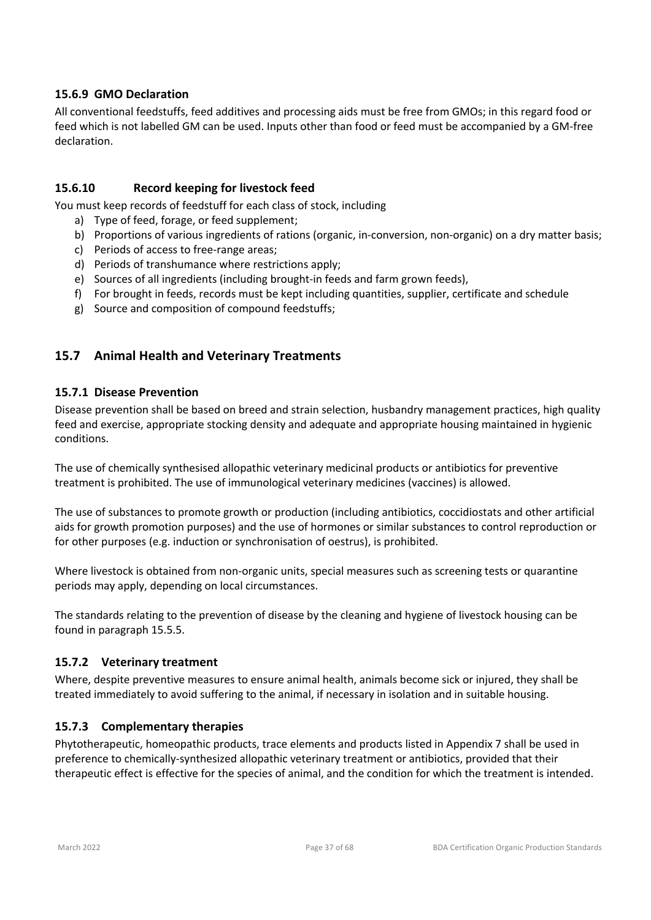### **15.6.9 GMO Declaration**

All conventional feedstuffs, feed additives and processing aids must be free from GMOs; in this regard food or feed which is not labelled GM can be used. Inputs other than food or feed must be accompanied by a GM-free declaration.

#### **15.6.10 Record keeping for livestock feed**

You must keep records of feedstuff for each class of stock, including

- a) Type of feed, forage, or feed supplement;
- b) Proportions of various ingredients of rations (organic, in-conversion, non-organic) on a dry matter basis;
- c) Periods of access to free-range areas;
- d) Periods of transhumance where restrictions apply;
- e) Sources of all ingredients (including brought-in feeds and farm grown feeds),
- f) For brought in feeds, records must be kept including quantities, supplier, certificate and schedule
- g) Source and composition of compound feedstuffs;

# **15.7 Animal Health and Veterinary Treatments**

### **15.7.1 Disease Prevention**

Disease prevention shall be based on breed and strain selection, husbandry management practices, high quality feed and exercise, appropriate stocking density and adequate and appropriate housing maintained in hygienic conditions.

The use of chemically synthesised allopathic veterinary medicinal products or antibiotics for preventive treatment is prohibited. The use of immunological veterinary medicines (vaccines) is allowed.

The use of substances to promote growth or production (including antibiotics, coccidiostats and other artificial aids for growth promotion purposes) and the use of hormones or similar substances to control reproduction or for other purposes (e.g. induction or synchronisation of oestrus), is prohibited.

Where livestock is obtained from non-organic units, special measures such as screening tests or quarantine periods may apply, depending on local circumstances.

The standards relating to the prevention of disease by the cleaning and hygiene of livestock housing can be found in paragraph 15.5.5.

#### **15.7.2 Veterinary treatment**

Where, despite preventive measures to ensure animal health, animals become sick or injured, they shall be treated immediately to avoid suffering to the animal, if necessary in isolation and in suitable housing.

#### **15.7.3 Complementary therapies**

Phytotherapeutic, homeopathic products, trace elements and products listed in Appendix 7 shall be used in preference to chemically-synthesized allopathic veterinary treatment or antibiotics, provided that their therapeutic effect is effective for the species of animal, and the condition for which the treatment is intended.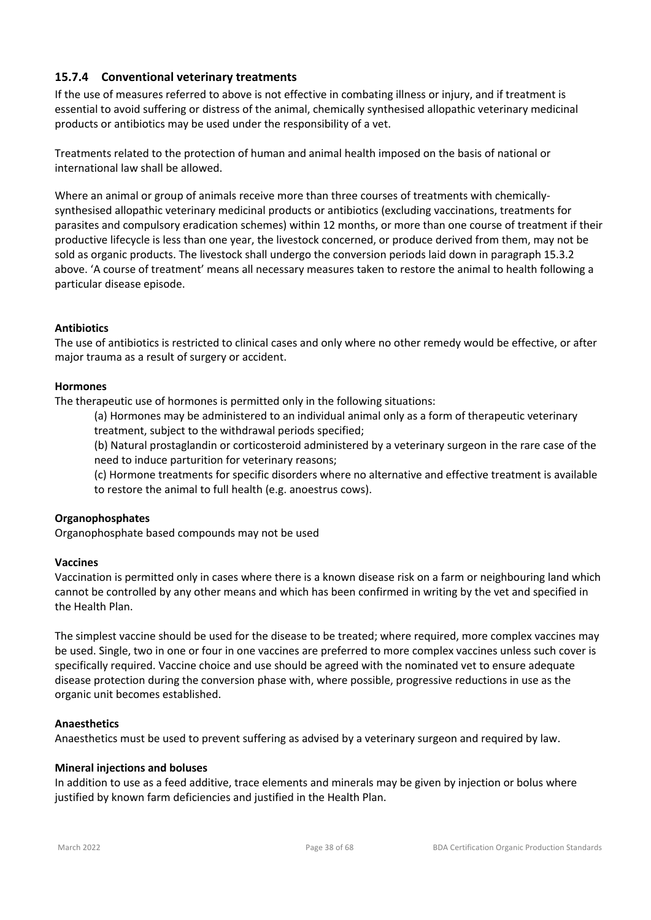### **15.7.4 Conventional veterinary treatments**

If the use of measures referred to above is not effective in combating illness or injury, and if treatment is essential to avoid suffering or distress of the animal, chemically synthesised allopathic veterinary medicinal products or antibiotics may be used under the responsibility of a vet.

Treatments related to the protection of human and animal health imposed on the basis of national or international law shall be allowed.

Where an animal or group of animals receive more than three courses of treatments with chemicallysynthesised allopathic veterinary medicinal products or antibiotics (excluding vaccinations, treatments for parasites and compulsory eradication schemes) within 12 months, or more than one course of treatment if their productive lifecycle is less than one year, the livestock concerned, or produce derived from them, may not be sold as organic products. The livestock shall undergo the conversion periods laid down in paragraph 15.3.2 above. 'A course of treatment' means all necessary measures taken to restore the animal to health following a particular disease episode.

#### **Antibiotics**

The use of antibiotics is restricted to clinical cases and only where no other remedy would be effective, or after major trauma as a result of surgery or accident.

#### **Hormones**

The therapeutic use of hormones is permitted only in the following situations:

(a) Hormones may be administered to an individual animal only as a form of therapeutic veterinary treatment, subject to the withdrawal periods specified;

(b) Natural prostaglandin or corticosteroid administered by a veterinary surgeon in the rare case of the need to induce parturition for veterinary reasons;

(c) Hormone treatments for specific disorders where no alternative and effective treatment is available to restore the animal to full health (e.g. anoestrus cows).

#### **Organophosphates**

Organophosphate based compounds may not be used

#### **Vaccines**

Vaccination is permitted only in cases where there is a known disease risk on a farm or neighbouring land which cannot be controlled by any other means and which has been confirmed in writing by the vet and specified in the Health Plan.

The simplest vaccine should be used for the disease to be treated; where required, more complex vaccines may be used. Single, two in one or four in one vaccines are preferred to more complex vaccines unless such cover is specifically required. Vaccine choice and use should be agreed with the nominated vet to ensure adequate disease protection during the conversion phase with, where possible, progressive reductions in use as the organic unit becomes established.

#### **Anaesthetics**

Anaesthetics must be used to prevent suffering as advised by a veterinary surgeon and required by law.

#### **Mineral injections and boluses**

In addition to use as a feed additive, trace elements and minerals may be given by injection or bolus where justified by known farm deficiencies and justified in the Health Plan.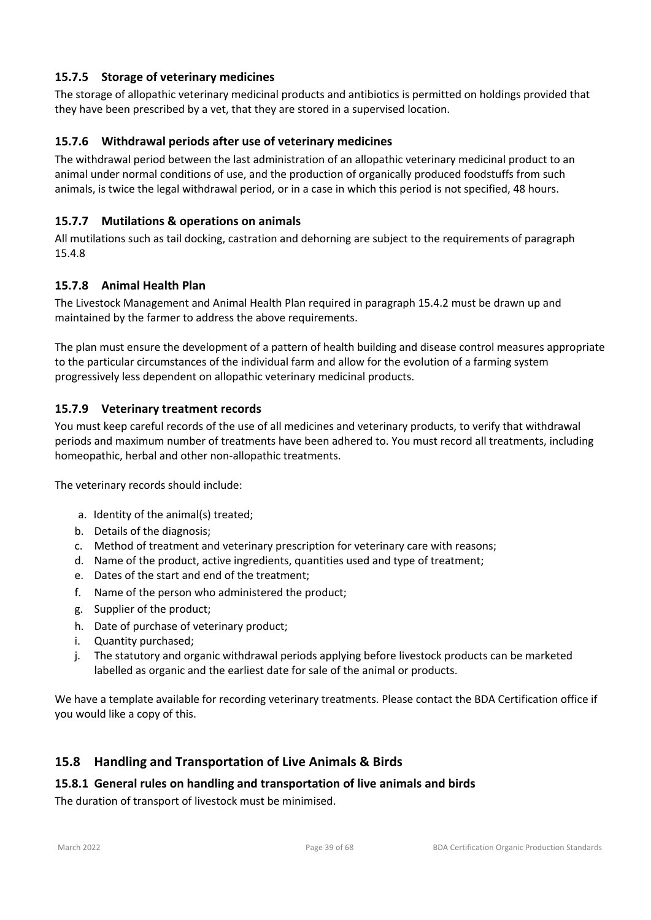# **15.7.5 Storage of veterinary medicines**

The storage of allopathic veterinary medicinal products and antibiotics is permitted on holdings provided that they have been prescribed by a vet, that they are stored in a supervised location.

#### **15.7.6 Withdrawal periods after use of veterinary medicines**

The withdrawal period between the last administration of an allopathic veterinary medicinal product to an animal under normal conditions of use, and the production of organically produced foodstuffs from such animals, is twice the legal withdrawal period, or in a case in which this period is not specified, 48 hours.

### **15.7.7 Mutilations & operations on animals**

All mutilations such as tail docking, castration and dehorning are subject to the requirements of paragraph 15.4.8

### **15.7.8 Animal Health Plan**

The Livestock Management and Animal Health Plan required in paragraph 15.4.2 must be drawn up and maintained by the farmer to address the above requirements.

The plan must ensure the development of a pattern of health building and disease control measures appropriate to the particular circumstances of the individual farm and allow for the evolution of a farming system progressively less dependent on allopathic veterinary medicinal products.

#### **15.7.9 Veterinary treatment records**

You must keep careful records of the use of all medicines and veterinary products, to verify that withdrawal periods and maximum number of treatments have been adhered to. You must record all treatments, including homeopathic, herbal and other non-allopathic treatments.

The veterinary records should include:

- a. Identity of the animal(s) treated;
- b. Details of the diagnosis;
- c. Method of treatment and veterinary prescription for veterinary care with reasons;
- d. Name of the product, active ingredients, quantities used and type of treatment;
- e. Dates of the start and end of the treatment;
- f. Name of the person who administered the product;
- g. Supplier of the product;
- h. Date of purchase of veterinary product;
- i. Quantity purchased;
- j. The statutory and organic withdrawal periods applying before livestock products can be marketed labelled as organic and the earliest date for sale of the animal or products.

We have a template available for recording veterinary treatments. Please contact the BDA Certification office if you would like a copy of this.

# **15.8 Handling and Transportation of Live Animals & Birds**

#### **15.8.1 General rules on handling and transportation of live animals and birds**

The duration of transport of livestock must be minimised.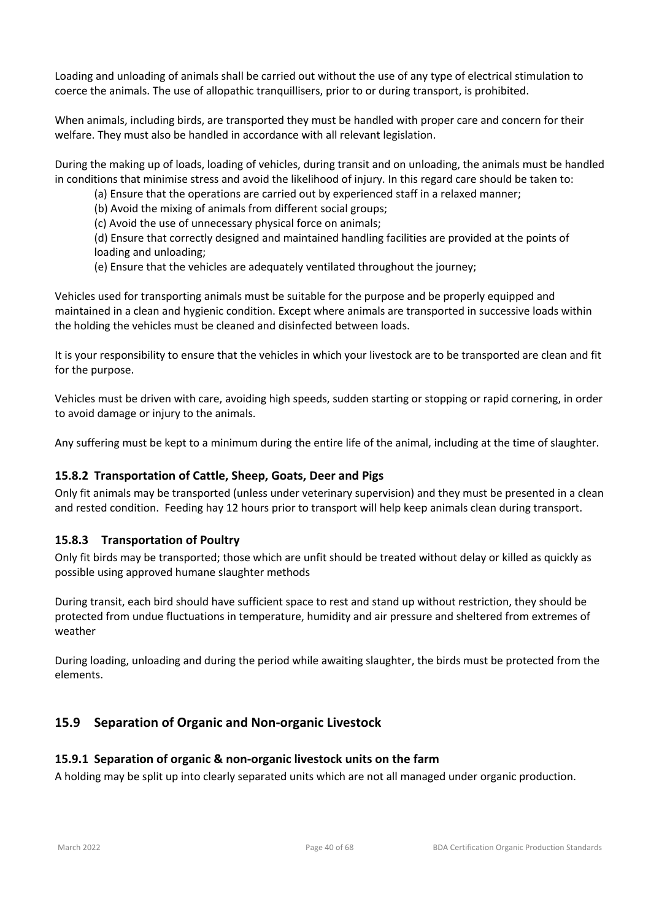Loading and unloading of animals shall be carried out without the use of any type of electrical stimulation to coerce the animals. The use of allopathic tranquillisers, prior to or during transport, is prohibited.

When animals, including birds, are transported they must be handled with proper care and concern for their welfare. They must also be handled in accordance with all relevant legislation.

During the making up of loads, loading of vehicles, during transit and on unloading, the animals must be handled in conditions that minimise stress and avoid the likelihood of injury. In this regard care should be taken to:

(a) Ensure that the operations are carried out by experienced staff in a relaxed manner;

(b) Avoid the mixing of animals from different social groups;

(c) Avoid the use of unnecessary physical force on animals;

(d) Ensure that correctly designed and maintained handling facilities are provided at the points of loading and unloading;

(e) Ensure that the vehicles are adequately ventilated throughout the journey;

Vehicles used for transporting animals must be suitable for the purpose and be properly equipped and maintained in a clean and hygienic condition. Except where animals are transported in successive loads within the holding the vehicles must be cleaned and disinfected between loads.

It is your responsibility to ensure that the vehicles in which your livestock are to be transported are clean and fit for the purpose.

Vehicles must be driven with care, avoiding high speeds, sudden starting or stopping or rapid cornering, in order to avoid damage or injury to the animals.

Any suffering must be kept to a minimum during the entire life of the animal, including at the time of slaughter.

# **15.8.2 Transportation of Cattle, Sheep, Goats, Deer and Pigs**

Only fit animals may be transported (unless under veterinary supervision) and they must be presented in a clean and rested condition. Feeding hay 12 hours prior to transport will help keep animals clean during transport.

#### **15.8.3 Transportation of Poultry**

Only fit birds may be transported; those which are unfit should be treated without delay or killed as quickly as possible using approved humane slaughter methods

During transit, each bird should have sufficient space to rest and stand up without restriction, they should be protected from undue fluctuations in temperature, humidity and air pressure and sheltered from extremes of weather

During loading, unloading and during the period while awaiting slaughter, the birds must be protected from the elements.

# **15.9 Separation of Organic and Non-organic Livestock**

#### **15.9.1 Separation of organic & non-organic livestock units on the farm**

A holding may be split up into clearly separated units which are not all managed under organic production.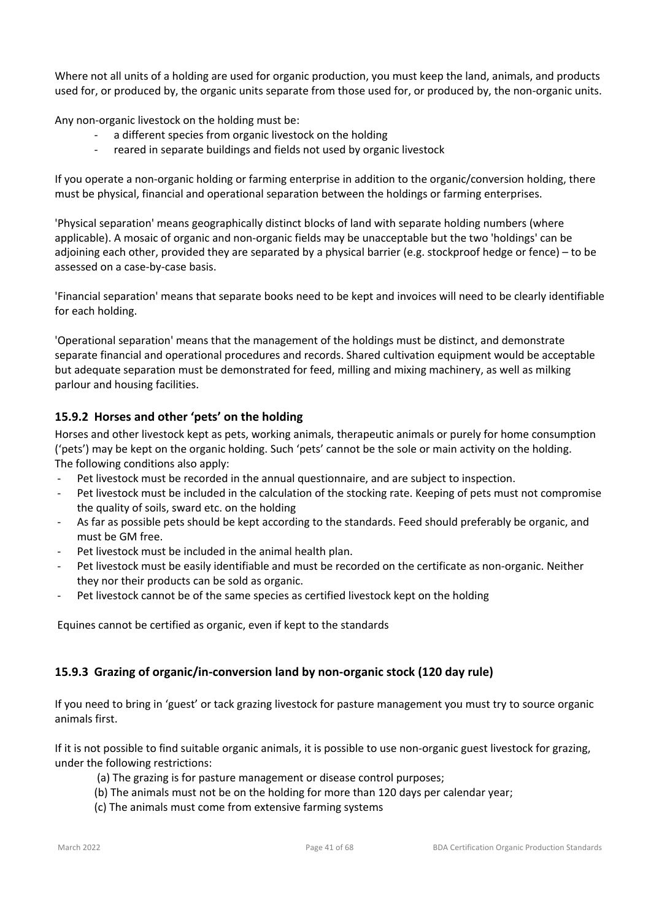Where not all units of a holding are used for organic production, you must keep the land, animals, and products used for, or produced by, the organic units separate from those used for, or produced by, the non-organic units.

Any non-organic livestock on the holding must be:

- a different species from organic livestock on the holding
- reared in separate buildings and fields not used by organic livestock

If you operate a non-organic holding or farming enterprise in addition to the organic/conversion holding, there must be physical, financial and operational separation between the holdings or farming enterprises.

'Physical separation' means geographically distinct blocks of land with separate holding numbers (where applicable). A mosaic of organic and non-organic fields may be unacceptable but the two 'holdings' can be adjoining each other, provided they are separated by a physical barrier (e.g. stockproof hedge or fence) – to be assessed on a case-by-case basis.

'Financial separation' means that separate books need to be kept and invoices will need to be clearly identifiable for each holding.

'Operational separation' means that the management of the holdings must be distinct, and demonstrate separate financial and operational procedures and records. Shared cultivation equipment would be acceptable but adequate separation must be demonstrated for feed, milling and mixing machinery, as well as milking parlour and housing facilities.

#### **15.9.2 Horses and other 'pets' on the holding**

Horses and other livestock kept as pets, working animals, therapeutic animals or purely for home consumption ('pets') may be kept on the organic holding. Such 'pets' cannot be the sole or main activity on the holding. The following conditions also apply:

- Pet livestock must be recorded in the annual questionnaire, and are subject to inspection.
- Pet livestock must be included in the calculation of the stocking rate. Keeping of pets must not compromise the quality of soils, sward etc. on the holding
- As far as possible pets should be kept according to the standards. Feed should preferably be organic, and must be GM free.
- Pet livestock must be included in the animal health plan.
- Pet livestock must be easily identifiable and must be recorded on the certificate as non-organic. Neither they nor their products can be sold as organic.
- Pet livestock cannot be of the same species as certified livestock kept on the holding

Equines cannot be certified as organic, even if kept to the standards

#### **15.9.3 Grazing of organic/in-conversion land by non-organic stock (120 day rule)**

If you need to bring in 'guest' or tack grazing livestock for pasture management you must try to source organic animals first.

If it is not possible to find suitable organic animals, it is possible to use non-organic guest livestock for grazing, under the following restrictions:

- (a) The grazing is for pasture management or disease control purposes;
- (b) The animals must not be on the holding for more than 120 days per calendar year;
- (c) The animals must come from extensive farming systems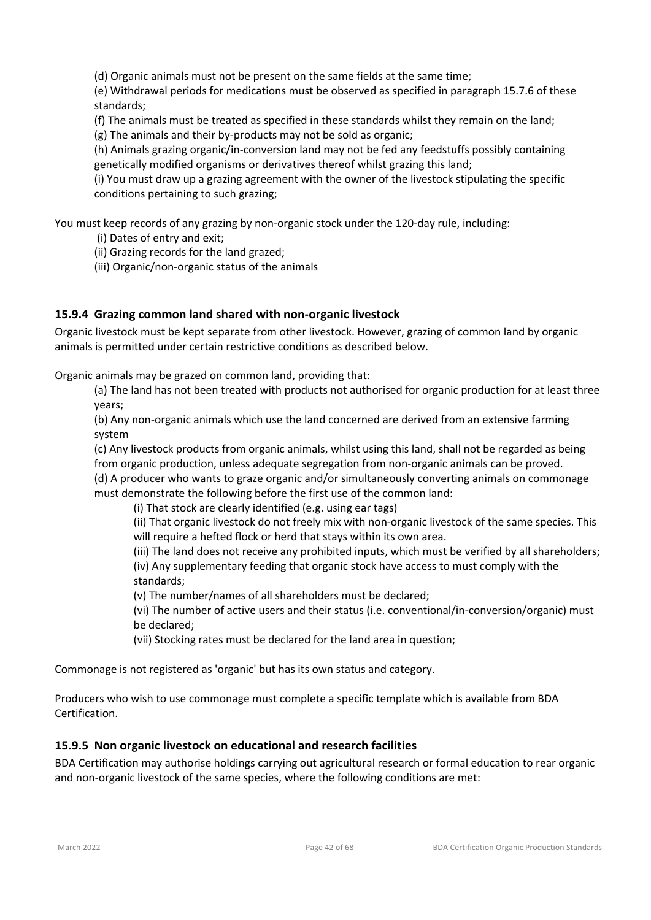(d) Organic animals must not be present on the same fields at the same time;

(e) Withdrawal periods for medications must be observed as specified in paragraph 15.7.6 of these standards;

(f) The animals must be treated as specified in these standards whilst they remain on the land; (g) The animals and their by-products may not be sold as organic;

(h) Animals grazing organic/in-conversion land may not be fed any feedstuffs possibly containing genetically modified organisms or derivatives thereof whilst grazing this land;

(i) You must draw up a grazing agreement with the owner of the livestock stipulating the specific conditions pertaining to such grazing;

You must keep records of any grazing by non-organic stock under the 120-day rule, including:

- (i) Dates of entry and exit;
- (ii) Grazing records for the land grazed;
- (iii) Organic/non-organic status of the animals

#### **15.9.4 Grazing common land shared with non-organic livestock**

Organic livestock must be kept separate from other livestock. However, grazing of common land by organic animals is permitted under certain restrictive conditions as described below.

Organic animals may be grazed on common land, providing that:

(a) The land has not been treated with products not authorised for organic production for at least three years;

(b) Any non-organic animals which use the land concerned are derived from an extensive farming system

(c) Any livestock products from organic animals, whilst using this land, shall not be regarded as being from organic production, unless adequate segregation from non-organic animals can be proved. (d) A producer who wants to graze organic and/or simultaneously converting animals on commonage

must demonstrate the following before the first use of the common land:

(i) That stock are clearly identified (e.g. using ear tags)

(ii) That organic livestock do not freely mix with non-organic livestock of the same species. This will require a hefted flock or herd that stays within its own area.

(iii) The land does not receive any prohibited inputs, which must be verified by all shareholders; (iv) Any supplementary feeding that organic stock have access to must comply with the standards;

(v) The number/names of all shareholders must be declared;

(vi) The number of active users and their status (i.e. conventional/in-conversion/organic) must be declared;

(vii) Stocking rates must be declared for the land area in question;

Commonage is not registered as 'organic' but has its own status and category.

Producers who wish to use commonage must complete a specific template which is available from BDA Certification.

#### **15.9.5 Non organic livestock on educational and research facilities**

BDA Certification may authorise holdings carrying out agricultural research or formal education to rear organic and non-organic livestock of the same species, where the following conditions are met: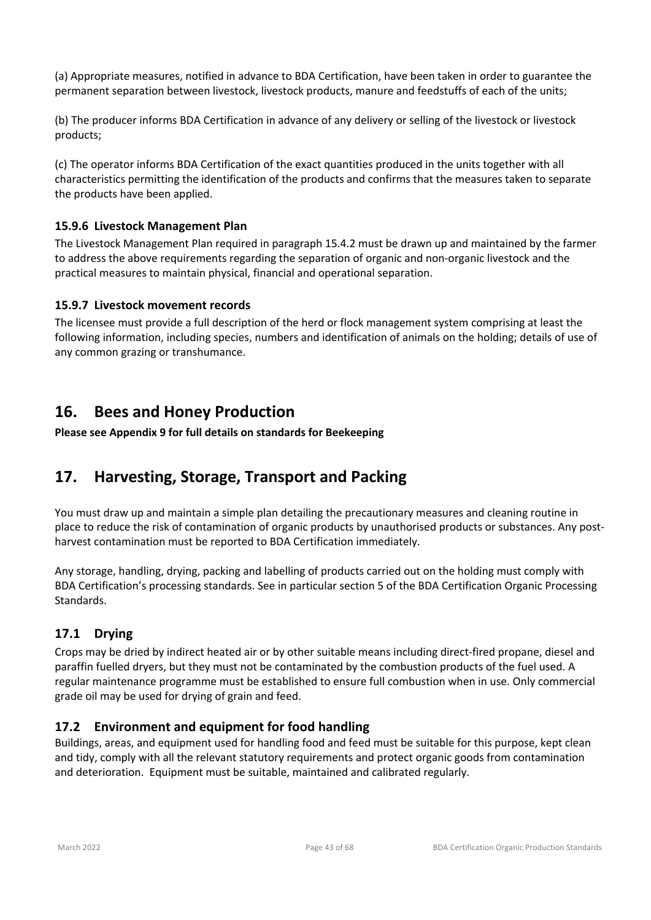(a) Appropriate measures, notified in advance to BDA Certification, have been taken in order to guarantee the permanent separation between livestock, livestock products, manure and feedstuffs of each of the units;

(b) The producer informs BDA Certification in advance of any delivery or selling of the livestock or livestock products;

(c) The operator informs BDA Certification of the exact quantities produced in the units together with all characteristics permitting the identification of the products and confirms that the measures taken to separate the products have been applied.

### **15.9.6 Livestock Management Plan**

The Livestock Management Plan required in paragraph 15.4.2 must be drawn up and maintained by the farmer to address the above requirements regarding the separation of organic and non-organic livestock and the practical measures to maintain physical, financial and operational separation.

### **15.9.7 Livestock movement records**

The licensee must provide a full description of the herd or flock management system comprising at least the following information, including species, numbers and identification of animals on the holding; details of use of any common grazing or transhumance.

# **16. Bees and Honey Production**

**Please see Appendix 9 for full details on standards for Beekeeping**

# **17. Harvesting, Storage, Transport and Packing**

You must draw up and maintain a simple plan detailing the precautionary measures and cleaning routine in place to reduce the risk of contamination of organic products by unauthorised products or substances. Any postharvest contamination must be reported to BDA Certification immediately.

Any storage, handling, drying, packing and labelling of products carried out on the holding must comply with BDA Certification's processing standards. See in particular section 5 of the BDA Certification Organic Processing Standards.

# **17.1 Drying**

Crops may be dried by indirect heated air or by other suitable means including direct-fired propane, diesel and paraffin fuelled dryers, but they must not be contaminated by the combustion products of the fuel used. A regular maintenance programme must be established to ensure full combustion when in use. Only commercial grade oil may be used for drying of grain and feed.

# **17.2 Environment and equipment for food handling**

Buildings, areas, and equipment used for handling food and feed must be suitable for this purpose, kept clean and tidy, comply with all the relevant statutory requirements and protect organic goods from contamination and deterioration. Equipment must be suitable, maintained and calibrated regularly.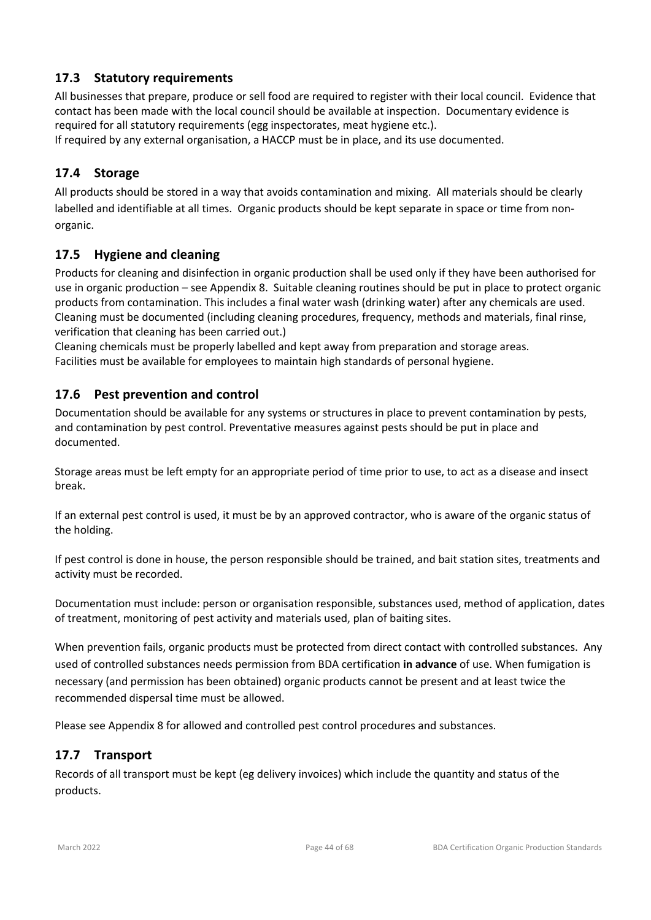# **17.3 Statutory requirements**

All businesses that prepare, produce or sell food are required to register with their local council. Evidence that contact has been made with the local council should be available at inspection. Documentary evidence is required for all statutory requirements (egg inspectorates, meat hygiene etc.).

If required by any external organisation, a HACCP must be in place, and its use documented.

# **17.4 Storage**

All products should be stored in a way that avoids contamination and mixing. All materials should be clearly labelled and identifiable at all times. Organic products should be kept separate in space or time from nonorganic.

# **17.5 Hygiene and cleaning**

Products for cleaning and disinfection in organic production shall be used only if they have been authorised for use in organic production – see Appendix 8. Suitable cleaning routines should be put in place to protect organic products from contamination. This includes a final water wash (drinking water) after any chemicals are used. Cleaning must be documented (including cleaning procedures, frequency, methods and materials, final rinse, verification that cleaning has been carried out.)

Cleaning chemicals must be properly labelled and kept away from preparation and storage areas. Facilities must be available for employees to maintain high standards of personal hygiene.

# **17.6 Pest prevention and control**

Documentation should be available for any systems or structures in place to prevent contamination by pests, and contamination by pest control. Preventative measures against pests should be put in place and documented.

Storage areas must be left empty for an appropriate period of time prior to use, to act as a disease and insect break.

If an external pest control is used, it must be by an approved contractor, who is aware of the organic status of the holding.

If pest control is done in house, the person responsible should be trained, and bait station sites, treatments and activity must be recorded.

Documentation must include: person or organisation responsible, substances used, method of application, dates of treatment, monitoring of pest activity and materials used, plan of baiting sites.

When prevention fails, organic products must be protected from direct contact with controlled substances. Any used of controlled substances needs permission from BDA certification **in advance** of use. When fumigation is necessary (and permission has been obtained) organic products cannot be present and at least twice the recommended dispersal time must be allowed.

Please see Appendix 8 for allowed and controlled pest control procedures and substances.

# **17.7 Transport**

Records of all transport must be kept (eg delivery invoices) which include the quantity and status of the products.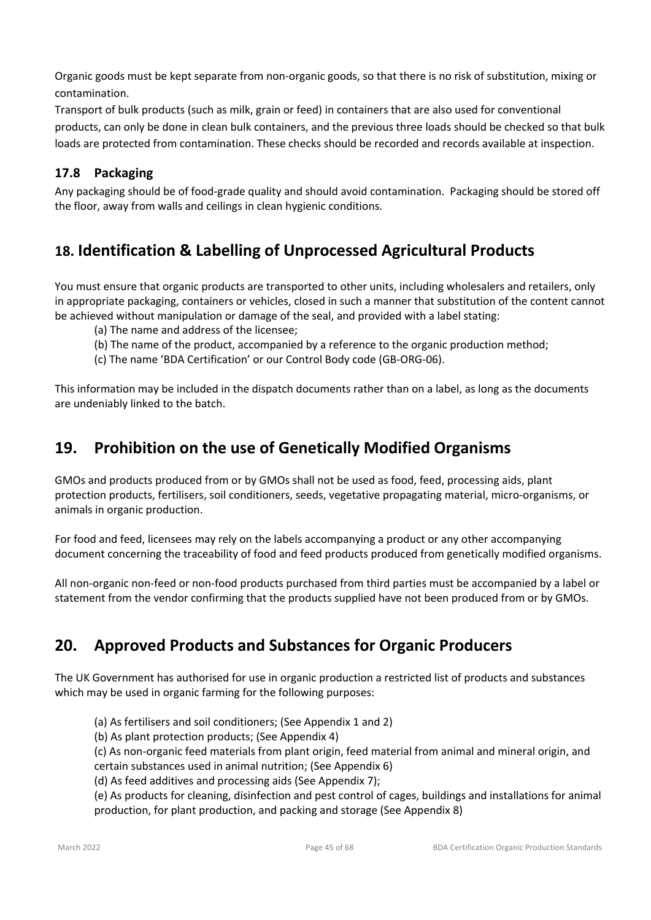Organic goods must be kept separate from non-organic goods, so that there is no risk of substitution, mixing or contamination.

Transport of bulk products (such as milk, grain or feed) in containers that are also used for conventional products, can only be done in clean bulk containers, and the previous three loads should be checked so that bulk loads are protected from contamination. These checks should be recorded and records available at inspection.

# **17.8 Packaging**

Any packaging should be of food-grade quality and should avoid contamination. Packaging should be stored off the floor, away from walls and ceilings in clean hygienic conditions.

# **18. Identification & Labelling of Unprocessed Agricultural Products**

You must ensure that organic products are transported to other units, including wholesalers and retailers, only in appropriate packaging, containers or vehicles, closed in such a manner that substitution of the content cannot be achieved without manipulation or damage of the seal, and provided with a label stating:

- (a) The name and address of the licensee;
- (b) The name of the product, accompanied by a reference to the organic production method;
- (c) The name 'BDA Certification' or our Control Body code (GB-ORG-06).

This information may be included in the dispatch documents rather than on a label, as long as the documents are undeniably linked to the batch.

# **19. Prohibition on the use of Genetically Modified Organisms**

GMOs and products produced from or by GMOs shall not be used as food, feed, processing aids, plant protection products, fertilisers, soil conditioners, seeds, vegetative propagating material, micro-organisms, or animals in organic production.

For food and feed, licensees may rely on the labels accompanying a product or any other accompanying document concerning the traceability of food and feed products produced from genetically modified organisms.

All non-organic non-feed or non-food products purchased from third parties must be accompanied by a label or statement from the vendor confirming that the products supplied have not been produced from or by GMOs.

# **20. Approved Products and Substances for Organic Producers**

The UK Government has authorised for use in organic production a restricted list of products and substances which may be used in organic farming for the following purposes:

- (a) As fertilisers and soil conditioners; (See Appendix 1 and 2)
- (b) As plant protection products; (See Appendix 4)

(c) As non-organic feed materials from plant origin, feed material from animal and mineral origin, and

- certain substances used in animal nutrition; (See Appendix 6)
- (d) As feed additives and processing aids (See Appendix 7);

(e) As products for cleaning, disinfection and pest control of cages, buildings and installations for animal production, for plant production, and packing and storage (See Appendix 8)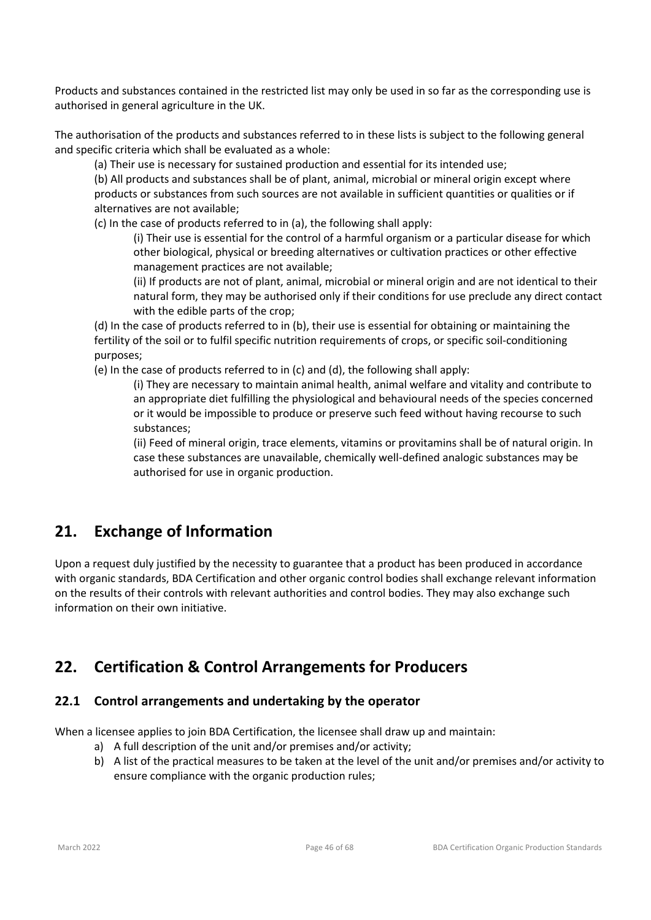Products and substances contained in the restricted list may only be used in so far as the corresponding use is authorised in general agriculture in the UK.

The authorisation of the products and substances referred to in these lists is subject to the following general and specific criteria which shall be evaluated as a whole:

(a) Their use is necessary for sustained production and essential for its intended use;

(b) All products and substances shall be of plant, animal, microbial or mineral origin except where products or substances from such sources are not available in sufficient quantities or qualities or if alternatives are not available;

(c) In the case of products referred to in (a), the following shall apply:

(i) Their use is essential for the control of a harmful organism or a particular disease for which other biological, physical or breeding alternatives or cultivation practices or other effective management practices are not available;

(ii) If products are not of plant, animal, microbial or mineral origin and are not identical to their natural form, they may be authorised only if their conditions for use preclude any direct contact with the edible parts of the crop;

(d) In the case of products referred to in (b), their use is essential for obtaining or maintaining the fertility of the soil or to fulfil specific nutrition requirements of crops, or specific soil-conditioning purposes;

(e) In the case of products referred to in (c) and (d), the following shall apply:

(i) They are necessary to maintain animal health, animal welfare and vitality and contribute to an appropriate diet fulfilling the physiological and behavioural needs of the species concerned or it would be impossible to produce or preserve such feed without having recourse to such substances;

(ii) Feed of mineral origin, trace elements, vitamins or provitamins shall be of natural origin. In case these substances are unavailable, chemically well-defined analogic substances may be authorised for use in organic production.

# **21. Exchange of Information**

Upon a request duly justified by the necessity to guarantee that a product has been produced in accordance with organic standards, BDA Certification and other organic control bodies shall exchange relevant information on the results of their controls with relevant authorities and control bodies. They may also exchange such information on their own initiative.

# **22. Certification & Control Arrangements for Producers**

# **22.1 Control arrangements and undertaking by the operator**

When a licensee applies to join BDA Certification, the licensee shall draw up and maintain:

- a) A full description of the unit and/or premises and/or activity;
- b) A list of the practical measures to be taken at the level of the unit and/or premises and/or activity to ensure compliance with the organic production rules;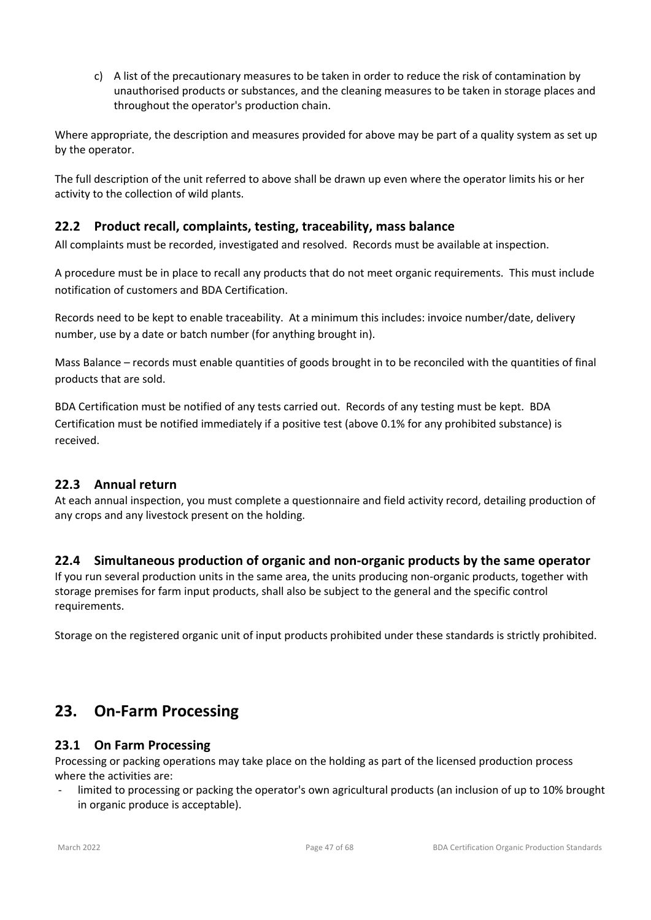c) A list of the precautionary measures to be taken in order to reduce the risk of contamination by unauthorised products or substances, and the cleaning measures to be taken in storage places and throughout the operator's production chain.

Where appropriate, the description and measures provided for above may be part of a quality system as set up by the operator.

The full description of the unit referred to above shall be drawn up even where the operator limits his or her activity to the collection of wild plants.

# **22.2 Product recall, complaints, testing, traceability, mass balance**

All complaints must be recorded, investigated and resolved. Records must be available at inspection.

A procedure must be in place to recall any products that do not meet organic requirements. This must include notification of customers and BDA Certification.

Records need to be kept to enable traceability. At a minimum this includes: invoice number/date, delivery number, use by a date or batch number (for anything brought in).

Mass Balance – records must enable quantities of goods brought in to be reconciled with the quantities of final products that are sold.

BDA Certification must be notified of any tests carried out. Records of any testing must be kept. BDA Certification must be notified immediately if a positive test (above 0.1% for any prohibited substance) is received.

#### **22.3 Annual return**

At each annual inspection, you must complete a questionnaire and field activity record, detailing production of any crops and any livestock present on the holding.

# **22.4 Simultaneous production of organic and non-organic products by the same operator**

If you run several production units in the same area, the units producing non-organic products, together with storage premises for farm input products, shall also be subject to the general and the specific control requirements.

Storage on the registered organic unit of input products prohibited under these standards is strictly prohibited.

# **23. On-Farm Processing**

#### **23.1 On Farm Processing**

Processing or packing operations may take place on the holding as part of the licensed production process where the activities are:

- limited to processing or packing the operator's own agricultural products (an inclusion of up to 10% brought in organic produce is acceptable).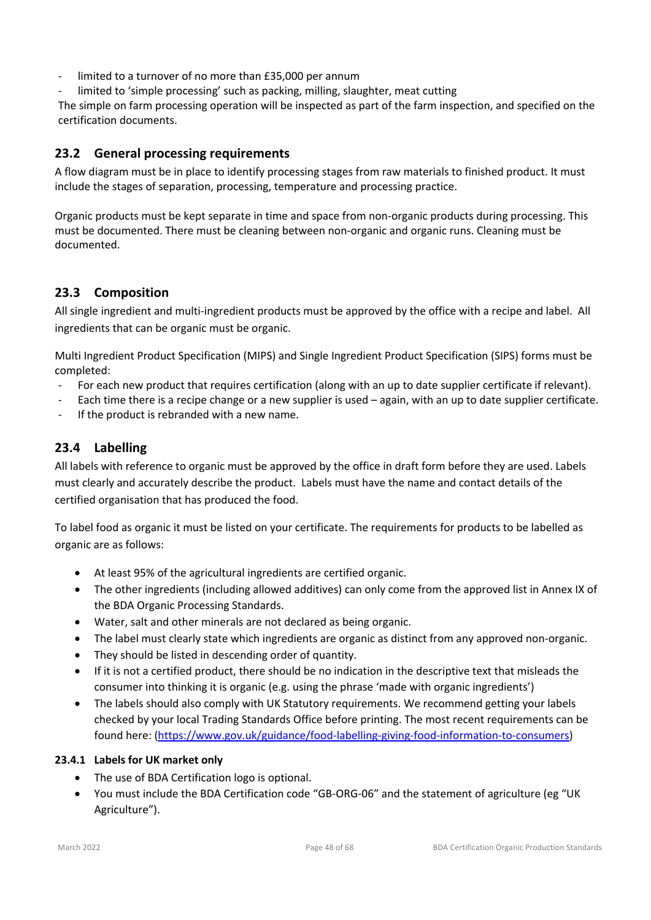- limited to a turnover of no more than £35,000 per annum
- limited to 'simple processing' such as packing, milling, slaughter, meat cutting

The simple on farm processing operation will be inspected as part of the farm inspection, and specified on the certification documents.

# **23.2 General processing requirements**

A flow diagram must be in place to identify processing stages from raw materials to finished product. It must include the stages of separation, processing, temperature and processing practice.

Organic products must be kept separate in time and space from non-organic products during processing. This must be documented. There must be cleaning between non-organic and organic runs. Cleaning must be documented.

# **23.3 Composition**

All single ingredient and multi-ingredient products must be approved by the office with a recipe and label. All ingredients that can be organic must be organic.

Multi Ingredient Product Specification (MIPS) and Single Ingredient Product Specification (SIPS) forms must be completed:

- For each new product that requires certification (along with an up to date supplier certificate if relevant).
- Each time there is a recipe change or a new supplier is used again, with an up to date supplier certificate.
- If the product is rebranded with a new name.

# **23.4 Labelling**

All labels with reference to organic must be approved by the office in draft form before they are used. Labels must clearly and accurately describe the product. Labels must have the name and contact details of the certified organisation that has produced the food.

To label food as organic it must be listed on your certificate. The requirements for products to be labelled as organic are as follows:

- At least 95% of the agricultural ingredients are certified organic.
- The other ingredients (including allowed additives) can only come from the approved list in Annex IX of the BDA Organic Processing Standards.
- Water, salt and other minerals are not declared as being organic.
- The label must clearly state which ingredients are organic as distinct from any approved non-organic.
- They should be listed in descending order of quantity.
- If it is not a certified product, there should be no indication in the descriptive text that misleads the consumer into thinking it is organic (e.g. using the phrase 'made with organic ingredients')
- The labels should also comply with UK Statutory requirements. We recommend getting your labels checked by your local Trading Standards Office before printing. The most recent requirements can be found here: (https://www.gov.uk/guidance/food-labelling-giving-food-information-to-consumers)

#### **23.4.1 Labels for UK market only**

- The use of BDA Certification logo is optional.
- You must include the BDA Certification code "GB-ORG-06" and the statement of agriculture (eg "UK Agriculture").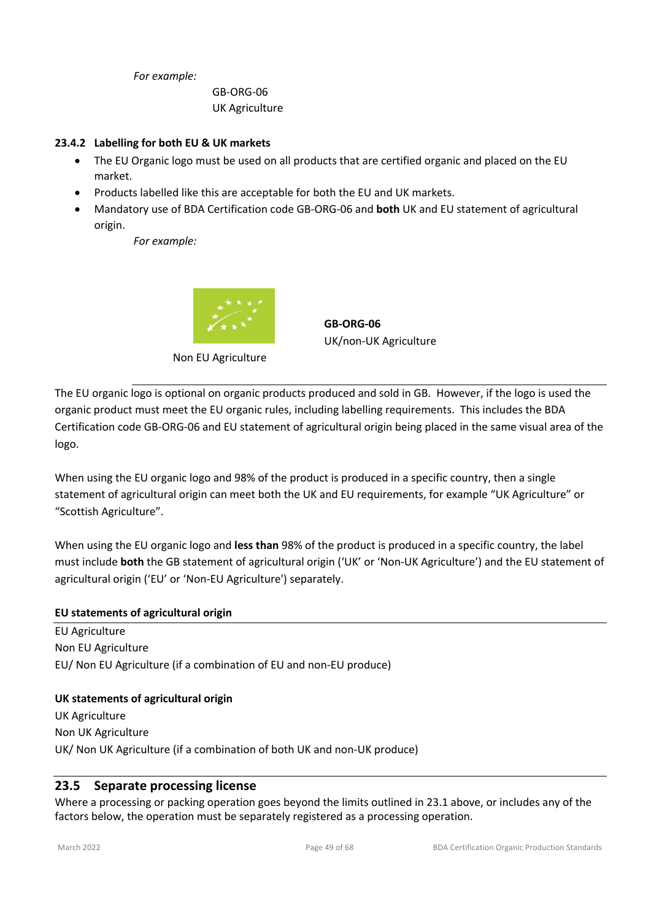*For example:*

GB-ORG-06 UK Agriculture

#### **23.4.2 Labelling for both EU & UK markets**

- The EU Organic logo must be used on all products that are certified organic and placed on the EU market.
- Products labelled like this are acceptable for both the EU and UK markets.
- Mandatory use of BDA Certification code GB-ORG-06 and **both** UK and EU statement of agricultural origin.

*For example:*



Non EU Agriculture

**GB-ORG-06** UK/non-UK Agriculture

The EU organic logo is optional on organic products produced and sold in GB. However, if the logo is used the organic product must meet the EU organic rules, including labelling requirements. This includes the BDA Certification code GB-ORG-06 and EU statement of agricultural origin being placed in the same visual area of the logo.

When using the EU organic logo and 98% of the product is produced in a specific country, then a single statement of agricultural origin can meet both the UK and EU requirements, for example "UK Agriculture" or "Scottish Agriculture".

When using the EU organic logo and **less than** 98% of the product is produced in a specific country, the label must include **both** the GB statement of agricultural origin ('UK' or 'Non-UK Agriculture') and the EU statement of agricultural origin ('EU' or 'Non-EU Agriculture') separately.

#### **EU statements of agricultural origin**

EU Agriculture Non EU Agriculture EU/ Non EU Agriculture (if a combination of EU and non-EU produce)

#### **UK statements of agricultural origin**

UK Agriculture Non UK Agriculture UK/ Non UK Agriculture (if a combination of both UK and non-UK produce)

# **23.5 Separate processing license**

Where a processing or packing operation goes beyond the limits outlined in 23.1 above, or includes any of the factors below, the operation must be separately registered as a processing operation.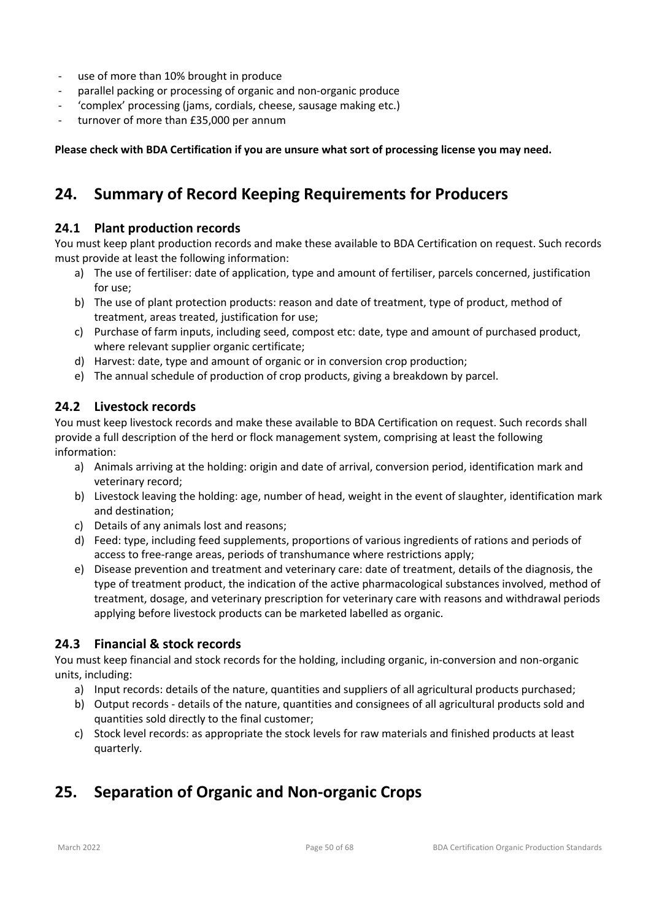- use of more than 10% brought in produce
- parallel packing or processing of organic and non-organic produce
- 'complex' processing (jams, cordials, cheese, sausage making etc.)
- turnover of more than £35,000 per annum

**Please check with BDA Certification if you are unsure what sort of processing license you may need.**

# **24. Summary of Record Keeping Requirements for Producers**

### **24.1 Plant production records**

You must keep plant production records and make these available to BDA Certification on request. Such records must provide at least the following information:

- a) The use of fertiliser: date of application, type and amount of fertiliser, parcels concerned, justification for use;
- b) The use of plant protection products: reason and date of treatment, type of product, method of treatment, areas treated, justification for use;
- c) Purchase of farm inputs, including seed, compost etc: date, type and amount of purchased product, where relevant supplier organic certificate;
- d) Harvest: date, type and amount of organic or in conversion crop production;
- e) The annual schedule of production of crop products, giving a breakdown by parcel.

#### **24.2 Livestock records**

You must keep livestock records and make these available to BDA Certification on request. Such records shall provide a full description of the herd or flock management system, comprising at least the following information:

- a) Animals arriving at the holding: origin and date of arrival, conversion period, identification mark and veterinary record;
- b) Livestock leaving the holding: age, number of head, weight in the event of slaughter, identification mark and destination;
- c) Details of any animals lost and reasons;
- d) Feed: type, including feed supplements, proportions of various ingredients of rations and periods of access to free-range areas, periods of transhumance where restrictions apply;
- e) Disease prevention and treatment and veterinary care: date of treatment, details of the diagnosis, the type of treatment product, the indication of the active pharmacological substances involved, method of treatment, dosage, and veterinary prescription for veterinary care with reasons and withdrawal periods applying before livestock products can be marketed labelled as organic.

# **24.3 Financial & stock records**

You must keep financial and stock records for the holding, including organic, in-conversion and non-organic units, including:

- a) Input records: details of the nature, quantities and suppliers of all agricultural products purchased;
- b) Output records details of the nature, quantities and consignees of all agricultural products sold and quantities sold directly to the final customer;
- c) Stock level records: as appropriate the stock levels for raw materials and finished products at least quarterly.

# **25. Separation of Organic and Non-organic Crops**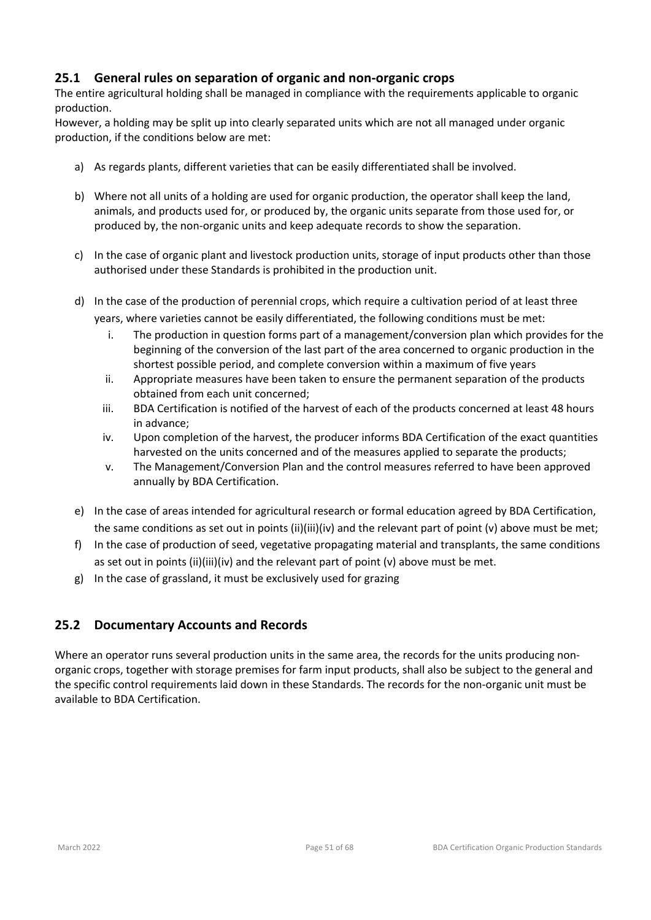# **25.1 General rules on separation of organic and non-organic crops**

The entire agricultural holding shall be managed in compliance with the requirements applicable to organic production.

However, a holding may be split up into clearly separated units which are not all managed under organic production, if the conditions below are met:

- a) As regards plants, different varieties that can be easily differentiated shall be involved.
- b) Where not all units of a holding are used for organic production, the operator shall keep the land, animals, and products used for, or produced by, the organic units separate from those used for, or produced by, the non-organic units and keep adequate records to show the separation.
- c) In the case of organic plant and livestock production units, storage of input products other than those authorised under these Standards is prohibited in the production unit.
- d) In the case of the production of perennial crops, which require a cultivation period of at least three years, where varieties cannot be easily differentiated, the following conditions must be met:
	- i. The production in question forms part of a management/conversion plan which provides for the beginning of the conversion of the last part of the area concerned to organic production in the shortest possible period, and complete conversion within a maximum of five years
	- ii. Appropriate measures have been taken to ensure the permanent separation of the products obtained from each unit concerned;
	- iii. BDA Certification is notified of the harvest of each of the products concerned at least 48 hours in advance;
	- iv. Upon completion of the harvest, the producer informs BDA Certification of the exact quantities harvested on the units concerned and of the measures applied to separate the products;
	- v. The Management/Conversion Plan and the control measures referred to have been approved annually by BDA Certification.
- e) In the case of areas intended for agricultural research or formal education agreed by BDA Certification, the same conditions as set out in points (ii)(iii)(iv) and the relevant part of point (v) above must be met;
- f) In the case of production of seed, vegetative propagating material and transplants, the same conditions as set out in points (ii)(iii)(iv) and the relevant part of point (v) above must be met.
- g) In the case of grassland, it must be exclusively used for grazing

# **25.2 Documentary Accounts and Records**

Where an operator runs several production units in the same area, the records for the units producing nonorganic crops, together with storage premises for farm input products, shall also be subject to the general and the specific control requirements laid down in these Standards. The records for the non-organic unit must be available to BDA Certification.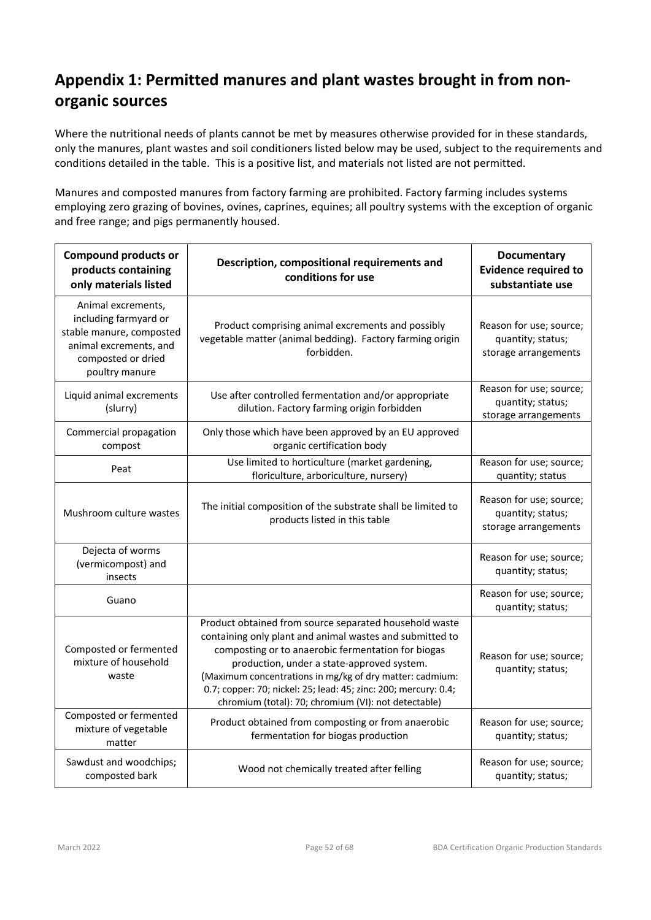# **Appendix 1: Permitted manures and plant wastes brought in from nonorganic sources**

Where the nutritional needs of plants cannot be met by measures otherwise provided for in these standards, only the manures, plant wastes and soil conditioners listed below may be used, subject to the requirements and conditions detailed in the table. This is a positive list, and materials not listed are not permitted.

Manures and composted manures from factory farming are prohibited. Factory farming includes systems employing zero grazing of bovines, ovines, caprines, equines; all poultry systems with the exception of organic and free range; and pigs permanently housed.

| <b>Compound products or</b><br>products containing<br>only materials listed                                                               | Description, compositional requirements and<br>conditions for use                                                                                                                                                                                                                                                                                                                                             | <b>Documentary</b><br><b>Evidence required to</b><br>substantiate use |
|-------------------------------------------------------------------------------------------------------------------------------------------|---------------------------------------------------------------------------------------------------------------------------------------------------------------------------------------------------------------------------------------------------------------------------------------------------------------------------------------------------------------------------------------------------------------|-----------------------------------------------------------------------|
| Animal excrements,<br>including farmyard or<br>stable manure, composted<br>animal excrements, and<br>composted or dried<br>poultry manure | Product comprising animal excrements and possibly<br>vegetable matter (animal bedding). Factory farming origin<br>forbidden.                                                                                                                                                                                                                                                                                  | Reason for use; source;<br>quantity; status;<br>storage arrangements  |
| Liquid animal excrements<br>(slurry)                                                                                                      | Use after controlled fermentation and/or appropriate<br>dilution. Factory farming origin forbidden                                                                                                                                                                                                                                                                                                            | Reason for use; source;<br>quantity; status;<br>storage arrangements  |
| Commercial propagation<br>compost                                                                                                         | Only those which have been approved by an EU approved<br>organic certification body                                                                                                                                                                                                                                                                                                                           |                                                                       |
| Peat                                                                                                                                      | Use limited to horticulture (market gardening,<br>floriculture, arboriculture, nursery)                                                                                                                                                                                                                                                                                                                       | Reason for use; source;<br>quantity; status                           |
| Mushroom culture wastes                                                                                                                   | The initial composition of the substrate shall be limited to<br>products listed in this table                                                                                                                                                                                                                                                                                                                 | Reason for use; source;<br>quantity; status;<br>storage arrangements  |
| Dejecta of worms<br>(vermicompost) and<br>insects                                                                                         |                                                                                                                                                                                                                                                                                                                                                                                                               | Reason for use; source;<br>quantity; status;                          |
| Guano                                                                                                                                     |                                                                                                                                                                                                                                                                                                                                                                                                               | Reason for use; source;<br>quantity; status;                          |
| Composted or fermented<br>mixture of household<br>waste                                                                                   | Product obtained from source separated household waste<br>containing only plant and animal wastes and submitted to<br>composting or to anaerobic fermentation for biogas<br>production, under a state-approved system.<br>(Maximum concentrations in mg/kg of dry matter: cadmium:<br>0.7; copper: 70; nickel: 25; lead: 45; zinc: 200; mercury: 0.4;<br>chromium (total): 70; chromium (VI): not detectable) | Reason for use; source;<br>quantity; status;                          |
| Composted or fermented<br>mixture of vegetable<br>matter                                                                                  | Product obtained from composting or from anaerobic<br>fermentation for biogas production                                                                                                                                                                                                                                                                                                                      | Reason for use; source;<br>quantity; status;                          |
| Sawdust and woodchips;<br>composted bark                                                                                                  | Wood not chemically treated after felling                                                                                                                                                                                                                                                                                                                                                                     | Reason for use; source;<br>quantity; status;                          |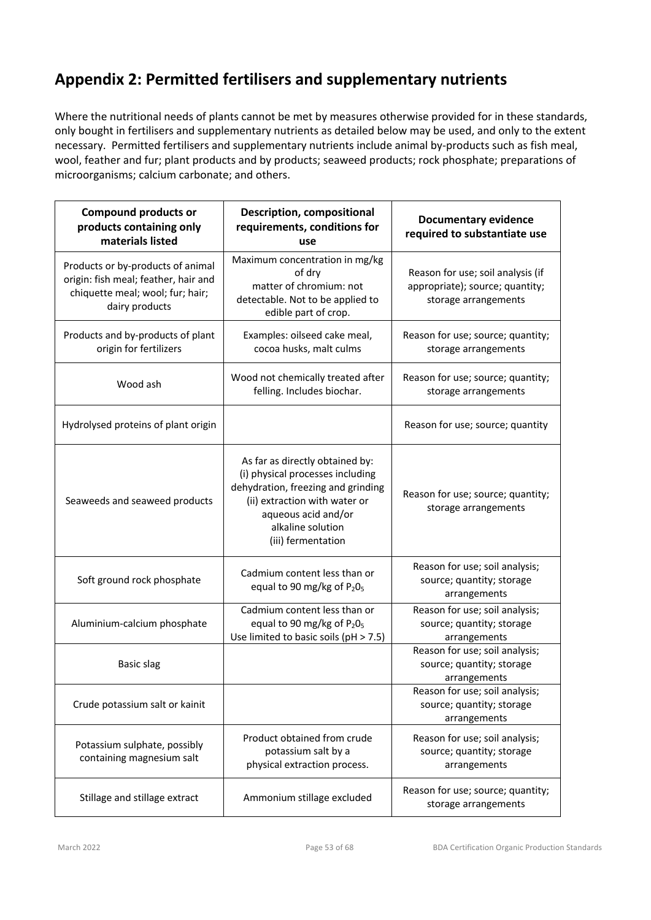# **Appendix 2: Permitted fertilisers and supplementary nutrients**

Where the nutritional needs of plants cannot be met by measures otherwise provided for in these standards, only bought in fertilisers and supplementary nutrients as detailed below may be used, and only to the extent necessary. Permitted fertilisers and supplementary nutrients include animal by-products such as fish meal, wool, feather and fur; plant products and by products; seaweed products; rock phosphate; preparations of microorganisms; calcium carbonate; and others.

| <b>Compound products or</b><br>products containing only<br>materials listed                                                     | <b>Description, compositional</b><br>requirements, conditions for<br>use                                                                                                                                     | <b>Documentary evidence</b><br>required to substantiate use                                  |
|---------------------------------------------------------------------------------------------------------------------------------|--------------------------------------------------------------------------------------------------------------------------------------------------------------------------------------------------------------|----------------------------------------------------------------------------------------------|
| Products or by-products of animal<br>origin: fish meal; feather, hair and<br>chiquette meal; wool; fur; hair;<br>dairy products | Maximum concentration in mg/kg<br>of dry<br>matter of chromium: not<br>detectable. Not to be applied to<br>edible part of crop.                                                                              | Reason for use; soil analysis (if<br>appropriate); source; quantity;<br>storage arrangements |
| Products and by-products of plant<br>origin for fertilizers                                                                     | Examples: oilseed cake meal,<br>cocoa husks, malt culms                                                                                                                                                      | Reason for use; source; quantity;<br>storage arrangements                                    |
| Wood ash                                                                                                                        | Wood not chemically treated after<br>felling. Includes biochar.                                                                                                                                              | Reason for use; source; quantity;<br>storage arrangements                                    |
| Hydrolysed proteins of plant origin                                                                                             |                                                                                                                                                                                                              | Reason for use; source; quantity                                                             |
| Seaweeds and seaweed products                                                                                                   | As far as directly obtained by:<br>(i) physical processes including<br>dehydration, freezing and grinding<br>(ii) extraction with water or<br>aqueous acid and/or<br>alkaline solution<br>(iii) fermentation | Reason for use; source; quantity;<br>storage arrangements                                    |
| Soft ground rock phosphate                                                                                                      | Cadmium content less than or<br>equal to 90 mg/kg of P <sub>2</sub> 0 <sub>5</sub>                                                                                                                           | Reason for use; soil analysis;<br>source; quantity; storage<br>arrangements                  |
| Aluminium-calcium phosphate                                                                                                     | Cadmium content less than or<br>equal to 90 mg/kg of P <sub>2</sub> 0 <sub>5</sub><br>Use limited to basic soils (pH > 7.5)                                                                                  | Reason for use; soil analysis;<br>source; quantity; storage<br>arrangements                  |
| <b>Basic slag</b>                                                                                                               |                                                                                                                                                                                                              | Reason for use; soil analysis;<br>source; quantity; storage<br>arrangements                  |
| Crude potassium salt or kainit                                                                                                  |                                                                                                                                                                                                              | Reason for use; soil analysis;<br>source; quantity; storage<br>arrangements                  |
| Potassium sulphate, possibly<br>containing magnesium salt                                                                       | Product obtained from crude<br>potassium salt by a<br>physical extraction process.                                                                                                                           | Reason for use; soil analysis;<br>source; quantity; storage<br>arrangements                  |
| Stillage and stillage extract                                                                                                   | Ammonium stillage excluded                                                                                                                                                                                   | Reason for use; source; quantity;<br>storage arrangements                                    |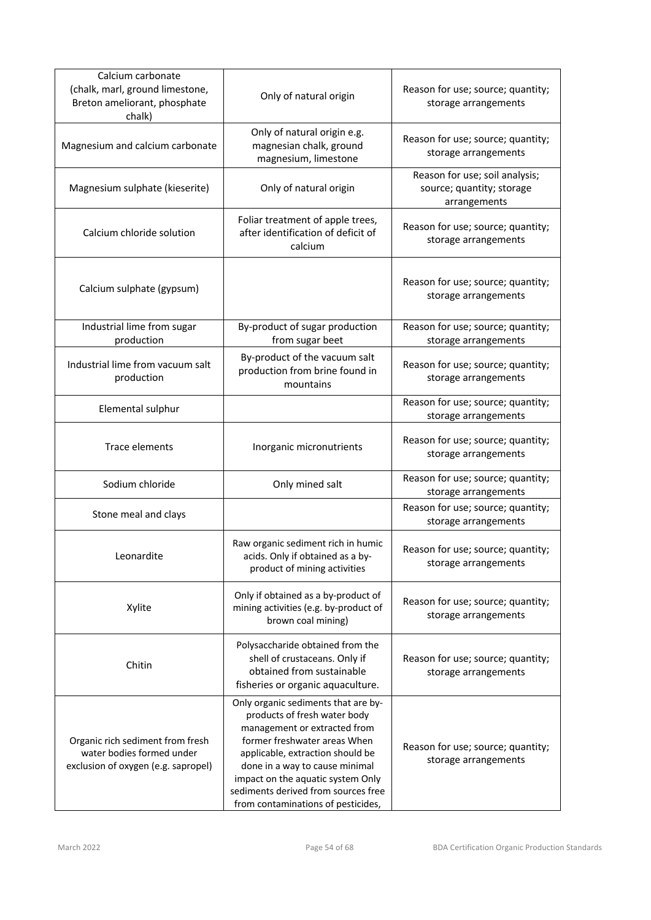| Calcium carbonate<br>(chalk, marl, ground limestone,<br>Breton ameliorant, phosphate<br>chalk)       | Only of natural origin                                                                                                                                                                                                                                                                                                      | Reason for use; source; quantity;<br>storage arrangements                   |
|------------------------------------------------------------------------------------------------------|-----------------------------------------------------------------------------------------------------------------------------------------------------------------------------------------------------------------------------------------------------------------------------------------------------------------------------|-----------------------------------------------------------------------------|
| Magnesium and calcium carbonate                                                                      | Only of natural origin e.g.<br>magnesian chalk, ground<br>magnesium, limestone                                                                                                                                                                                                                                              | Reason for use; source; quantity;<br>storage arrangements                   |
| Magnesium sulphate (kieserite)                                                                       | Only of natural origin                                                                                                                                                                                                                                                                                                      | Reason for use; soil analysis;<br>source; quantity; storage<br>arrangements |
| Calcium chloride solution                                                                            | Foliar treatment of apple trees,<br>after identification of deficit of<br>calcium                                                                                                                                                                                                                                           | Reason for use; source; quantity;<br>storage arrangements                   |
| Calcium sulphate (gypsum)                                                                            |                                                                                                                                                                                                                                                                                                                             | Reason for use; source; quantity;<br>storage arrangements                   |
| Industrial lime from sugar<br>production                                                             | By-product of sugar production<br>from sugar beet                                                                                                                                                                                                                                                                           | Reason for use; source; quantity;<br>storage arrangements                   |
| Industrial lime from vacuum salt<br>production                                                       | By-product of the vacuum salt<br>production from brine found in<br>mountains                                                                                                                                                                                                                                                | Reason for use; source; quantity;<br>storage arrangements                   |
| Elemental sulphur                                                                                    |                                                                                                                                                                                                                                                                                                                             | Reason for use; source; quantity;<br>storage arrangements                   |
| Trace elements                                                                                       | Inorganic micronutrients                                                                                                                                                                                                                                                                                                    | Reason for use; source; quantity;<br>storage arrangements                   |
| Sodium chloride                                                                                      | Only mined salt                                                                                                                                                                                                                                                                                                             | Reason for use; source; quantity;<br>storage arrangements                   |
| Stone meal and clays                                                                                 |                                                                                                                                                                                                                                                                                                                             | Reason for use; source; quantity;<br>storage arrangements                   |
| Leonardite                                                                                           | Raw organic sediment rich in humic<br>acids. Only if obtained as a by-<br>product of mining activities                                                                                                                                                                                                                      | Reason for use; source; quantity;<br>storage arrangements                   |
| Xylite                                                                                               | Only if obtained as a by-product of<br>mining activities (e.g. by-product of<br>brown coal mining)                                                                                                                                                                                                                          | Reason for use; source; quantity;<br>storage arrangements                   |
| Chitin                                                                                               | Polysaccharide obtained from the<br>shell of crustaceans. Only if<br>obtained from sustainable<br>fisheries or organic aquaculture.                                                                                                                                                                                         | Reason for use; source; quantity;<br>storage arrangements                   |
| Organic rich sediment from fresh<br>water bodies formed under<br>exclusion of oxygen (e.g. sapropel) | Only organic sediments that are by-<br>products of fresh water body<br>management or extracted from<br>former freshwater areas When<br>applicable, extraction should be<br>done in a way to cause minimal<br>impact on the aquatic system Only<br>sediments derived from sources free<br>from contaminations of pesticides, | Reason for use; source; quantity;<br>storage arrangements                   |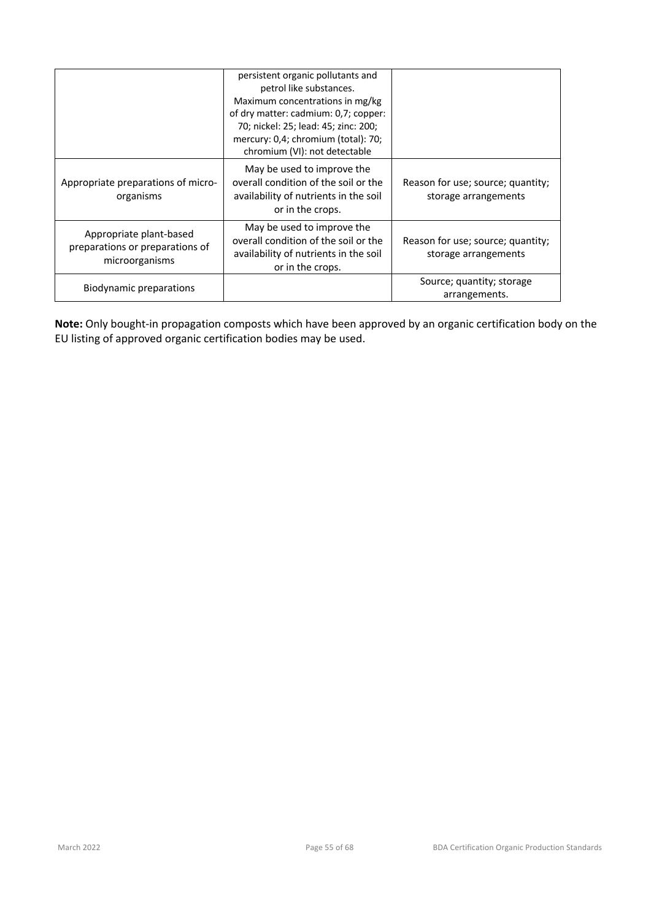|                                                                              | persistent organic pollutants and<br>petrol like substances.<br>Maximum concentrations in mg/kg<br>of dry matter: cadmium: 0,7; copper:<br>70; nickel: 25; lead: 45; zinc: 200;<br>mercury: 0,4; chromium (total): 70;<br>chromium (VI): not detectable |                                                           |
|------------------------------------------------------------------------------|---------------------------------------------------------------------------------------------------------------------------------------------------------------------------------------------------------------------------------------------------------|-----------------------------------------------------------|
| Appropriate preparations of micro-<br>organisms                              | May be used to improve the<br>overall condition of the soil or the<br>availability of nutrients in the soil<br>or in the crops.                                                                                                                         | Reason for use; source; quantity;<br>storage arrangements |
| Appropriate plant-based<br>preparations or preparations of<br>microorganisms | May be used to improve the<br>overall condition of the soil or the<br>availability of nutrients in the soil<br>or in the crops.                                                                                                                         | Reason for use; source; quantity;<br>storage arrangements |
| Biodynamic preparations                                                      |                                                                                                                                                                                                                                                         | Source; quantity; storage<br>arrangements.                |

**Note:** Only bought-in propagation composts which have been approved by an organic certification body on the EU listing of approved organic certification bodies may be used.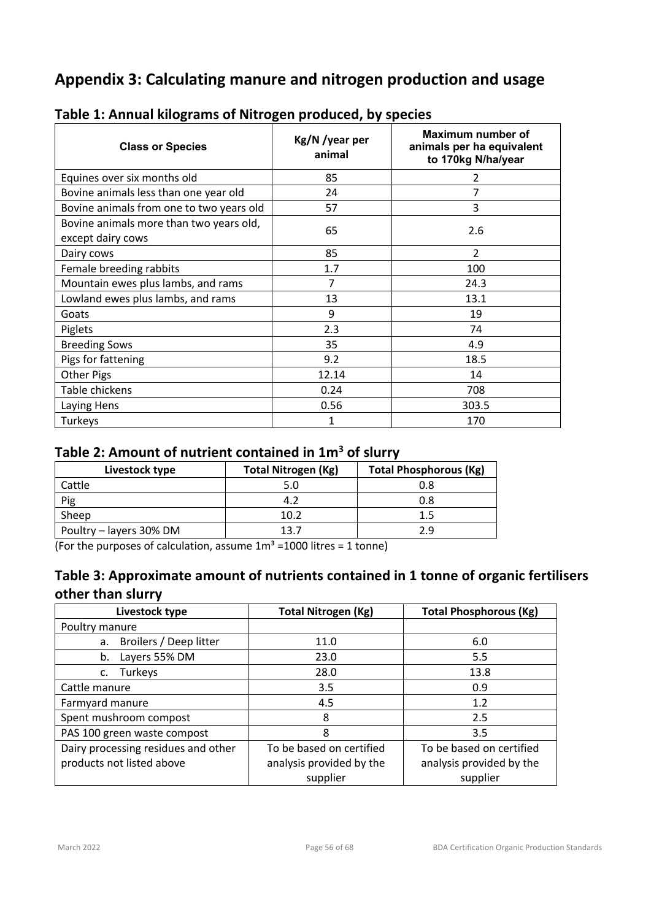# **Appendix 3: Calculating manure and nitrogen production and usage**

| <b>Class or Species</b>                                      | Kg/N /year per<br>animal | Maximum number of<br>animals per ha equivalent<br>to 170kg N/ha/year |
|--------------------------------------------------------------|--------------------------|----------------------------------------------------------------------|
| Equines over six months old                                  | 85                       | 2                                                                    |
| Bovine animals less than one year old                        | 24                       |                                                                      |
| Bovine animals from one to two years old                     | 57                       | 3                                                                    |
| Bovine animals more than two years old,<br>except dairy cows | 65                       | 2.6                                                                  |
| Dairy cows                                                   | 85                       | 2                                                                    |
| Female breeding rabbits                                      | 1.7                      | 100                                                                  |
| Mountain ewes plus lambs, and rams                           | 7                        | 24.3                                                                 |
| Lowland ewes plus lambs, and rams                            | 13                       | 13.1                                                                 |
| Goats                                                        | 9                        | 19                                                                   |
| Piglets                                                      | 2.3                      | 74                                                                   |
| <b>Breeding Sows</b>                                         | 35                       | 4.9                                                                  |
| Pigs for fattening                                           | 9.2                      | 18.5                                                                 |
| Other Pigs                                                   | 12.14                    | 14                                                                   |
| Table chickens                                               | 0.24                     | 708                                                                  |
| Laying Hens                                                  | 0.56                     | 303.5                                                                |
| Turkeys                                                      | 1                        | 170                                                                  |

# **Table 1: Annual kilograms of Nitrogen produced, by species**

# **Table 2: Amount of nutrient contained in 1m3 of slurry**

| Livestock type          | <b>Total Nitrogen (Kg)</b> | <b>Total Phosphorous (Kg)</b> |
|-------------------------|----------------------------|-------------------------------|
| Cattle                  | 5.0                        | 0.8                           |
| Pig                     |                            | 0.8                           |
| Sheep                   | 10.2                       | 1.5                           |
| Poultry – layers 30% DM | 13 7                       | 2.9                           |

(For the purposes of calculation, assume  $1m^3$  =1000 litres = 1 tonne)

# **Table 3: Approximate amount of nutrients contained in 1 tonne of organic fertilisers other than slurry**

| Livestock type                      | <b>Total Nitrogen (Kg)</b> | <b>Total Phosphorous (Kg)</b> |  |
|-------------------------------------|----------------------------|-------------------------------|--|
| Poultry manure                      |                            |                               |  |
| Broilers / Deep litter<br>a.        | 11.0                       | 6.0                           |  |
| Layers 55% DM<br>b.                 | 23.0                       | 5.5                           |  |
| Turkeys<br>c.                       | 28.0                       | 13.8                          |  |
| Cattle manure                       | 3.5                        | 0.9                           |  |
| Farmyard manure                     | 4.5                        | 1.2                           |  |
| Spent mushroom compost              | 8                          | 2.5                           |  |
| PAS 100 green waste compost         | 8                          | 3.5                           |  |
| Dairy processing residues and other | To be based on certified   | To be based on certified      |  |
| products not listed above           | analysis provided by the   | analysis provided by the      |  |
|                                     | supplier                   | supplier                      |  |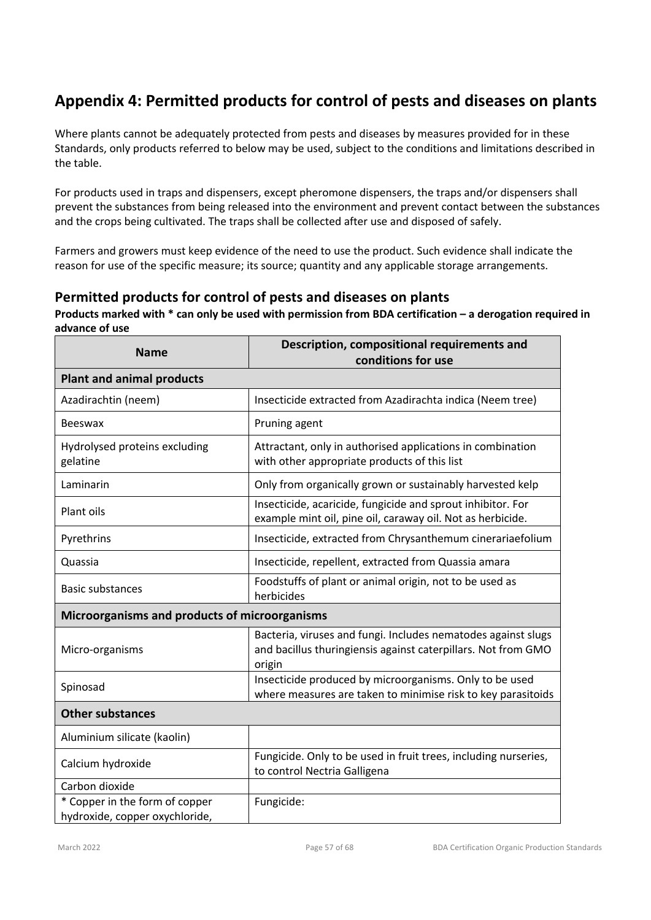# **Appendix 4: Permitted products for control of pests and diseases on plants**

Where plants cannot be adequately protected from pests and diseases by measures provided for in these Standards, only products referred to below may be used, subject to the conditions and limitations described in the table.

For products used in traps and dispensers, except pheromone dispensers, the traps and/or dispensers shall prevent the substances from being released into the environment and prevent contact between the substances and the crops being cultivated. The traps shall be collected after use and disposed of safely.

Farmers and growers must keep evidence of the need to use the product. Such evidence shall indicate the reason for use of the specific measure; its source; quantity and any applicable storage arrangements.

# **Permitted products for control of pests and diseases on plants**

**Products marked with \* can only be used with permission from BDA certification – a derogation required in advance of use**

| <b>Name</b>                                                      | Description, compositional requirements and<br>conditions for use                                                                        |  |  |  |
|------------------------------------------------------------------|------------------------------------------------------------------------------------------------------------------------------------------|--|--|--|
| <b>Plant and animal products</b>                                 |                                                                                                                                          |  |  |  |
| Azadirachtin (neem)                                              | Insecticide extracted from Azadirachta indica (Neem tree)                                                                                |  |  |  |
| <b>Beeswax</b>                                                   | Pruning agent                                                                                                                            |  |  |  |
| Hydrolysed proteins excluding<br>gelatine                        | Attractant, only in authorised applications in combination<br>with other appropriate products of this list                               |  |  |  |
| Laminarin                                                        | Only from organically grown or sustainably harvested kelp                                                                                |  |  |  |
| Plant oils                                                       | Insecticide, acaricide, fungicide and sprout inhibitor. For<br>example mint oil, pine oil, caraway oil. Not as herbicide.                |  |  |  |
| Pyrethrins                                                       | Insecticide, extracted from Chrysanthemum cinerariaefolium                                                                               |  |  |  |
| Quassia                                                          | Insecticide, repellent, extracted from Quassia amara                                                                                     |  |  |  |
| <b>Basic substances</b>                                          | Foodstuffs of plant or animal origin, not to be used as<br>herbicides                                                                    |  |  |  |
| Microorganisms and products of microorganisms                    |                                                                                                                                          |  |  |  |
| Micro-organisms                                                  | Bacteria, viruses and fungi. Includes nematodes against slugs<br>and bacillus thuringiensis against caterpillars. Not from GMO<br>origin |  |  |  |
| Spinosad                                                         | Insecticide produced by microorganisms. Only to be used<br>where measures are taken to minimise risk to key parasitoids                  |  |  |  |
| <b>Other substances</b>                                          |                                                                                                                                          |  |  |  |
| Aluminium silicate (kaolin)                                      |                                                                                                                                          |  |  |  |
| Calcium hydroxide                                                | Fungicide. Only to be used in fruit trees, including nurseries,<br>to control Nectria Galligena                                          |  |  |  |
| Carbon dioxide                                                   |                                                                                                                                          |  |  |  |
| * Copper in the form of copper<br>hydroxide, copper oxychloride, | Fungicide:                                                                                                                               |  |  |  |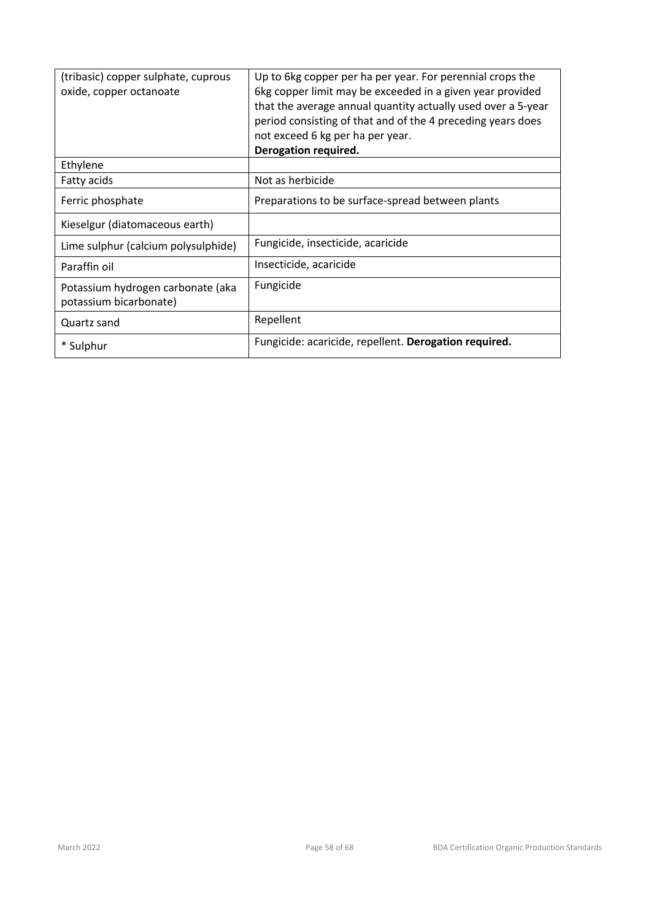| (tribasic) copper sulphate, cuprous<br>oxide, copper octanoate | Up to 6kg copper per ha per year. For perennial crops the<br>6kg copper limit may be exceeded in a given year provided<br>that the average annual quantity actually used over a 5-year<br>period consisting of that and of the 4 preceding years does<br>not exceed 6 kg per ha per year.<br>Derogation required. |
|----------------------------------------------------------------|-------------------------------------------------------------------------------------------------------------------------------------------------------------------------------------------------------------------------------------------------------------------------------------------------------------------|
| Ethylene                                                       |                                                                                                                                                                                                                                                                                                                   |
| Fatty acids                                                    | Not as herbicide                                                                                                                                                                                                                                                                                                  |
| Ferric phosphate                                               | Preparations to be surface-spread between plants                                                                                                                                                                                                                                                                  |
| Kieselgur (diatomaceous earth)                                 |                                                                                                                                                                                                                                                                                                                   |
| Lime sulphur (calcium polysulphide)                            | Fungicide, insecticide, acaricide                                                                                                                                                                                                                                                                                 |
| Paraffin oil                                                   | Insecticide, acaricide                                                                                                                                                                                                                                                                                            |
| Potassium hydrogen carbonate (aka<br>potassium bicarbonate)    | Fungicide                                                                                                                                                                                                                                                                                                         |
| Quartz sand                                                    | Repellent                                                                                                                                                                                                                                                                                                         |
| * Sulphur                                                      | Fungicide: acaricide, repellent. Derogation required.                                                                                                                                                                                                                                                             |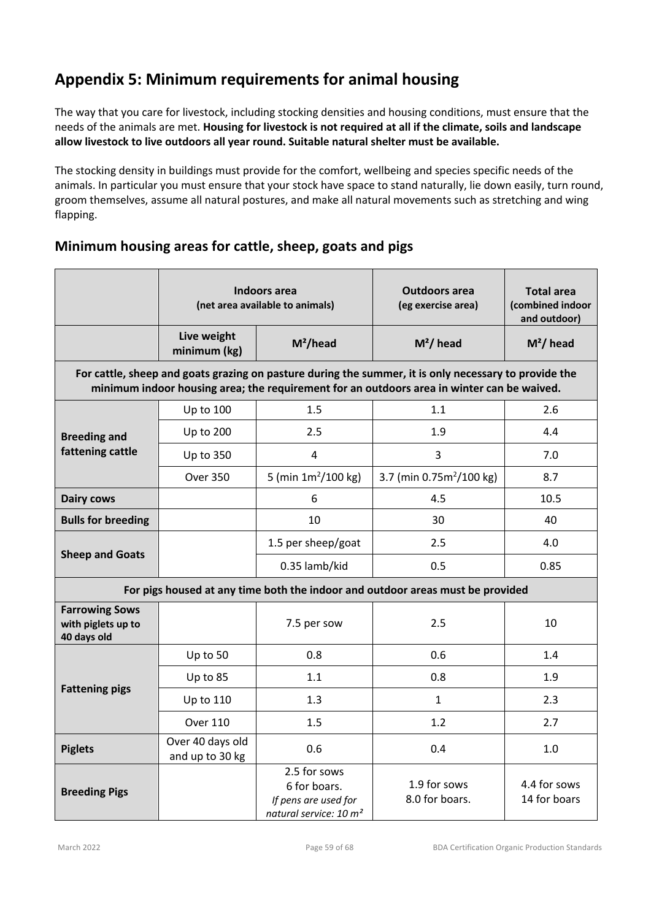# **Appendix 5: Minimum requirements for animal housing**

The way that you care for livestock, including stocking densities and housing conditions, must ensure that the needs of the animals are met. **Housing for livestock is not required at all if the climate, soils and landscape allow livestock to live outdoors all year round. Suitable natural shelter must be available.**

The stocking density in buildings must provide for the comfort, wellbeing and species specific needs of the animals. In particular you must ensure that your stock have space to stand naturally, lie down easily, turn round, groom themselves, assume all natural postures, and make all natural movements such as stretching and wing flapping.

# **Minimum housing areas for cattle, sheep, goats and pigs**

|                                                                                                                                                                                                     | Indoors area<br>(net area available to animals) |                                                                                            | <b>Outdoors area</b><br>(eg exercise area) | <b>Total area</b><br>(combined indoor<br>and outdoor) |  |  |  |
|-----------------------------------------------------------------------------------------------------------------------------------------------------------------------------------------------------|-------------------------------------------------|--------------------------------------------------------------------------------------------|--------------------------------------------|-------------------------------------------------------|--|--|--|
|                                                                                                                                                                                                     | Live weight<br>minimum (kg)                     | $M^2$ /head                                                                                | $M^2$ / head                               | $M^2$ / head                                          |  |  |  |
| For cattle, sheep and goats grazing on pasture during the summer, it is only necessary to provide the<br>minimum indoor housing area; the requirement for an outdoors area in winter can be waived. |                                                 |                                                                                            |                                            |                                                       |  |  |  |
|                                                                                                                                                                                                     | Up to 100                                       | 1.5                                                                                        | 1.1                                        | 2.6                                                   |  |  |  |
| <b>Breeding and</b><br>fattening cattle                                                                                                                                                             | <b>Up to 200</b>                                | 2.5<br>1.9                                                                                 |                                            | 4.4                                                   |  |  |  |
|                                                                                                                                                                                                     | <b>Up to 350</b>                                | $\overline{3}$<br>4                                                                        |                                            | 7.0                                                   |  |  |  |
|                                                                                                                                                                                                     | <b>Over 350</b>                                 | 5 (min $1m^2/100$ kg)                                                                      | 3.7 (min $0.75m^2/100$ kg)                 |                                                       |  |  |  |
| <b>Dairy cows</b>                                                                                                                                                                                   |                                                 | 6                                                                                          | 4.5                                        | 10.5                                                  |  |  |  |
| <b>Bulls for breeding</b>                                                                                                                                                                           |                                                 | 10                                                                                         | 30                                         | 40                                                    |  |  |  |
|                                                                                                                                                                                                     |                                                 | 1.5 per sheep/goat                                                                         | 2.5                                        | 4.0                                                   |  |  |  |
| <b>Sheep and Goats</b>                                                                                                                                                                              |                                                 | 0.35 lamb/kid                                                                              | 0.5                                        | 0.85                                                  |  |  |  |
| For pigs housed at any time both the indoor and outdoor areas must be provided                                                                                                                      |                                                 |                                                                                            |                                            |                                                       |  |  |  |
| <b>Farrowing Sows</b><br>with piglets up to<br>40 days old                                                                                                                                          |                                                 | 7.5 per sow                                                                                | 2.5                                        | 10                                                    |  |  |  |
| <b>Fattening pigs</b>                                                                                                                                                                               | Up to 50                                        | 0.8                                                                                        | 0.6                                        | 1.4                                                   |  |  |  |
|                                                                                                                                                                                                     | Up to 85                                        | 1.1                                                                                        | 0.8                                        | 1.9                                                   |  |  |  |
|                                                                                                                                                                                                     | Up to 110                                       | 1.3                                                                                        | $\mathbf{1}$                               | 2.3                                                   |  |  |  |
|                                                                                                                                                                                                     | <b>Over 110</b>                                 | 1.5                                                                                        | 1.2                                        | 2.7                                                   |  |  |  |
| <b>Piglets</b>                                                                                                                                                                                      | Over 40 days old<br>and up to 30 kg             | 0.6                                                                                        | 0.4                                        | 1.0                                                   |  |  |  |
| <b>Breeding Pigs</b>                                                                                                                                                                                |                                                 | 2.5 for sows<br>6 for boars.<br>If pens are used for<br>natural service: 10 m <sup>2</sup> | 1.9 for sows<br>8.0 for boars.             | 4.4 for sows<br>14 for boars                          |  |  |  |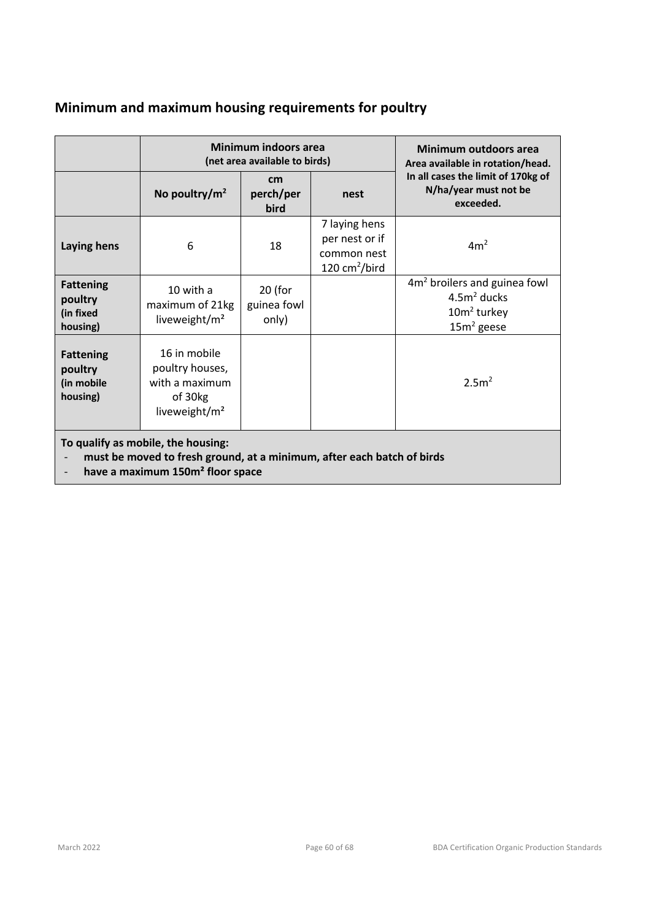# **Minimum and maximum housing requirements for poultry**

|                                                                                                                                                              | <b>Minimum indoors area</b><br>(net area available to birds)                              |                                   |                                                                  | Minimum outdoors area<br>Area available in rotation/head.                                  |  |
|--------------------------------------------------------------------------------------------------------------------------------------------------------------|-------------------------------------------------------------------------------------------|-----------------------------------|------------------------------------------------------------------|--------------------------------------------------------------------------------------------|--|
|                                                                                                                                                              | No poultry/ $m^2$                                                                         | cm<br>perch/per<br>bird           | nest                                                             | In all cases the limit of 170kg of<br>N/ha/year must not be<br>exceeded.                   |  |
| <b>Laying hens</b>                                                                                                                                           | 6                                                                                         | 18                                | 7 laying hens<br>per nest or if<br>common nest<br>120 $cm2/bird$ | 4m <sup>2</sup>                                                                            |  |
| <b>Fattening</b><br>poultry<br>(in fixed<br>housing)                                                                                                         | 10 with a<br>maximum of 21kg<br>liveweight/m <sup>2</sup>                                 | $20$ (for<br>guinea fowl<br>only) |                                                                  | 4m <sup>2</sup> broilers and guinea fowl<br>$4.5m2$ ducks<br>$10m2$ turkey<br>$15m2$ geese |  |
| <b>Fattening</b><br>poultry<br>(in mobile<br>housing)                                                                                                        | 16 in mobile<br>poultry houses,<br>with a maximum<br>of 30kg<br>liveweight/m <sup>2</sup> |                                   |                                                                  | 2.5 <sup>2</sup>                                                                           |  |
| To qualify as mobile, the housing:<br>must be moved to fresh ground, at a minimum, after each batch of birds<br>have a maximum 150m <sup>2</sup> floor space |                                                                                           |                                   |                                                                  |                                                                                            |  |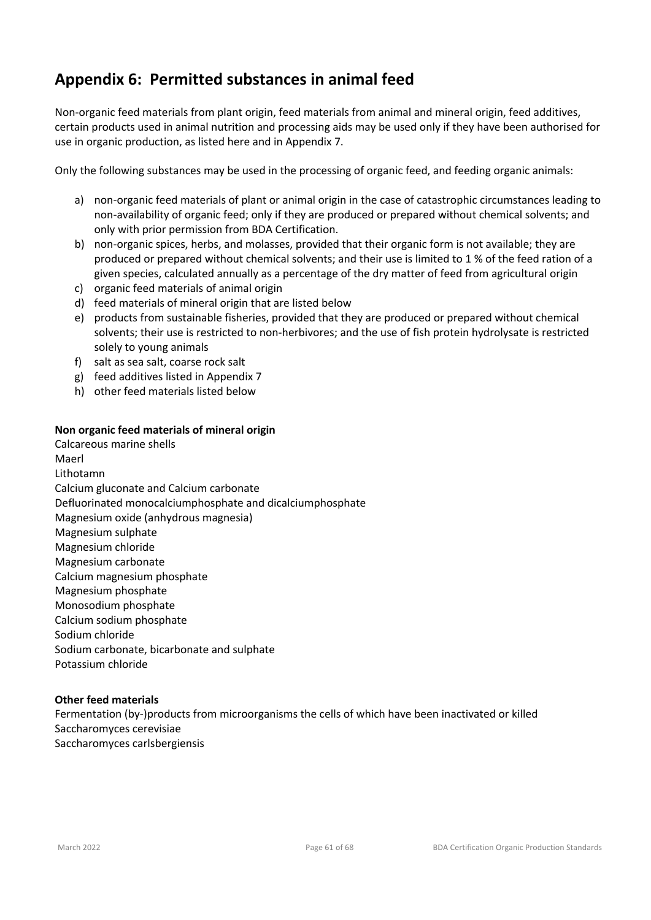# **Appendix 6: Permitted substances in animal feed**

Non-organic feed materials from plant origin, feed materials from animal and mineral origin, feed additives, certain products used in animal nutrition and processing aids may be used only if they have been authorised for use in organic production, as listed here and in Appendix 7.

Only the following substances may be used in the processing of organic feed, and feeding organic animals:

- a) non-organic feed materials of plant or animal origin in the case of catastrophic circumstances leading to non-availability of organic feed; only if they are produced or prepared without chemical solvents; and only with prior permission from BDA Certification.
- b) non-organic spices, herbs, and molasses, provided that their organic form is not available; they are produced or prepared without chemical solvents; and their use is limited to 1 % of the feed ration of a given species, calculated annually as a percentage of the dry matter of feed from agricultural origin
- c) organic feed materials of animal origin
- d) feed materials of mineral origin that are listed below
- e) products from sustainable fisheries, provided that they are produced or prepared without chemical solvents; their use is restricted to non-herbivores; and the use of fish protein hydrolysate is restricted solely to young animals
- f) salt as sea salt, coarse rock salt
- g) feed additives listed in Appendix 7
- h) other feed materials listed below

#### **Non organic feed materials of mineral origin**

Calcareous marine shells Maerl Lithotamn Calcium gluconate and Calcium carbonate Defluorinated monocalciumphosphate and dicalciumphosphate Magnesium oxide (anhydrous magnesia) Magnesium sulphate Magnesium chloride Magnesium carbonate Calcium magnesium phosphate Magnesium phosphate Monosodium phosphate Calcium sodium phosphate Sodium chloride Sodium carbonate, bicarbonate and sulphate Potassium chloride

#### **Other feed materials**

Fermentation (by-)products from microorganisms the cells of which have been inactivated or killed Saccharomyces cerevisiae Saccharomyces carlsbergiensis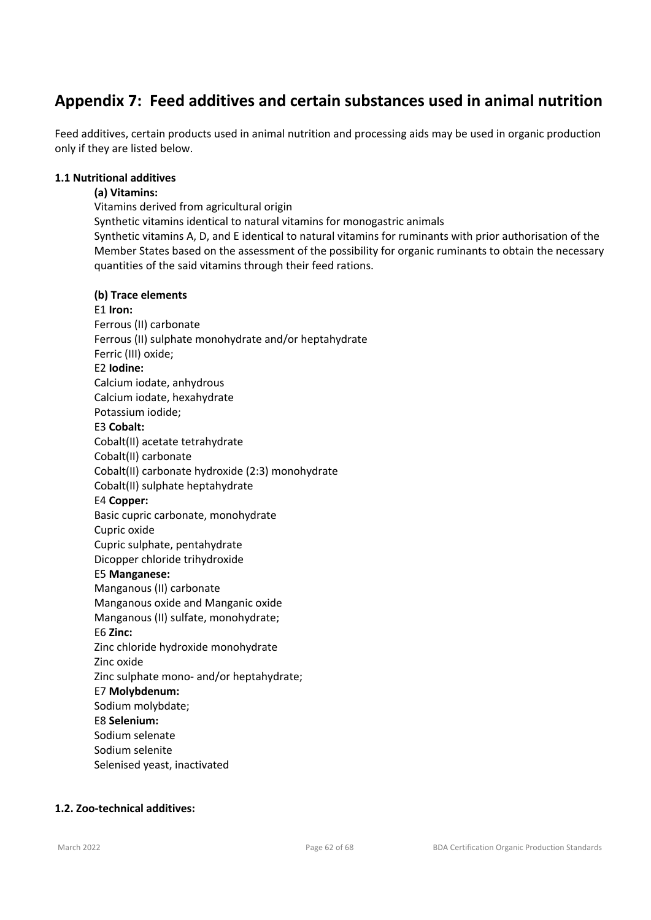# **Appendix 7: Feed additives and certain substances used in animal nutrition**

Feed additives, certain products used in animal nutrition and processing aids may be used in organic production only if they are listed below.

#### **1.1 Nutritional additives**

#### **(a) Vitamins:**

Vitamins derived from agricultural origin Synthetic vitamins identical to natural vitamins for monogastric animals Synthetic vitamins A, D, and E identical to natural vitamins for ruminants with prior authorisation of the Member States based on the assessment of the possibility for organic ruminants to obtain the necessary quantities of the said vitamins through their feed rations.

#### **(b) Trace elements**

#### E1 **Iron:**  Ferrous (II) carbonate Ferrous (II) sulphate monohydrate and/or heptahydrate Ferric (III) oxide; E2 **Iodine:**  Calcium iodate, anhydrous Calcium iodate, hexahydrate Potassium iodide; E3 **Cobalt:**  Cobalt(II) acetate tetrahydrate Cobalt(II) carbonate Cobalt(II) carbonate hydroxide (2:3) monohydrate Cobalt(II) sulphate heptahydrate E4 **Copper:**  Basic cupric carbonate, monohydrate Cupric oxide Cupric sulphate, pentahydrate Dicopper chloride trihydroxide E5 **Manganese:**  Manganous (II) carbonate Manganous oxide and Manganic oxide Manganous (II) sulfate, monohydrate; E6 **Zinc:**  Zinc chloride hydroxide monohydrate Zinc oxide Zinc sulphate mono- and/or heptahydrate; E7 **Molybdenum:**  Sodium molybdate; E8 **Selenium:**  Sodium selenate Sodium selenite

Selenised yeast, inactivated

#### **1.2. Zoo-technical additives:**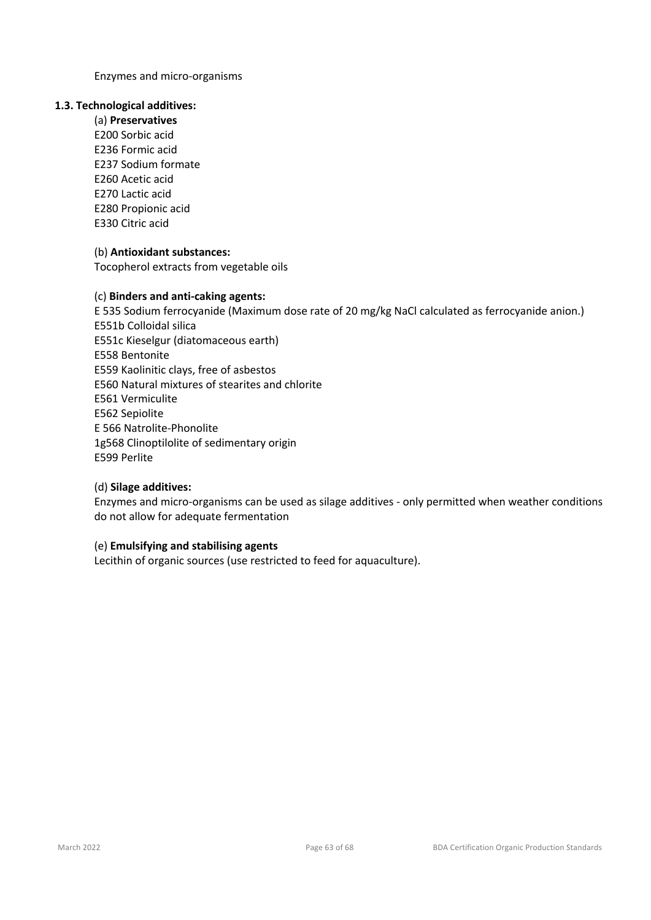Enzymes and micro-organisms

#### **1.3. Technological additives:**

(a) **Preservatives**  E200 Sorbic acid E236 Formic acid E237 Sodium formate E260 Acetic acid E270 Lactic acid E280 Propionic acid E330 Citric acid

#### (b) **Antioxidant substances:**

Tocopherol extracts from vegetable oils

#### (c) **Binders and anti-caking agents:**

E 535 Sodium ferrocyanide (Maximum dose rate of 20 mg/kg NaCl calculated as ferrocyanide anion.) E551b Colloidal silica E551c Kieselgur (diatomaceous earth) E558 Bentonite E559 Kaolinitic clays, free of asbestos E560 Natural mixtures of stearites and chlorite E561 Vermiculite E562 Sepiolite E 566 Natrolite-Phonolite 1g568 Clinoptilolite of sedimentary origin E599 Perlite

#### (d) **Silage additives:**

Enzymes and micro-organisms can be used as silage additives - only permitted when weather conditions do not allow for adequate fermentation

#### (e) **Emulsifying and stabilising agents**

Lecithin of organic sources (use restricted to feed for aquaculture).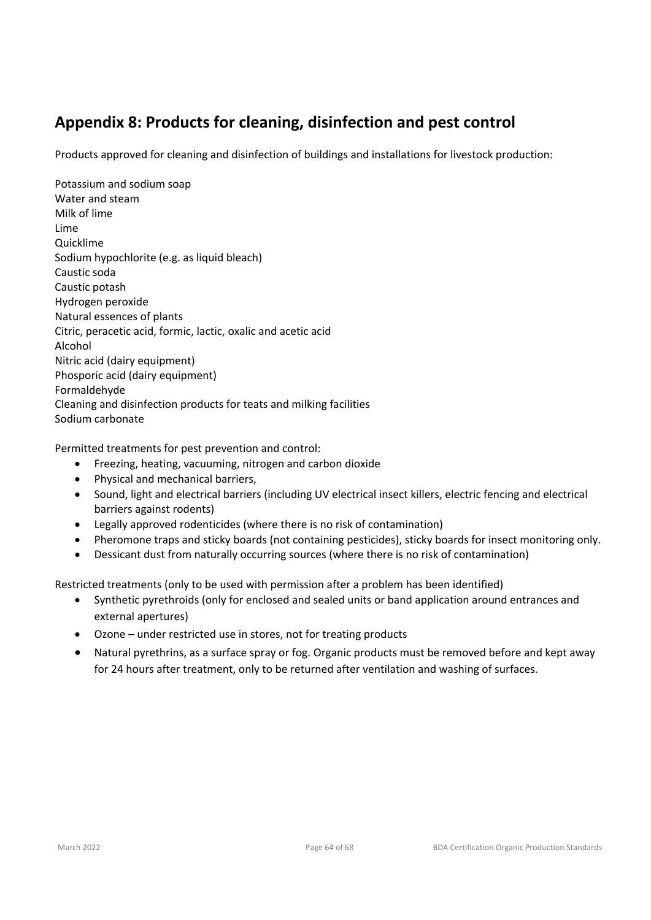# **Appendix 8: Products for cleaning, disinfection and pest control**

Products approved for cleaning and disinfection of buildings and installations for livestock production:

Potassium and sodium soap Water and steam Milk of lime Lime Quicklime Sodium hypochlorite (e.g. as liquid bleach) Caustic soda Caustic potash Hydrogen peroxide Natural essences of plants Citric, peracetic acid, formic, lactic, oxalic and acetic acid Alcohol Nitric acid (dairy equipment) Phosporic acid (dairy equipment) Formaldehyde Cleaning and disinfection products for teats and milking facilities Sodium carbonate

Permitted treatments for pest prevention and control:

- Freezing, heating, vacuuming, nitrogen and carbon dioxide
- Physical and mechanical barriers,
- Sound, light and electrical barriers (including UV electrical insect killers, electric fencing and electrical barriers against rodents)
- Legally approved rodenticides (where there is no risk of contamination)
- Pheromone traps and sticky boards (not containing pesticides), sticky boards for insect monitoring only.
- Dessicant dust from naturally occurring sources (where there is no risk of contamination)

Restricted treatments (only to be used with permission after a problem has been identified)

- Synthetic pyrethroids (only for enclosed and sealed units or band application around entrances and external apertures)
- Ozone under restricted use in stores, not for treating products
- Natural pyrethrins, as a surface spray or fog. Organic products must be removed before and kept away for 24 hours after treatment, only to be returned after ventilation and washing of surfaces.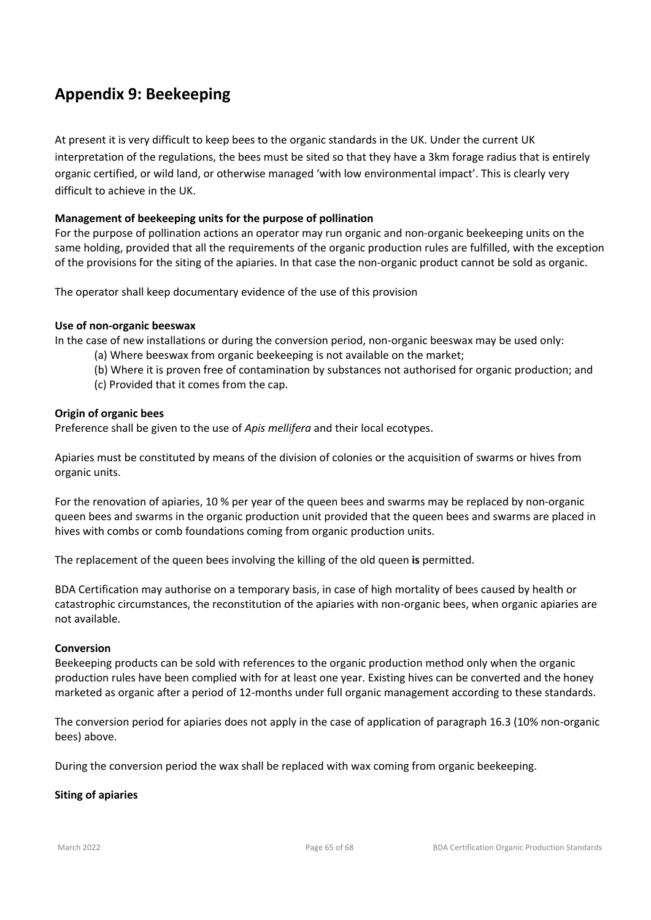# **Appendix 9: Beekeeping**

At present it is very difficult to keep bees to the organic standards in the UK. Under the current UK interpretation of the regulations, the bees must be sited so that they have a 3km forage radius that is entirely organic certified, or wild land, or otherwise managed 'with low environmental impact'. This is clearly very difficult to achieve in the UK.

#### **Management of beekeeping units for the purpose of pollination**

For the purpose of pollination actions an operator may run organic and non-organic beekeeping units on the same holding, provided that all the requirements of the organic production rules are fulfilled, with the exception of the provisions for the siting of the apiaries. In that case the non-organic product cannot be sold as organic.

The operator shall keep documentary evidence of the use of this provision

#### **Use of non-organic beeswax**

In the case of new installations or during the conversion period, non-organic beeswax may be used only:

- (a) Where beeswax from organic beekeeping is not available on the market;
- (b) Where it is proven free of contamination by substances not authorised for organic production; and
- (c) Provided that it comes from the cap.

#### **Origin of organic bees**

Preference shall be given to the use of *Apis mellifera* and their local ecotypes.

Apiaries must be constituted by means of the division of colonies or the acquisition of swarms or hives from organic units.

For the renovation of apiaries, 10 % per year of the queen bees and swarms may be replaced by non-organic queen bees and swarms in the organic production unit provided that the queen bees and swarms are placed in hives with combs or comb foundations coming from organic production units.

The replacement of the queen bees involving the killing of the old queen **is** permitted.

BDA Certification may authorise on a temporary basis, in case of high mortality of bees caused by health or catastrophic circumstances, the reconstitution of the apiaries with non-organic bees, when organic apiaries are not available.

#### **Conversion**

Beekeeping products can be sold with references to the organic production method only when the organic production rules have been complied with for at least one year. Existing hives can be converted and the honey marketed as organic after a period of 12-months under full organic management according to these standards.

The conversion period for apiaries does not apply in the case of application of paragraph 16.3 (10% non-organic bees) above.

During the conversion period the wax shall be replaced with wax coming from organic beekeeping.

#### **Siting of apiaries**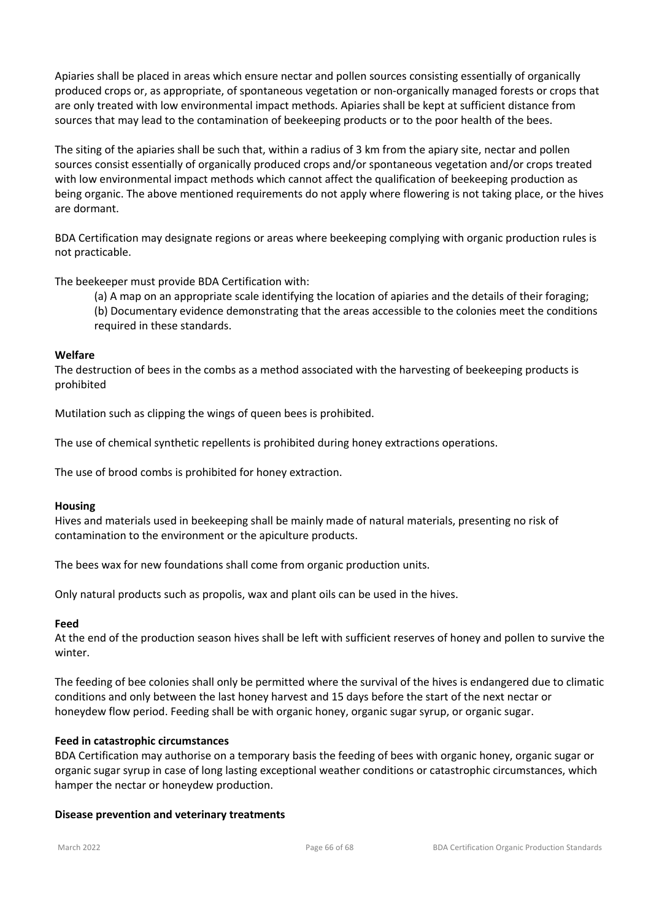Apiaries shall be placed in areas which ensure nectar and pollen sources consisting essentially of organically produced crops or, as appropriate, of spontaneous vegetation or non-organically managed forests or crops that are only treated with low environmental impact methods. Apiaries shall be kept at sufficient distance from sources that may lead to the contamination of beekeeping products or to the poor health of the bees.

The siting of the apiaries shall be such that, within a radius of 3 km from the apiary site, nectar and pollen sources consist essentially of organically produced crops and/or spontaneous vegetation and/or crops treated with low environmental impact methods which cannot affect the qualification of beekeeping production as being organic. The above mentioned requirements do not apply where flowering is not taking place, or the hives are dormant.

BDA Certification may designate regions or areas where beekeeping complying with organic production rules is not practicable.

The beekeeper must provide BDA Certification with:

(a) A map on an appropriate scale identifying the location of apiaries and the details of their foraging;

(b) Documentary evidence demonstrating that the areas accessible to the colonies meet the conditions required in these standards.

#### **Welfare**

The destruction of bees in the combs as a method associated with the harvesting of beekeeping products is prohibited

Mutilation such as clipping the wings of queen bees is prohibited.

The use of chemical synthetic repellents is prohibited during honey extractions operations.

The use of brood combs is prohibited for honey extraction.

#### **Housing**

Hives and materials used in beekeeping shall be mainly made of natural materials, presenting no risk of contamination to the environment or the apiculture products.

The bees wax for new foundations shall come from organic production units.

Only natural products such as propolis, wax and plant oils can be used in the hives.

#### **Feed**

At the end of the production season hives shall be left with sufficient reserves of honey and pollen to survive the winter.

The feeding of bee colonies shall only be permitted where the survival of the hives is endangered due to climatic conditions and only between the last honey harvest and 15 days before the start of the next nectar or honeydew flow period. Feeding shall be with organic honey, organic sugar syrup, or organic sugar.

#### **Feed in catastrophic circumstances**

BDA Certification may authorise on a temporary basis the feeding of bees with organic honey, organic sugar or organic sugar syrup in case of long lasting exceptional weather conditions or catastrophic circumstances, which hamper the nectar or honeydew production.

#### **Disease prevention and veterinary treatments**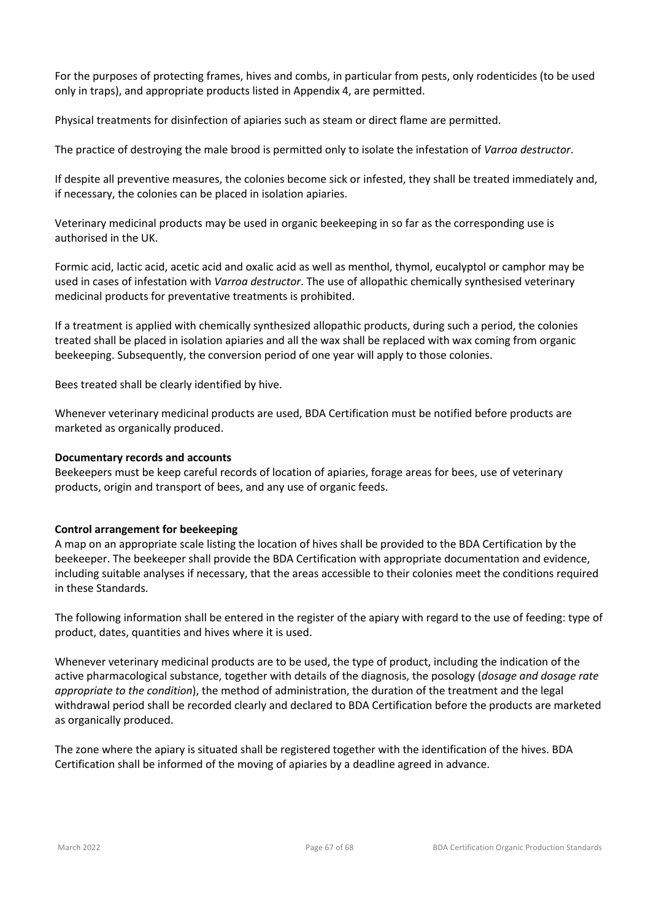For the purposes of protecting frames, hives and combs, in particular from pests, only rodenticides (to be used only in traps), and appropriate products listed in Appendix 4, are permitted.

Physical treatments for disinfection of apiaries such as steam or direct flame are permitted.

The practice of destroying the male brood is permitted only to isolate the infestation of *Varroa destructor*.

If despite all preventive measures, the colonies become sick or infested, they shall be treated immediately and, if necessary, the colonies can be placed in isolation apiaries.

Veterinary medicinal products may be used in organic beekeeping in so far as the corresponding use is authorised in the UK.

Formic acid, lactic acid, acetic acid and oxalic acid as well as menthol, thymol, eucalyptol or camphor may be used in cases of infestation with *Varroa destructor*. The use of allopathic chemically synthesised veterinary medicinal products for preventative treatments is prohibited.

If a treatment is applied with chemically synthesized allopathic products, during such a period, the colonies treated shall be placed in isolation apiaries and all the wax shall be replaced with wax coming from organic beekeeping. Subsequently, the conversion period of one year will apply to those colonies.

Bees treated shall be clearly identified by hive.

Whenever veterinary medicinal products are used, BDA Certification must be notified before products are marketed as organically produced.

#### **Documentary records and accounts**

Beekeepers must be keep careful records of location of apiaries, forage areas for bees, use of veterinary products, origin and transport of bees, and any use of organic feeds.

#### **Control arrangement for beekeeping**

A map on an appropriate scale listing the location of hives shall be provided to the BDA Certification by the beekeeper. The beekeeper shall provide the BDA Certification with appropriate documentation and evidence, including suitable analyses if necessary, that the areas accessible to their colonies meet the conditions required in these Standards.

The following information shall be entered in the register of the apiary with regard to the use of feeding: type of product, dates, quantities and hives where it is used.

Whenever veterinary medicinal products are to be used, the type of product, including the indication of the active pharmacological substance, together with details of the diagnosis, the posology (*dosage and dosage rate appropriate to the condition*), the method of administration, the duration of the treatment and the legal withdrawal period shall be recorded clearly and declared to BDA Certification before the products are marketed as organically produced.

The zone where the apiary is situated shall be registered together with the identification of the hives. BDA Certification shall be informed of the moving of apiaries by a deadline agreed in advance.